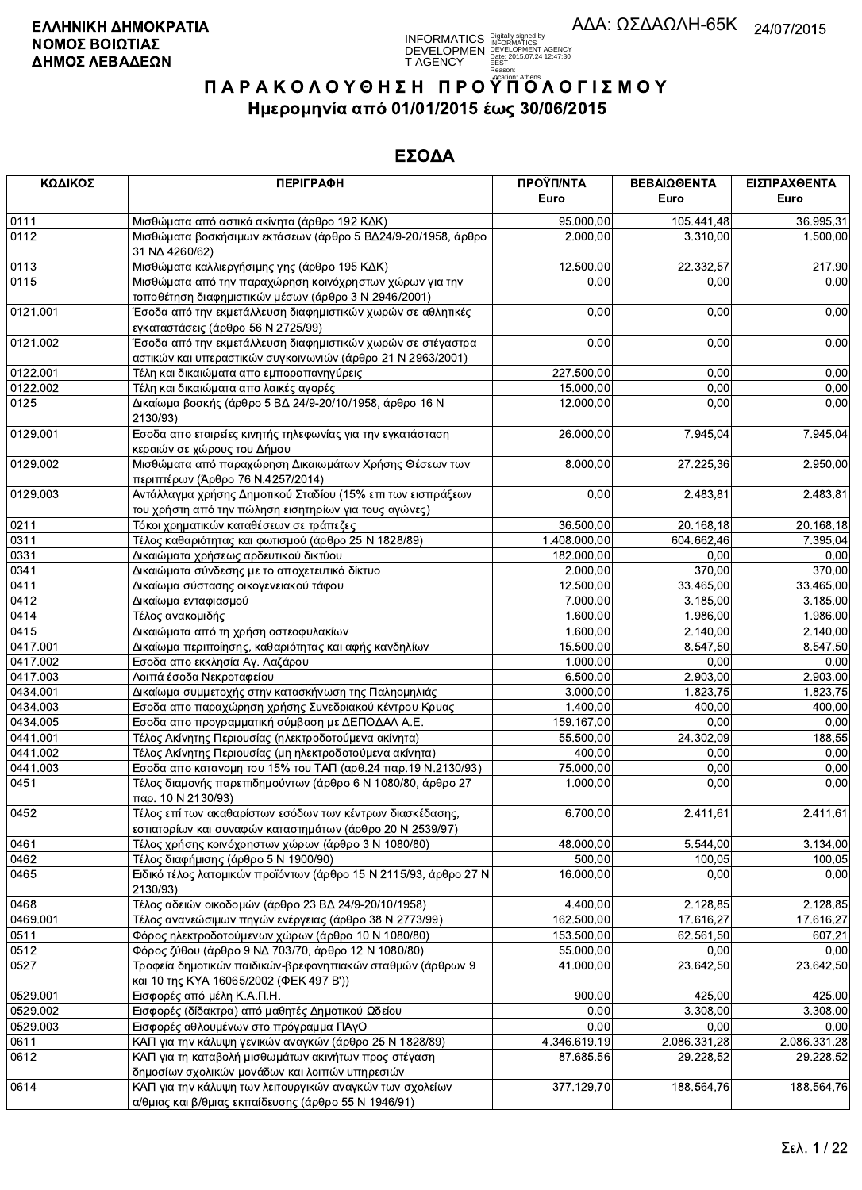

| ΚΩΔΙΚΟΣ  | <b>ПЕРІГРАФН</b>                                                                                                           | ΠΡΟΫΠ/ΝΤΑ<br>Euro | ΒΕΒΑΙΩΘΕΝΤΑ<br>Euro     | ΕΙΣΠΡΑΧΘΕΝΤΑ<br>Euro |
|----------|----------------------------------------------------------------------------------------------------------------------------|-------------------|-------------------------|----------------------|
| 0111     | Μισθώματα από αστικά ακίνητα (άρθρο 192 ΚΔΚ)                                                                               | 95.000,00         | 105.441,48              | 36.995,31            |
| 0112     | Μισθώματα βοσκήσιμων εκτάσεων (άρθρο 5 ΒΔ24/9-20/1958, άρθρο<br>31 NA 4260/62)                                             | 2.000,00          | 3.310,00                | 1.500,00             |
| 0113     | Μισθώματα καλλιεργήσιμης γης (άρθρο 195 ΚΔΚ)                                                                               | 12.500,00         | 22.332,57               | 217,90               |
| 0115     | Μισθώματα από την παραχώρηση κοινόχρηστων χώρων για την<br>τοποθέτηση διαφημιστικών μέσων (άρθρο 3 Ν 2946/2001)            | 0,00              | 0,00                    | 0,00                 |
| 0121.001 | Έσοδα από την εκμετάλλευση διαφημιστικών χωρών σε αθλητικές<br>εγκαταστάσεις (άρθρο 56 Ν 2725/99)                          | 0,00              | 0,00                    | 0,00                 |
| 0121.002 | Έσοδα από την εκμετάλλευση διαφημιστικών χωρών σε στέγαστρα<br>αστικών και υπεραστικών συγκοινωνιών (άρθρο 21 Ν 2963/2001) | 0,00              | 0,00                    | 0,00                 |
| 0122.001 | Τέλη και δικαιώματα απο εμποροπανηγύρεις                                                                                   | 227.500,00        | 0,00                    | 0,00                 |
| 0122.002 | Τέλη και δικαιώματα απο λαικές αγορές                                                                                      | 15.000,00         | 0,00                    | 0,00                 |
| 0125     | Δικαίωμα βοσκής (άρθρο 5 ΒΔ 24/9-20/10/1958, άρθρο 16 Ν<br>2130/93)                                                        | 12.000,00         | 0,00                    | 0,00                 |
| 0129.001 | Εσοδα απο εταιρείες κινητής τηλεφωνίας για την εγκατάσταση<br>κεραιών σε χώρους του Δήμου                                  | 26.000,00         | 7.945,04                | 7.945,04             |
| 0129.002 | Μισθώματα από παραχώρηση Δικαιωμάτων Χρήσης Θέσεων των<br>περιπτέρων (Άρθρο 76 Ν.4257/2014)                                | 8.000,00          | 27.225,36               | 2.950,00             |
| 0129.003 | Αντάλλαγμα χρήσης Δημοτικού Σταδίου (15% επι των εισπράξεων<br>του χρήστη από την πώληση εισητηρίων για τους αγώνες)       | 0,00              | 2.483,81                | 2.483,81             |
| 0211     | Τόκοι χρηματικών καταθέσεων σε τράπεζες                                                                                    | 36.500,00         | 20.168,18               | 20.168,18            |
| 0311     | Τέλος καθαριότητας και φωτισμού (άρθρο 25 Ν 1828/89)                                                                       | 1.408.000,00      | 604.662,46              | 7.395.04             |
| 0331     | Δικαιώματα χρήσεως αρδευτικού δικτύου                                                                                      | 182.000,00        | 0,00                    | 0,00                 |
| 0341     | Δικαιώματα σύνδεσης με το αποχετευτικό δίκτυο                                                                              | 2.000,00          | 370,00                  | 370,00               |
| 0411     | Δικαίωμα σύστασης οικογενειακού τάφου                                                                                      | 12.500,00         | 33.465,00               | 33.465,00            |
| 0412     | Δικαίωμα ενταφιασμού                                                                                                       | 7.000,00          | 3.185,00                | 3.185,00             |
| 0414     | Τέλος ανακομιδής                                                                                                           | 1.600,00          | 1.986,00                | 1.986,00             |
| 0415     | Δικαιώματα από τη χρήση οστεοφυλακίων                                                                                      | 1.600,00          | 2.140,00                | 2.140,00             |
| 0417.001 | Δικαίωμα περιποίησης, καθαριότητας και αφής κανδηλίων                                                                      | 15.500,00         | 8.547,50                | 8.547,50             |
| 0417.002 | Εσοδα απο εκκλησία Αγ. Λαζάρου                                                                                             | 1.000,00          | 0,00                    | 0,00                 |
| 0417.003 | Λοιπά έσοδα Νεκροταφείου                                                                                                   | 6.500,00          | 2.903,00                | 2.903,00             |
| 0434.001 | Δικαίωμα συμμετοχής στην κατασκήνωση της Παληομηλιάς                                                                       | 3.000,00          | 1.823,75                | 1.823,75             |
| 0434.003 | Εσοδα απο παραχώρηση χρήσης Συνεδριακού κέντρου Κρυας                                                                      | 1.400,00          | 400,00                  | 400,00               |
| 0434.005 | Εσοδα απο προγραμματική σύμβαση με ΔΕΠΟΔΑΛ Α.Ε.                                                                            | 159.167,00        | 0,00                    | 0,00                 |
| 0441.001 | Τέλος Ακίνητης Περιουσίας (ηλεκτροδοτούμενα ακίνητα)                                                                       | 55.500,00         | 24.302,09               | 188,55               |
| 0441.002 | Τέλος Ακίνητης Περιουσίας (μη ηλεκτροδοτούμενα ακίνητα)                                                                    | 400,00            | 0,00                    | 0,00                 |
| 0441.003 | Εσοδα απο κατανομη του 15% του ΤΑΠ (αρθ.24 παρ.19 Ν.2130/93)                                                               | 75.000,00         | 0,00                    | 0,00                 |
| 0451     | Τέλος διαμονής παρεπιδημούντων (άρθρο 6 Ν 1080/80, άρθρο 27<br>παρ. 10 Ν 2130/93)                                          | 1.000,00          | 0,00                    | 0,00                 |
| 0452     | Τέλος επί των ακαθαρίστων εσόδων των κέντρων διασκέδασης,<br>εστιατορίων και συναφών καταστημάτων (άρθρο 20 Ν 2539/97)     | 6.700,00          | 2.411,61                | 2.411,61             |
| 0461     | Τέλος χρήσης κοινόχρηστων χώρων (άρθρο 3 Ν 1080/80)                                                                        | 48.000.00         | 5.544,00                | 3.134,00             |
| 0462     | Τέλος διαφήμισης (άρθρο 5 Ν 1900/90)                                                                                       | 500,00            | 100,05                  | 100,05               |
| 0465     | Ειδικό τέλος λατομικών προϊόντων (άρθρο 15 Ν 2115/93, άρθρο 27 Ν<br>2130/93)                                               | 16.000,00         | 0,00                    | 0,00                 |
| 0468     | Τέλος αδειών οικοδομών (άρθρο 23 ΒΔ 24/9-20/10/1958)                                                                       | 4.400,00          | 2.128,85                | 2.128.85             |
| 0469.001 | Τέλος ανανεώσιμων πηγών ενέργειας (άρθρο 38 Ν 2773/99)                                                                     | 162.500,00        | 17.616,27               | 17.616,27            |
| 0511     | Φόρος ηλεκτροδοτούμενων χώρων (άρθρο 10 Ν 1080/80)                                                                         | 153.500,00        | $\overline{6}$ 2.561,50 | 607,21               |
| 0512     | Φόρος ζύθου (άρθρο 9 ΝΔ 703/70, άρθρο 12 Ν 1080/80)                                                                        | 55.000,00         | 0,00                    | 0,00                 |
| 0527     | Τροφεία δημοτικών παιδικών-βρεφονηπιακών σταθμών (άρθρων 9<br>και 10 της ΚΥΑ 16065/2002 (ΦΕΚ 497 Β'))                      | 41.000,00         | 23.642.50               | 23.642,50            |
| 0529.001 | Εισφορές από μέλη Κ.Α.Π.Η.                                                                                                 | 900,00            | 425,00                  | 425,00               |
| 0529.002 | Εισφορές (δίδακτρα) από μαθητές Δημοτικού Ωδείου                                                                           | 0,00              | 3.308,00                | 3.308,00             |
| 0529.003 | Εισφορές αθλουμένων στο πρόγραμμα ΠΑγΟ                                                                                     | 0,00              | 0,00                    | 0.00                 |
| 0611     | ΚΑΠ για την κάλυψη γενικών αναγκών (άρθρο 25 Ν 1828/89)                                                                    | 4.346.619,19      | 2.086.331,28            | 2.086.331,28         |
| 0612     | ΚΑΠ για τη καταβολή μισθωμάτων ακινήτων προς στέγαση<br>δημοσίων σχολικών μονάδων και λοιπών υπηρεσιών                     | 87.685,56         | 29.228,52               | 29.228,52            |
| 0614     | ΚΑΠ για την κάλυψη των λειτουργικών αναγκών των σχολείων<br>α/θμιας και β/θμιας εκπαίδευσης (άρθρο 55 Ν 1946/91)           | 377.129,70        | 188.564,76              | 188.564,76           |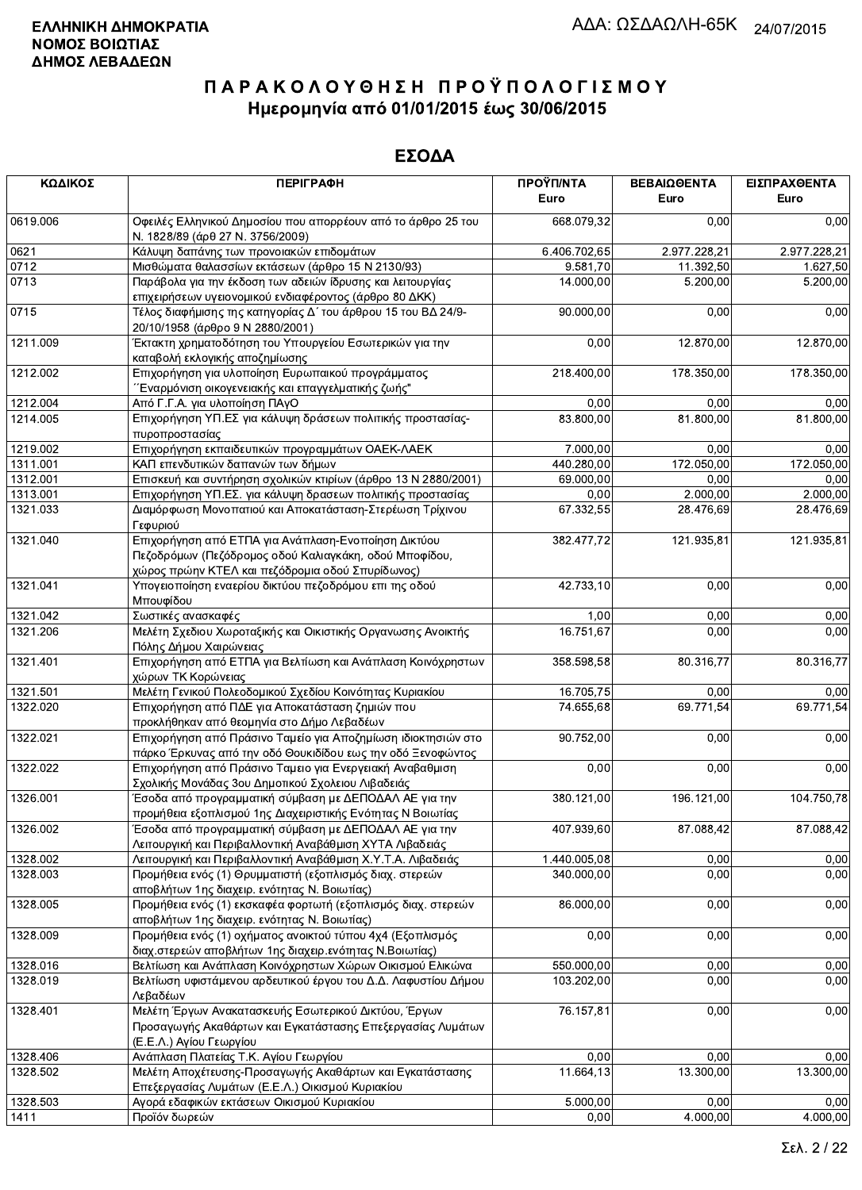| ΚΩΔΙΚΟΣ  | <b>ПЕРІГРАФН</b>                                                                                                                                                  | ΠΡΟΫΠ/ΝΤΑ<br>Euro         | ΒΕΒΑΙΩΘΕΝΤΑ<br>Euro | ΕΙΣΠΡΑΧΘΕΝΤΑ<br>Euro |
|----------|-------------------------------------------------------------------------------------------------------------------------------------------------------------------|---------------------------|---------------------|----------------------|
| 0619.006 | Οφειλές Ελληνικού Δημοσίου που απορρέουν από το άρθρο 25 του<br>Ν. 1828/89 (άρθ 27 Ν. 3756/2009)                                                                  | 668.079.32                | 0,00                | 0,00                 |
| 0621     | Κάλυψη δαπάνης των προνοιακών επιδομάτων                                                                                                                          | $\overline{6.406.702,65}$ | 2.977.228,21        | 2.977.228,21         |
| 0712     | Μισθώματα θαλασσίων εκτάσεων (άρθρο 15 Ν 2130/93)                                                                                                                 | 9.581,70                  | 11.392,50           | 1.627,50             |
| 0713     | Παράβολα για την έκδοση των αδειών ίδρυσης και λειτουργίας                                                                                                        | 14.000,00                 | 5.200,00            | 5.200,00             |
|          | επιχειρήσεων υγειονομικού ενδιαφέροντος (άρθρο 80 ΔΚΚ)                                                                                                            |                           |                     |                      |
| 0715     | Τέλος διαφήμισης της κατηγορίας Δ΄ του άρθρου 15 του ΒΔ 24/9-<br>20/10/1958 (άρθρο 9 Ν 2880/2001)                                                                 | 90.000,00                 | 0,00                | 0,00                 |
| 1211.009 | Έκτακτη χρηματοδότηση του Υπουργείου Εσωτερικών για την<br>καταβολή εκλογικής αποζημίωσης                                                                         | 0,00                      | 12.870,00           | 12.870,00            |
| 1212.002 | Επιχορήγηση για υλοποίηση Ευρωπαικού προγράμματος<br>΄΄Εναρμόνιση οικογενειακής και επαγγελματικής ζωής''                                                         | 218.400,00                | 178.350,00          | 178.350,00           |
| 1212.004 | Από Γ.Γ.Α. για υλοποίηση ΠΑγΟ                                                                                                                                     | 0,00                      | 0,00                | 0,00                 |
| 1214.005 | Επιχορήγηση ΥΠ.ΕΣ για κάλυψη δράσεων πολιτικής προστασίας-<br>πυροπροστασίας                                                                                      | 83.800,00                 | 81.800,00           | 81.800,00            |
| 1219.002 | Επιχορήγηση εκπαιδευτικών προγραμμάτων ΟΑΕΚ-ΛΑΕΚ                                                                                                                  | 7.000,00                  | 0,00                | 0,00                 |
| 1311.001 | ΚΑΠ επενδυτικών δαπανών των δήμων                                                                                                                                 | 440.280,00                | 172.050,00          | 172.050,00           |
| 1312.001 | Επισκευή και συντήρηση σχολικών κτιρίων (άρθρο 13 Ν 2880/2001)                                                                                                    | 69.000,00                 | 0,00                | 0,00                 |
| 1313.001 | Επιχορήγηση ΥΠ.ΕΣ. για κάλυψη δρασεων πολιτικής προστασίας                                                                                                        | 0,00                      | 2.000,00            | 2.000.00             |
| 1321.033 | Διαμόρφωση Μονοπατιού και Αποκατάσταση-Στερέωση Τρίχινου<br>Γεφυριού                                                                                              | 67.332,55                 | 28.476,69           | 28.476,69            |
| 1321.040 | Επιχορήγηση από ΕΤΠΑ για Ανάπλαση-Ενοποίηση Δικτύου<br>Πεζοδρόμων (Πεζόδρομος οδού Καλιαγκάκη, οδού Μποφίδου,<br>χώρος πρώην ΚΤΕΛ και πεζόδρομια οδού Σπυρίδωνος) | 382.477,72                | 121.935,81          | 121.935,81           |
| 1321.041 | Υπογειοποίηση εναερίου δικτύου πεζοδρόμου επι της οδού<br>Μπουφίδου                                                                                               | 42.733,10                 | 0,00                | 0,00                 |
| 1321.042 | Σωστικές ανασκαφές                                                                                                                                                | 1,00                      | 0,00                | 0,00                 |
| 1321.206 | Μελέτη Σχεδιου Χωροταξικής και Οικιστικής Οργανωσης Ανοικτής<br>Πόλης Δήμου Χαιρώνειας                                                                            | 16.751,67                 | 0,00                | 0,00                 |
| 1321.401 | Επιχορήγηση από ΕΤΠΑ για Βελτίωση και Ανάπλαση Κοινόχρηστων<br>χώρων ΤΚ Κορώνειας                                                                                 | 358.598,58                | 80.316,77           | 80.316,77            |
| 1321.501 | Μελέτη Γενικού Πολεοδομικού Σχεδίου Κοινότητας Κυριακίου                                                                                                          | 16.705,75                 | 0,00                | 0,00                 |
| 1322.020 | Επιχορήγηση από ΠΔΕ για Αποκατάσταση ζημιών που                                                                                                                   | 74.655,68                 | 69.771,54           | 69.771,54            |
|          | προκλήθηκαν από θεομηνία στο Δήμο Λεβαδέων                                                                                                                        |                           |                     |                      |
| 1322.021 | Επιχορήγηση από Πράσινο Ταμείο για Αποζημίωση ιδιοκτησιών στο<br>πάρκο Έρκυνας από την οδό Θουκιδίδου εως την οδό Ξενοφώντος                                      | 90.752,00                 | 0,00                | 0,00                 |
| 1322.022 | Επιχορήγηση από Πράσινο Ταμειο για Ενεργειακή Αναβαθμιση<br>Σχολικής Μονάδας 3ου Δημοτικού Σχολειου Λιβαδειάς                                                     | 0,00                      | 0,00                | 0,00                 |
| 1326.001 | Έσοδα από προγραμματική σύμβαση με ΔΕΠΟΔΑΛ ΑΕ για την<br>προμήθεια εξοπλισμού 1ης Διαχειριστικής Ενότητας Ν Βοιωτίας                                              | 380.121,00                | 196.121,00          | 104.750,78           |
| 1326.002 | Έσοδα από προγραμματική σύμβαση με ΔΕΠΟΔΑΛ ΑΕ για την<br>Λειτουργική και Περιβαλλοντική Αναβάθμιση ΧΥΤΑ Λιβαδειάς                                                 | 407.939,60                | 87.088,42           | 87.088,42            |
| 1328.002 | Λειτουργική και Περιβαλλοντική Αναβάθμιση Χ.Υ.Τ.Α. Λιβαδειάς                                                                                                      | 1.440.005,08              | 0,00                | 0,00                 |
| 1328.003 | Προμήθεια ενός (1) Θρυμματιστή (εξοπλισμός διαχ. στερεών<br>αποβλήτων 1ης διαχειρ. ενότητας Ν. Βοιωτίας)                                                          | 340.000,00                | 0,00                | 0,00                 |
| 1328.005 | Προμήθεια ενός (1) εκσκαφέα φορτωτή (εξοπλισμός διαχ. στερεών<br>αποβλήτων 1ης διαχειρ. ενότητας Ν. Βοιωτίας)                                                     | 86.000,00                 | 0,00                | 0,00                 |
| 1328.009 | Προμήθεια ενός (1) οχήματος ανοικτού τύπου 4χ4 (Εξοπλισμός<br>διαχ.στερεών αποβλήτων 1ης διαχειρ.ενότητας Ν.Βοιωτίας)                                             | 0,00                      | 0,00                | 0,00                 |
| 1328.016 | Βελτίωση και Ανάπλαση Κοινόχρηστων Χώρων Οικισμού Ελικώνα                                                                                                         | 550.000,00                | 0.00                | 0,00                 |
| 1328.019 | Βελτίωση υφιστάμενου αρδευτικού έργου του Δ.Δ. Λαφυστίου Δήμου<br>Λεβαδέων                                                                                        | 103.202,00                | 0,00                | 0,00                 |
| 1328.401 | Μελέτη Έργων Ανακατασκευής Εσωτερικού Δικτύου, Έργων<br>Προσαγωγής Ακαθάρτων και Εγκατάστασης Επεξεργασίας Λυμάτων<br>(Ε.Ε.Λ.) Αγίου Γεωργίου                     | 76.157,81                 | 0,00                | 0,00                 |
| 1328.406 | Ανάπλαση Πλατείας Τ.Κ. Αγίου Γεωργίου                                                                                                                             | 0,00                      | 0.00                | 0,00                 |
| 1328.502 | Μελέτη Αποχέτευσης-Προσαγωγής Ακαθάρτων και Εγκατάστασης<br>Επεξεργασίας Λυμάτων (Ε.Ε.Λ.) Οικισμού Κυριακίου                                                      | 11.664,13                 | 13.300,00           | 13.300,00            |
| 1328.503 | Αγορά εδαφικών εκτάσεων Οικισμού Κυριακίου                                                                                                                        | 5.000,00                  | 0,00                | 0,00                 |
| 1411     | Προϊόν δωρεών                                                                                                                                                     | 0.00                      | 4.000.00            | 4.000.00             |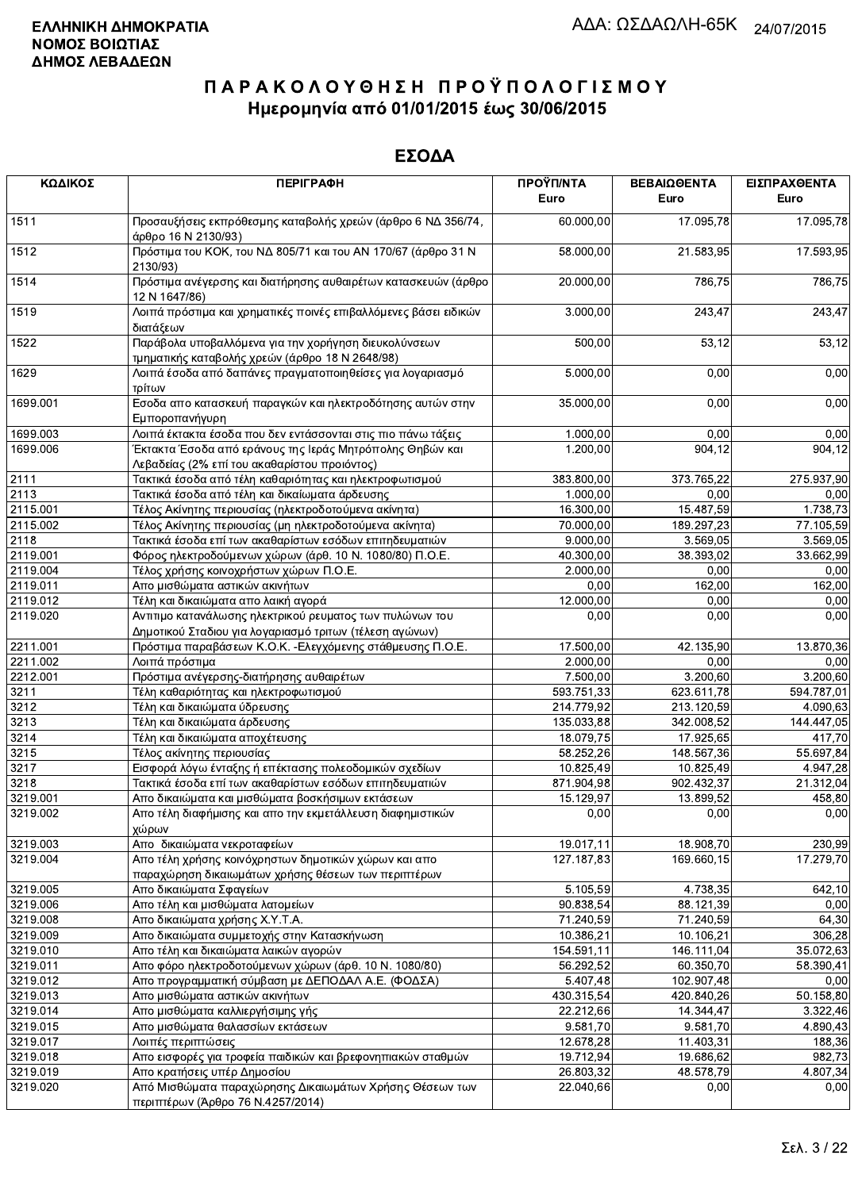| ΚΩΔΙΚΟΣ  | <b>ПЕРІГРАФН</b>                                                                                                    | ΠΡΟΫΠ/ΝΤΑ<br>Euro | ΒΕΒΑΙΩΘΕΝΤΑ<br>Euro | ΕΙΣΠΡΑΧΘΕΝΤΑ<br>Euro |
|----------|---------------------------------------------------------------------------------------------------------------------|-------------------|---------------------|----------------------|
| 1511     | Προσαυξήσεις εκπρόθεσμης καταβολής χρεών (άρθρο 6 ΝΔ 356/74,<br>άρθρο 16 Ν 2130/93)                                 | 60.000,00         | 17.095,78           | 17.095,78            |
| 1512     | Πρόστιμα του ΚΟΚ, του ΝΔ 805/71 και του ΑΝ 170/67 (άρθρο 31 Ν<br>2130/93)                                           | 58.000,00         | 21.583,95           | 17.593,95            |
| 1514     | Πρόστιμα ανέγερσης και διατήρησης αυθαιρέτων κατασκευών (άρθρο<br>12 N 1647/86)                                     | 20.000,00         | 786,75              | 786,75               |
| 1519     | Λοιπά πρόστιμα και χρηματικές ποινές επιβαλλόμενες βάσει ειδικών<br>διατάξεων                                       | 3.000,00          | 243,47              | 243,47               |
| 1522     | Παράβολα υποβαλλόμενα για την χορήγηση διευκολύνσεων<br>τμηματικής καταβολής χρεών (άρθρο 18 Ν 2648/98)             | 500,00            | 53,12               | 53,12                |
| 1629     | Λοιπά έσοδα από δαπάνες πραγματοποιηθείσες για λογαριασμό<br>τρίτων                                                 | 5.000,00          | 0,00                | 0,00                 |
| 1699.001 | Εσοδα απο κατασκευή παραγκών και ηλεκτροδότησης αυτών στην<br>Εμποροπανήγυρη                                        | 35.000,00         | 0,00                | 0,00                 |
| 1699.003 | Λοιπά έκτακτα έσοδα που δεν εντάσσονται στις πιο πάνω τάξεις                                                        | 1.000,00          | 0,00                | 0,00                 |
| 1699.006 | Έκτακτα Έσοδα από εράνους της Ιεράς Μητρόπολης Θηβών και<br>Λεβαδείας (2% επί του ακαθαρίστου προιόντος)            | 1.200,00          | 904,12              | 904, 12              |
| 2111     | Τακτικά έσοδα από τέλη καθαριότητας και ηλεκτροφωτισμού                                                             | 383.800,00        | 373.765,22          | 275.937,90           |
| 2113     | Τακτικά έσοδα από τέλη και δικαίωματα άρδευσης                                                                      | 1.000,00          | 0,00                | 0,00                 |
| 2115.001 | Τέλος Ακίνητης περιουσίας (ηλεκτροδοτούμενα ακίνητα)                                                                | 16.300,00         | 15.487,59           | 1.738,73             |
| 2115.002 | Τέλος Ακίνητης περιουσίας (μη ηλεκτροδοτούμενα ακίνητα)                                                             | 70.000,00         | 189.297,23          | 77.105,59            |
| 2118     | Τακτικά έσοδα επί των ακαθαρίστων εσόδων επιτηδευματιών                                                             | 9.000,00          | 3.569,05            | 3.569,05             |
| 2119.001 | Φόρος ηλεκτροδούμενων χώρων (άρθ. 10 Ν. 1080/80) Π.Ο.Ε.                                                             | 40.300,00         | 38.393,02           | 33.662,99            |
|          |                                                                                                                     | 2.000,00          | 0,00                |                      |
| 2119.004 | Τέλος χρήσης κοινοχρήστων χώρων Π.Ο.Ε.                                                                              |                   |                     | 0,00                 |
| 2119.011 | Απο μισθώματα αστικών ακινήτων                                                                                      | 0,00              | 162,00              | 162,00               |
| 2119.012 | Τέλη και δικαιώματα απο λαική αγορά                                                                                 | 12.000,00         | 0,00                | 0,00                 |
| 2119.020 | Αντιτιμο κατανάλωσης ηλεκτρικού ρευματος των πυλώνων του<br>Δημοτικού Σταδιου για λογαριασμό τριτων (τέλεση αγώνων) | 0,00              | 0,00                | 0,00                 |
| 2211.001 | Πρόστιμα παραβάσεων Κ.Ο.Κ. - Ελεγχόμενης στάθμευσης Π.Ο.Ε.                                                          | 17.500,00         | 42.135,90           | 13.870,36            |
| 2211.002 | Λοιπά πρόστιμα                                                                                                      | 2.000,00          | 0,00                | 0,00                 |
| 2212.001 | Πρόστιμα ανέγερσης-διατήρησης αυθαιρέτων                                                                            | 7.500,00          | 3.200,60            | 3.200,60             |
| 3211     | Τέλη καθαριότητας και ηλεκτροφωτισμού                                                                               | 593.751,33        | 623.611,78          | 594.787,01           |
| 3212     | Τέλη και δικαιώματα ύδρευσης                                                                                        | 214.779,92        | 213.120,59          | 4.090,63             |
| 3213     | Τέλη και δικαιώματα άρδευσης                                                                                        | 135.033,88        | 342.008,52          | 144.447,05           |
| 3214     | Τέλη και δικαιώματα αποχέτευσης                                                                                     | 18.079,75         | 17.925,65           | 417,70               |
| 3215     | Τέλος ακίνητης περιουσίας                                                                                           | 58.252,26         | 148.567,36          | 55.697,84            |
| 3217     | Εισφορά λόγω ένταξης ή επέκτασης πολεοδομικών σχεδίων                                                               | 10.825,49         | 10.825,49           | 4.947,28             |
| 3218     | Τακτικά έσοδα επί των ακαθαρίστων εσόδων επιτηδευματιών                                                             | 871.904,98        | 902.432,37          | 21.312,04            |
| 3219.001 | Απο δικαιώματα και μισθώματα βοσκήσιμων εκτάσεων                                                                    | 15.129,97         | 13.899,52           | 458,80               |
| 3219.002 | Απο τέλη διαφήμισης και απο την εκμετάλλευση διαφημιστικών<br>χώρων                                                 | 0,00              | 0,00                | 0,00                 |
| 3219.003 | Απο δικαιώματα νεκροταφείων                                                                                         | 19.017,11         | 18.908,70           | 230,99               |
| 3219.004 | Απο τέλη χρήσης κοινόχρηστων δημοτικών χώρων και απο<br>παραχώρηση δικαιωμάτων χρήσης θέσεων των περιπτέρων         | 127.187,83        | 169.660,15          | 17.279,70            |
| 3219.005 | Απο δικαιώματα Σφαγείων                                                                                             | 5.105,59          | 4.738,35            | 642,10               |
|          | Απο τέλη και μισθώματα λατομείων                                                                                    |                   | 88.121,39           |                      |
| 3219.006 |                                                                                                                     | 90.838,54         |                     | 0,00                 |
| 3219.008 | Απο δικαιώματα χρήσης Χ.Υ.Τ.Α.                                                                                      | 71.240,59         | 71.240,59           | 64,30                |
| 3219.009 | Απο δικαιώματα συμμετοχής στην Κατασκήνωση                                                                          | 10.386,21         | 10.106,21           | 306,28               |
| 3219.010 | Απο τέλη και δικαιώματα λαικών αγορών                                                                               | 154.591,11        | 146.111,04          | 35.072,63            |
| 3219.011 | Απο φόρο ηλεκτροδοτούμενων χώρων (άρθ. 10 Ν. 1080/80)                                                               | 56.292,52         | 60.350,70           | 58.390,41            |
| 3219.012 | Απο προγραμματική σύμβαση με ΔΕΠΟΔΑΛ Α.Ε. (ΦΟΔΣΑ)                                                                   | 5.407,48          | 102.907,48          | 0,00                 |
| 3219.013 | Απο μισθώματα αστικών ακινήτων                                                                                      | 430.315,54        | 420.840,26          | 50.158,80            |
| 3219.014 | Απο μισθώματα καλλιεργήσιμης γής                                                                                    | 22.212,66         | 14.344,47           | 3.322,46             |
| 3219.015 | Απο μισθώματα θαλασσίων εκτάσεων                                                                                    | 9.581,70          | 9.581,70            | 4.890,43             |
| 3219.017 | Λοιπές περιπτώσεις                                                                                                  | 12.678,28         | 11.403,31           | 188,36               |
| 3219.018 | Απο εισφορές για τροφεία παιδικών και βρεφονηπιακών σταθμών                                                         | 19.712,94         | 19.686,62           | 982,73               |
| 3219.019 | Απο κρατήσεις υπέρ Δημοσίου                                                                                         | 26.803,32         | 48.578,79           | 4.807,34             |
| 3219.020 | Από Μισθώματα παραχώρησης Δικαιωμάτων Χρήσης Θέσεων των                                                             | 22.040,66         | 0,00                | 0,00                 |
|          | περιπτέρων (Άρθρο 76 Ν.4257/2014)                                                                                   |                   |                     |                      |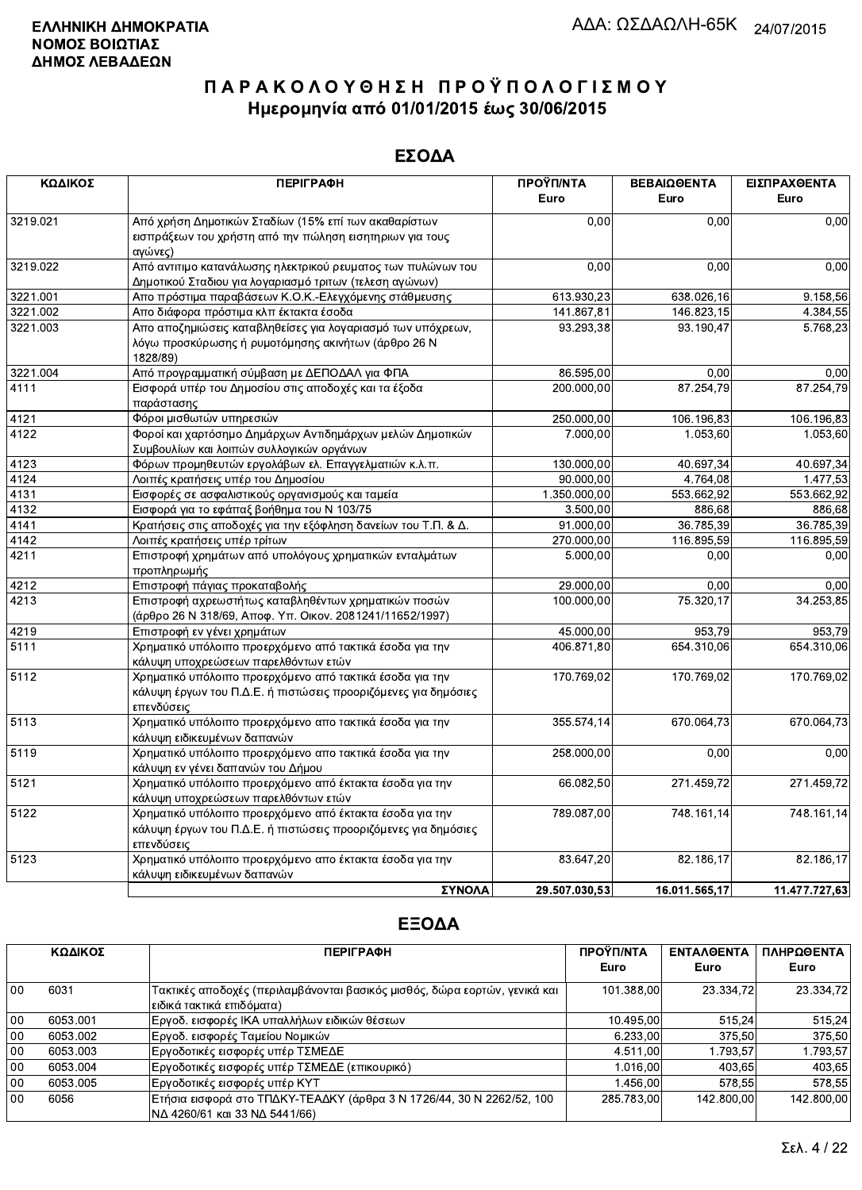### ΕΣΟΔΑ

| ΚΩΔΙΚΟΣ  | <b>ПЕРІГРАФН</b>                                               | ΠΡΟΫΠ/ΝΤΑ               | ΒΕΒΑΙΩΘΕΝΤΑ   | ΕΙΣΠΡΑΧΘΕΝΤΑ  |
|----------|----------------------------------------------------------------|-------------------------|---------------|---------------|
|          |                                                                | Euro                    | Euro          | Euro          |
| 3219.021 | Από χρήση Δημοτικών Σταδίων (15% επί των ακαθαρίστων           | 0.00                    | 0.00          | 0,00          |
|          | εισπράξεων του χρήστη από την πώληση εισητηριων για τους       |                         |               |               |
|          | αγώνες)                                                        |                         |               |               |
| 3219.022 | Από αντιτιμο κατανάλωσης ηλεκτρικού ρευματος των πυλώνων του   | 0,00                    | 0,00          | 0,00          |
|          | Δημοτικού Σταδιου για λογαριασμό τριτων (τελεση αγώνων)        |                         |               |               |
| 3221.001 | Απο πρόστιμα παραβάσεων Κ.Ο.Κ.-Ελεγχόμενης στάθμευσης          | 613.930,23              | 638.026,16    | 9.158,56      |
| 3221.002 | Απο διάφορα πρόστιμα κλπ έκτακτα έσοδα                         | 141.867,81              | 146.823,15    | 4.384,55      |
| 3221.003 | Απο αποζημιώσεις καταβληθείσες για λογαριασμό των υπόχρεων,    | 93.293,38               | 93.190,47     | 5.768,23      |
|          | λόγω προσκύρωσης ή ρυμοτόμησης ακινήτων (άρθρο 26 Ν            |                         |               |               |
|          | 1828/89)                                                       |                         |               |               |
| 3221.004 | Από προγραμματική σύμβαση με ΔΕΠΟΔΑΛ για ΦΠΑ                   | 86.595,00               | 0,00          | 0,00          |
| 4111     | Εισφορά υπέρ του Δημοσίου στις αποδοχές και τα έξοδα           | 200.000,00              | 87.254,79     | 87.254,79     |
|          | παράστασης                                                     |                         |               |               |
| 4121     | Φόροι μισθωτών υπηρεσιών                                       | $\overline{250.000,00}$ | 106.196,83    | 106.196,83    |
| 4122     | Φοροί και χαρτόσημο Δημάρχων Αντιδημάρχων μελών Δημοτικών      | $\overline{7.000,00}$   | 1.053,60      | 1.053,60      |
|          | Συμβουλίων και λοιπών συλλογικών οργάνων                       |                         |               |               |
| 4123     | Φόρων προμηθευτών εργολάβων ελ. Επαγγελματιών κ.λ.π.           | 130.000,00              | 40.697,34     | 40.697,34     |
| 4124     | Λοιπές κρατήσεις υπέρ του Δημοσίου                             | 90.000,00               | 4.764,08      | 1.477,53      |
| 4131     | Εισφορές σε ασφαλιστικούς οργανισμούς και ταμεία               | 1.350.000,00            | 553.662,92    | 553.662,92    |
| 4132     | Εισφορά για το εφάπαξ βοήθημα του Ν 103/75                     | 3.500,00                | 886,68        | 886,68        |
| 4141     | Κρατήσεις στις αποδοχές για την εξόφληση δανείων του Τ.Π. & Δ. | 91.000,00               | 36.785,39     | 36.785.39     |
| 4142     | Λοιπές κρατήσεις υπέρ τρίτων                                   | 270.000,00              | 116.895,59    | 116.895,59    |
| 4211     | Επιστροφή χρημάτων από υπολόγους χρηματικών ενταλμάτων         | 5.000,00                | 0,00          | 0,00          |
|          | προπληρωμής                                                    |                         |               |               |
| 4212     | Επιστροφή πάγιας προκαταβολής                                  | 29.000,00               | 0,00          | 0,00          |
| 4213     | Επιστροφή αχρεωστήτως καταβληθέντων χρηματικών ποσών           | 100.000,00              | 75.320,17     | 34.253,85     |
|          | (άρθρο 26 Ν 318/69, Αποφ. Υπ. Οικον. 2081241/11652/1997)       |                         |               |               |
| 4219     | Επιστροφή εν γένει χρημάτων                                    | 45.000,00               | 953,79        | 953,79        |
| 5111     | Χρηματικό υπόλοιπο προερχόμενο από τακτικά έσοδα για την       | 406.871,80              | 654.310,06    | 654.310,06    |
|          | κάλυψη υποχρεώσεων παρελθόντων ετών                            |                         |               |               |
| 5112     | Χρηματικό υπόλοιπο προερχόμενο από τακτικά έσοδα για την       | 170.769,02              | 170.769,02    | 170.769,02    |
|          | κάλυψη έργων του Π.Δ.Ε. ή πιστώσεις προοριζόμενες για δημόσιες |                         |               |               |
|          | επενδύσεις                                                     |                         |               |               |
| 5113     | Χρηματικό υπόλοιπο προερχόμενο απο τακτικά έσοδα για την       | 355.574,14              | 670.064,73    | 670.064,73    |
|          | κάλυψη ειδικευμένων δαπανών                                    |                         |               |               |
| 5119     | Χρηματικό υπόλοιπο προερχόμενο απο τακτικά έσοδα για την       | 258.000,00              | 0,00          | 0,00          |
|          | κάλυψη εν γένει δαπανών του Δήμου                              |                         |               |               |
| 5121     | Χρηματικό υπόλοιπο προερχόμενο από έκτακτα έσοδα για την       | 66.082,50               | 271.459,72    | 271.459,72    |
|          | κάλυψη υποχρεώσεων παρελθόντων ετών                            |                         |               |               |
| 5122     | Χρηματικό υπόλοιπο προερχόμενο από έκτακτα έσοδα για την       | 789.087,00              | 748.161,14    | 748.161,14    |
|          | κάλυψη έργων του Π.Δ.Ε. ή πιστώσεις προοριζόμενες για δημόσιες |                         |               |               |
|          | επενδύσεις                                                     |                         |               |               |
| 5123     | Χρηματικό υπόλοιπο προερχόμενο απο έκτακτα έσοδα για την       | 83.647,20               | 82.186,17     | 82.186,17     |
|          | κάλυψη ειδικευμένων δαπανών                                    |                         |               |               |
|          | ΣΥΝΟΛΑ                                                         | 29.507.030.53           | 16.011.565,17 | 11.477.727,63 |

|        | ΚΩΔΙΚΟΣ  | <b>ПЕРІГРАФН</b>                                                           | ΠΡΟΫΠ/ΝΤΑ  | <b>ENTAA@ENTA</b> | ΠΛΗΡΩΘΕΝΤΑ |
|--------|----------|----------------------------------------------------------------------------|------------|-------------------|------------|
|        |          |                                                                            | Euro       | Euro              | Euro       |
| $00\,$ | 6031     | Τακτικές αποδοχές (περιλαμβάνονται βασικός μισθός, δώρα εορτών, γενικά και | 101.388.00 | 23.334.72         | 23.334.72  |
|        |          | ειδικά τακτικά επιδόματα)                                                  |            |                   |            |
| 00     | 6053.001 | Εργοδ. εισφορές ΙΚΑ υπαλλήλων ειδικών θέσεων                               | 10.495,00  | 515.24            | 515,24     |
| $00\,$ | 6053.002 | Εργοδ. εισφορές Ταμείου Νομικών                                            | 6.233.00   | 375.50            | 375.50     |
| 00     | 6053.003 | Εργοδοτικές εισφορές υπέρ ΤΣΜΕΔΕ                                           | 4.511.00   | 1.793.57          | 1.793,57   |
| 00     | 6053.004 | Εργοδοτικές εισφορές υπέρ ΤΣΜΕΔΕ (επικουρικό)                              | 1.016.00   | 403.65            | 403,65     |
| 00     | 6053.005 | Εργοδοτικές εισφορές υπέρ ΚΥΤ                                              | 1.456.00   | 578.55            | 578.55     |
| 00     | 6056     | Ετήσια εισφορά στο ΤΠΔΚΥ-ΤΕΑΔΚΥ (άρθρα 3 Ν 1726/44, 30 Ν 2262/52, 100      | 285.783,00 | 142.800.00        | 142.800,00 |
|        |          | ΝΔ 4260/61 και 33 ΝΔ 5441/66)                                              |            |                   |            |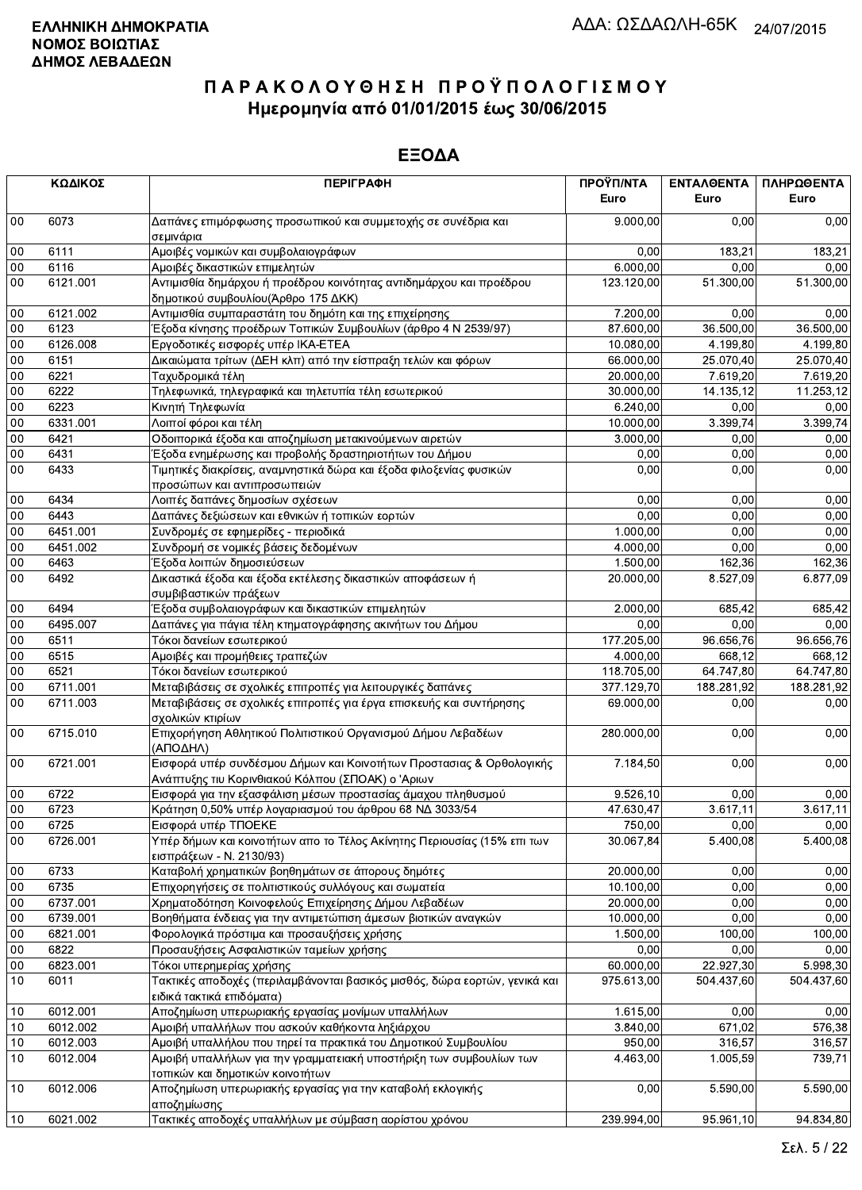|           | ΚΩΔΙΚΟΣ  | <b>ПЕРІГРАФН</b>                                                                                                          | ΠΡΟΫΠ/ΝΤΑ<br>Euro | ΕΝΤΑΛΘΕΝΤΑ<br>Euro | ΠΛΗΡΩΘΕΝΤΑ<br>Euro |
|-----------|----------|---------------------------------------------------------------------------------------------------------------------------|-------------------|--------------------|--------------------|
| $00\,$    | 6073     | Δαπάνες επιμόρφωσης προσωπικού και συμμετοχής σε συνέδρια και<br>σεμινάρια                                                | 9.000,00          | 0.00               | 0,00               |
| $00\,$    | 6111     | Αμοιβές νομικών και συμβολαιογράφων                                                                                       | 0,00              | 183,21             | 183,21             |
| 00        | 6116     | Αμοιβές δικαστικών επιμελητών                                                                                             | 6.000,00          | 0,00               | 0,00               |
| 00        | 6121.001 | Αντιμισθία δημάρχου ή προέδρου κοινότητας αντιδημάρχου και προέδρου<br>δημοτικού συμβουλίου(Άρθρο 175 ΔΚΚ)                | 123.120,00        | 51.300,00          | 51.300,00          |
| 00        | 6121.002 | Αντιμισθία συμπαραστάτη του δημότη και της επιχείρησης                                                                    | 7.200,00          | 0,00               | 0,00               |
| 00        | 6123     | Έξοδα κίνησης προέδρων Τοπικών Συμβουλίων (άρθρο 4 Ν 2539/97)                                                             | 87.600,00         | 36.500,00          | 36.500,00          |
| 00        | 6126.008 | Εργοδοτικές εισφορές υπέρ ΙΚΑ-ΕΤΕΑ                                                                                        | 10.080,00         | 4.199,80           | 4.199,80           |
| 00        | 6151     | Δικαιώματα τρίτων (ΔΕΗ κλπ) από την είσπραξη τελών και φόρων                                                              | 66.000,00         | 25.070,40          | 25.070,40          |
| $00\,$    | 6221     | Ταχυδρομικά τέλη                                                                                                          | 20.000,00         | 7.619,20           | 7.619,20           |
| 00        | 6222     | Τηλεφωνικά, τηλεγραφικά και τηλετυπία τέλη εσωτερικού                                                                     | 30.000,00         | 14.135,12          | 11.253,12          |
| 00        | 6223     | Κινητή Τηλεφωνία                                                                                                          | 6.240,00          | 0,00               | 0,00               |
| 00        | 6331.001 | Λοιποί φόροι και τέλη                                                                                                     | 10.000,00         | 3.399,74           | 3.399,74           |
| 00        | 6421     | Οδοιπορικά έξοδα και αποζημίωση μετακινούμενων αιρετών                                                                    | 3.000,00          | 0,00               | 0,00               |
| 00        | 6431     | Έξοδα ενημέρωσης και προβολής δραστηριοτήτων του Δήμου                                                                    | 0,00              | 0,00               | 0,00               |
| 00        | 6433     | Τιμητικές διακρίσεις, αναμνηστικά δώρα και έξοδα φιλοξενίας φυσικών<br>προσώπων και αντιπροσωπειών                        | 0,00              | 0,00               | 0,00               |
| 00        | 6434     | Λοιπές δαπάνες δημοσίων σχέσεων                                                                                           | 0,00              | 0,00               | 0,00               |
| $00\,$    | 6443     | Δαπάνες δεξιώσεων και εθνικών ή τοπικών εορτών                                                                            | 0,00              | 0.00               | 0,00               |
| 00        | 6451.001 | Συνδρομές σε εφημερίδες - περιοδικά                                                                                       | 1.000,00          | 0,00               | 0,00               |
| 00        | 6451.002 | Συνδρομή σε νομικές βάσεις δεδομένων                                                                                      | 4.000,00          | 0,00               | 0,00               |
| 00        | 6463     | Έξοδα λοιπών δημοσιεύσεων                                                                                                 | 1.500,00          | 162,36             | 162,36             |
| 00        | 6492     | Δικαστικά έξοδα και έξοδα εκτέλεσης δικαστικών αποφάσεων ή<br>συμβιβαστικών πράξεων                                       | 20.000,00         | 8.527,09           | 6.877,09           |
| 00        | 6494     | Έξοδα συμβολαιογράφων και δικαστικών επιμελητών                                                                           | 2.000,00          | 685,42             | 685,42             |
| 00        | 6495.007 | Δαπάνες για πάγια τέλη κτηματογράφησης ακινήτων του Δήμου                                                                 | 0,00              | 0.00               | 0,00               |
| 00        | 6511     | Τόκοι δανείων εσωτερικού                                                                                                  | 177.205,00        | 96.656,76          | 96.656,76          |
| 00        | 6515     | Αμοιβές και προμήθειες τραπεζών                                                                                           | 4.000,00          | 668,12             | 668,12             |
| 00        | 6521     | Τόκοι δανείων εσωτερικού                                                                                                  | 118.705,00        | 64.747,80          | 64.747,80          |
| 00        | 6711.001 | Μεταβιβάσεις σε σχολικές επιτροπές για λειτουργικές δαπάνες                                                               | 377.129,70        | 188.281,92         | 188.281,92         |
| 00        | 6711.003 | Μεταβιβάσεις σε σχολικές επιτροπές για έργα επισκευής και συντήρησης<br>σχολικών κτιρίων                                  | 69.000,00         | 0,00               | 0,00               |
| $00\,$    | 6715.010 | Επιχορήγηση Αθλητικού Πολιτιστικού Οργανισμού Δήμου Λεβαδέων<br>(ΑΠΟΔΗΛ)                                                  | 280.000,00        | 0,00               | 0,00               |
| $00\,$    | 6721.001 | Εισφορά υπέρ συνδέσμου Δήμων και Κοινοτήτων Προστασιας & Ορθολογικής<br>Ανάπτυξης τιυ Κορινθιακού Κόλπου (ΣΠΟΑΚ) ο 'Αριων | 7.184,50          | 0,00               | 0,00               |
| 00        | 6722     | Εισφορά για την εξασφάλιση μέσων προστασίας άμαχου πληθυσμού                                                              | 9.526, 10         | 0,00               | 0,00               |
| 00        | 6723     | Κράτηση 0,50% υπέρ λογαριασμού του άρθρου 68 ΝΔ 3033/54                                                                   | 47.630,47         | 3.617,11           | 3.617,11           |
| <b>υυ</b> | 6725     | Εισφορά υπέρ ΤΠΟΕΚΕ                                                                                                       | 750,00            | 0,00               | 0,00               |
| 00        | 6726.001 | Υπέρ δήμων και κοινοτήτων απο το Τέλος Ακίνητης Περιουσίας (15% επι των<br>εισπράξεων - Ν. 2130/93)                       | 30.067,84         | 5.400.08           | 5.400,08           |
| 00        | 6733     | Καταβολή χρηματικών βοηθημάτων σε άπορους δημότες                                                                         | 20.000,00         | 0,00               | 0,00               |
| 00        | 6735     | Επιχορηγήσεις σε πολιτιστικούς συλλόγους και σωματεία                                                                     | 10.100,00         | 0,00               | 0,00               |
| $00\,$    | 6737.001 | Χρηματοδότηση Κοινοφελούς Επιχείρησης Δήμου Λεβαδέων                                                                      | 20.000,00         | 0,00               | 0,00               |
| 00        | 6739.001 | Βοηθήματα ένδειας για την αντιμετώπιση άμεσων βιοτικών αναγκών                                                            | 10.000,00         | 0,00               | 0,00               |
| 00        | 6821.001 | Φορολογικά πρόστιμα και προσαυξήσεις χρήσης                                                                               | 1.500,00          | 100,00             | 100,00             |
| $00\,$    | 6822     | Προσαυξήσεις Ασφαλιστικών ταμείων χρήσης                                                                                  | 0,00              | 0,00               | 0,00               |
| $00\,$    | 6823.001 | Τόκοι υπερημερίας χρήσης                                                                                                  | 60.000,00         | 22.927,30          | 5.998,30           |
| 10        | 6011     | Τακτικές αποδοχές (περιλαμβάνονται βασικός μισθός, δώρα εορτών, γενικά και<br>ειδικά τακτικά επιδόματα)                   | 975.613,00        | 504.437,60         | 504.437,60         |
| 10        | 6012.001 | Αποζημίωση υπερωριακής εργασίας μονίμων υπαλλήλων                                                                         | 1.615,00          | 0,00               | 0,00               |
| 10        | 6012.002 | Αμοιβή υπαλλήλων που ασκούν καθήκοντα ληξιάρχου                                                                           | 3.840,00          | 671,02             | 576,38             |
| 10        | 6012.003 | Αμοιβή υπαλλήλου που τηρεί τα πρακτικά του Δημοτικού Συμβουλίου                                                           | 950,00            | 316,57             | 316,57             |
| 10        | 6012.004 | Αμοιβή υπαλλήλων για την γραμματειακή υποστήριξη των συμβουλίων των<br>τοπικών και δημοτικών κοινοτήτων                   | 4.463,00          | 1.005,59           | 739,71             |
| 10        | 6012.006 | Αποζημίωση υπερωριακής εργασίας για την καταβολή εκλογικής<br>αποζημίωσης                                                 | 0,00              | 5.590,00           | 5.590,00           |
| 10        | 6021.002 | Τακτικές αποδοχές υπαλλήλων με σύμβαση αορίστου χρόνου                                                                    | 239.994,00        | 95.961,10          | 94.834,80          |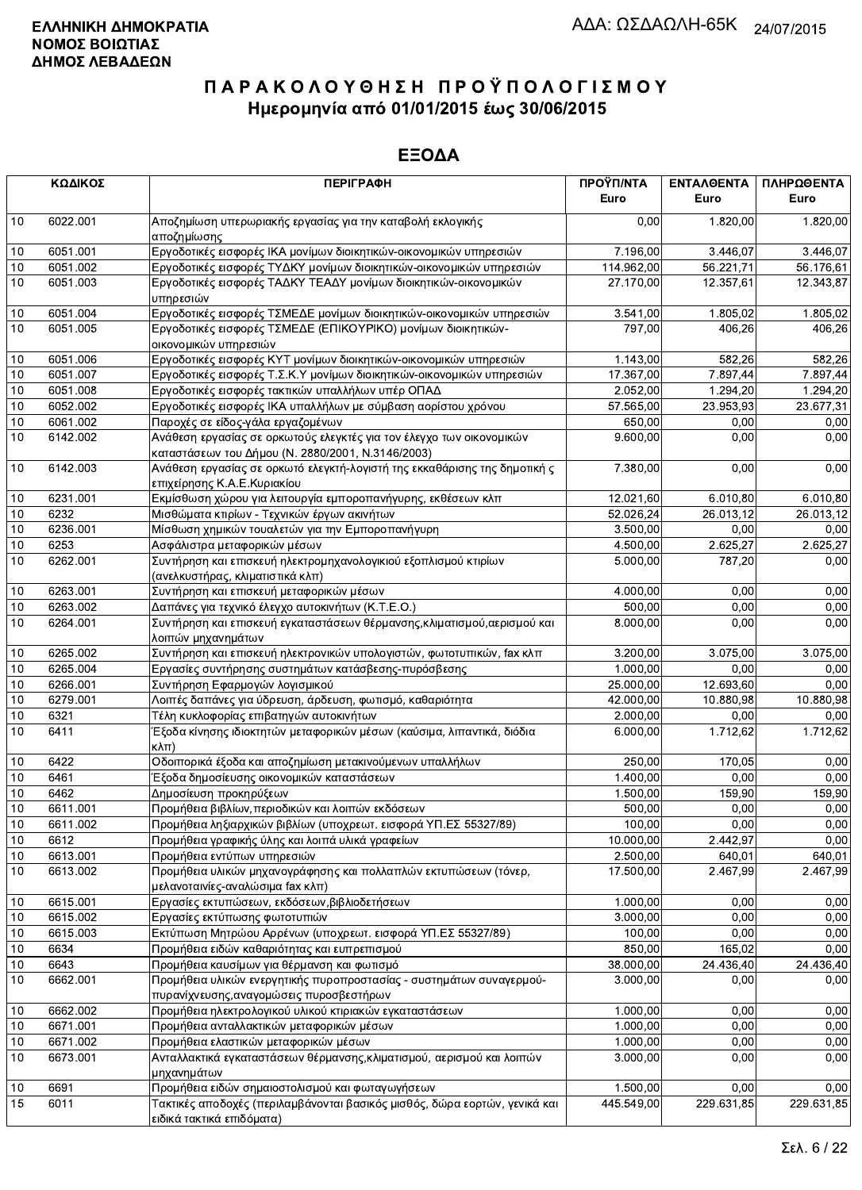|                 | ΚΩΔΙΚΟΣ  | <b>ПЕРІГРАФН</b>                                                                                                          | ΠΡΟΫΠ/ΝΤΑ<br>Euro | ΕΝΤΑΛΘΕΝΤΑ<br>Euro | ΠΛΗΡΩΘΕΝΤΑ<br>Euro |
|-----------------|----------|---------------------------------------------------------------------------------------------------------------------------|-------------------|--------------------|--------------------|
| 10              | 6022.001 | Αποζημίωση υπερωριακής εργασίας για την καταβολή εκλογικής<br>αποζημίωσης                                                 | 0,00              | 1.820,00           | 1.820,00           |
| 10              | 6051.001 | Εργοδοτικές εισφορές ΙΚΑ μονίμων διοικητικών-οικονομικών υπηρεσιών                                                        | 7.196,00          | 3.446,07           | 3.446,07           |
| 10              | 6051.002 | Εργοδοτικές εισφορές ΤΥΔΚΥ μονίμων διοικητικών-οικονομικών υπηρεσιών                                                      | 114.962,00        | 56.221,71          | 56.176,61          |
| 10              | 6051.003 | Εργοδοτικές εισφορές ΤΑΔΚΥ ΤΕΑΔΥ μονίμων διοικητικών-οικονομικών<br>υπηρεσιών                                             | 27.170,00         | 12.357,61          | 12.343,87          |
| 10              | 6051.004 | Εργοδοτικές εισφορές ΤΣΜΕΔΕ μονίμων διοικητικών-οικονομικών υπηρεσιών                                                     | 3.541,00          | 1.805.02           | 1.805,02           |
| 10              | 6051.005 | Εργοδοτικές εισφορές ΤΣΜΕΔΕ (ΕΠΙΚΟΥΡΙΚΟ) μονίμων διοικητικών-<br>οικονομικών υπηρεσιών                                    | 797,00            | 406,26             | 406,26             |
| 10              | 6051.006 | Εργοδοτικές εισφορές ΚΥΤ μονίμων διοικητικών-οικονομικών υπηρεσιών                                                        | 1.143,00          | 582,26             | 582,26             |
| $10$            | 6051.007 | Εργοδοτικές εισφορές Τ.Σ.Κ.Υ μονίμων διοικητικών-οικονομικών υπηρεσιών                                                    | 17.367,00         | 7.897,44           | 7.897,44           |
| 10              | 6051.008 | Εργοδοτικές εισφορές τακτικών υπαλλήλων υπέρ ΟΠΑΔ                                                                         | 2.052,00          | 1.294,20           | 1.294,20           |
| 10              | 6052.002 | Εργοδοτικές εισφορές ΙΚΑ υπαλλήλων με σύμβαση αορίστου χρόνου                                                             | 57.565,00         | 23.953,93          | 23.677,31          |
| 10              | 6061.002 | Παροχές σε είδος-γάλα εργαζομένων                                                                                         | 650,00            | 0,00               | 0,00               |
| 10              | 6142.002 | Ανάθεση εργασίας σε ορκωτούς ελεγκτές για τον έλεγχο των οικονομικών<br>καταστάσεων του Δήμου (Ν. 2880/2001, Ν.3146/2003) | 9.600,00          | 0,00               | 0,00               |
| $10$            | 6142.003 | Ανάθεση εργασίας σε ορκωτό ελεγκτή-λογιστή της εκκαθάρισης της δημοτική ς<br>επιχείρησης Κ.Α.Ε.Κυριακίου                  | 7.380,00          | 0,00               | 0,00               |
| 10              | 6231.001 | Εκμίσθωση χώρου για λειτουργία εμποροπανήγυρης, εκθέσεων κλπ                                                              | 12.021,60         | 6.010,80           | 6.010,80           |
| $10$            | 6232     | Μισθώματα κτιρίων - Τεχνικών έργων ακινήτων                                                                               | 52.026,24         | 26.013,12          | 26.013,12          |
| 10              | 6236.001 | Μίσθωση χημικών τουαλετών για την Εμποροπανήγυρη                                                                          | 3.500,00          | 0,00               | 0,00               |
| 10              | 6253     | Ασφάλιστρα μεταφορικών μέσων                                                                                              | 4.500,00          | 2.625,27           | 2.625,27           |
| 10              | 6262.001 | Συντήρηση και επισκευή ηλεκτρομηχανολογικιού εξοπλισμού κτιρίων<br>(ανελκυστήρας, κλιματιστικά κλπ)                       | 5.000,00          | 787,20             | 0,00               |
| $10\,$          | 6263.001 | Συντήρηση και επισκευή μεταφορικών μέσων                                                                                  | 4.000,00          | 0,00               | 0,00               |
| 10              | 6263.002 | Δαπάνες για τεχνικό έλεγχο αυτοκινήτων (Κ.Τ.Ε.Ο.)                                                                         | 500,00            | 0.00               | 0,00               |
| 10              | 6264.001 | Συντήρηση και επισκευή εγκαταστάσεων θέρμανσης, κλιματισμού, αερισμού και<br>λοιπών μηχανημάτων                           | 8.000,00          | 0,00               | 0,00               |
| $10$            | 6265.002 | Συντήρηση και επισκευή ηλεκτρονικών υπολογιστών, φωτοτυπικών, fax κλπ                                                     | 3.200,00          | 3.075,00           | 3.075,00           |
| 10              | 6265.004 | Εργασίες συντήρησης συστημάτων κατάσβεσης-πυρόσβεσης                                                                      | 1.000,00          | 0,00               | 0,00               |
| 10              | 6266.001 | Συντήρηση Εφαρμογών λογισμικού                                                                                            | 25.000,00         | 12.693,60          | 0,00               |
| 10              | 6279.001 | Λοιπές δαπάνες για ύδρευση, άρδευση, φωτισμό, καθαριότητα                                                                 | 42.000,00         | 10.880,98          | 10.880,98          |
| 10              | 6321     | Τέλη κυκλοφορίας επιβατηγών αυτοκινήτων                                                                                   | 2.000,00          | 0,00               | 0,00               |
| $\overline{10}$ | 6411     | Έξοδα κίνησης ιδιοκτητών μεταφορικών μέσων (καύσιμα, λιπαντικά, διόδια<br>$K\lambda\pi$ )                                 | 6.000,00          | 1.712,62           | 1.712,62           |
| 10              | 6422     | Οδοιπορικά έξοδα και αποζημίωση μετακινούμενων υπαλλήλων                                                                  | 250,00            | 170,05             | 0,00               |
| 10              | 6461     | Έξοδα δημοσίευσης οικονομικών καταστάσεων                                                                                 | 1.400,00          | 0,00               | 0,00               |
| 10              | 6462     | Δημοσίευση προκηρύξεων                                                                                                    | 1.500,00          | 159,90             | 159,90             |
| 10              | 6611.001 | Προμήθεια βιβλίων, περιοδικών και λοιπών εκδόσεων                                                                         | 500,00            | 0,00               | 0,00               |
| $10\,$          | 6611.002 | Προμήθεια ληξιαρχικών βιβλίων (υποχρεωτ. εισφορά ΥΠ.ΕΣ 55327/89)                                                          | 100,00            | 0,00               | 0,00               |
| 10              | 6612     | Προμήθεια γραφικής ύλης και λοιπά υλικά γραφείων                                                                          | 10.000,00         | 2.442,97           | 0,00               |
| 10              | 6613.001 | Προμήθεια εντύπων υπηρεσιών                                                                                               | 2.500,00          | 640,01             | 640,01             |
| $10$            | 6613.002 | Προμήθεια υλικών μηχανογράφησης και πολλαπλών εκτυπώσεων (τόνερ,<br>μελανοταινίες-αναλώσιμα fax κλπ)                      | 17.500,00         | 2.467,99           | 2.467,99           |
| $10$            | 6615.001 | Εργασίες εκτυπώσεων, εκδόσεων, βιβλιοδετήσεων                                                                             | 1.000,00          | 0,00               | 0,00               |
| 10              | 6615.002 | Εργασίες εκτύπωσης φωτοτυπιών                                                                                             | 3.000,00          | 0,00               | 0,00               |
| 10              | 6615.003 | Εκτύπωση Μητρώου Αρρένων (υποχρεωτ. εισφορά ΥΠ.ΕΣ 55327/89)                                                               | 100,00            | 0,00               | 0,00               |
| 10              | 6634     | Προμήθεια ειδών καθαριότητας και ευπρεπισμού                                                                              | 850,00            | 165,02             | 0,00               |
| 10              | 6643     | Προμήθεια καυσίμων για θέρμανση και φωτισμό                                                                               | 38.000,00         | 24.436,40          | 24.436,40          |
| 10              | 6662.001 | Προμήθεια υλικών ενεργητικής πυροπροστασίας - συστημάτων συναγερμού-<br>πυρανίχνευσης, αναγομώσεις πυροσβεστήρων          | 3.000,00          | 0,00               | 0,00               |
| 10              | 6662.002 | Προμήθεια ηλεκτρολογικού υλικού κτιριακών εγκαταστάσεων                                                                   | 1.000,00          | 0.00               | 0,00               |
| 10              | 6671.001 | Προμήθεια ανταλλακτικών μεταφορικών μέσων                                                                                 | 1.000,00          | 0,00               | 0,00               |
| 10              | 6671.002 | Προμήθεια ελαστικών μεταφορικών μέσων                                                                                     | 1.000,00          | 0,00               | 0,00               |
| 10              | 6673.001 | Ανταλλακτικά εγκαταστάσεων θέρμανσης, κλιματισμού, αερισμού και λοιπών<br>μηχανημάτων                                     | 3.000,00          | 0,00               | 0,00               |
| 10              | 6691     | Προμήθεια ειδών σημαιοστολισμού και φωταγωγήσεων                                                                          | 1.500,00          | 0,00               | 0,00               |
| 15              | 6011     | Τακτικές αποδοχές (περιλαμβάνονται βασικός μισθός, δώρα εορτών, γενικά και<br>ειδικά τακτικά επιδόματα)                   | 445.549,00        | 229.631,85         | 229.631,85         |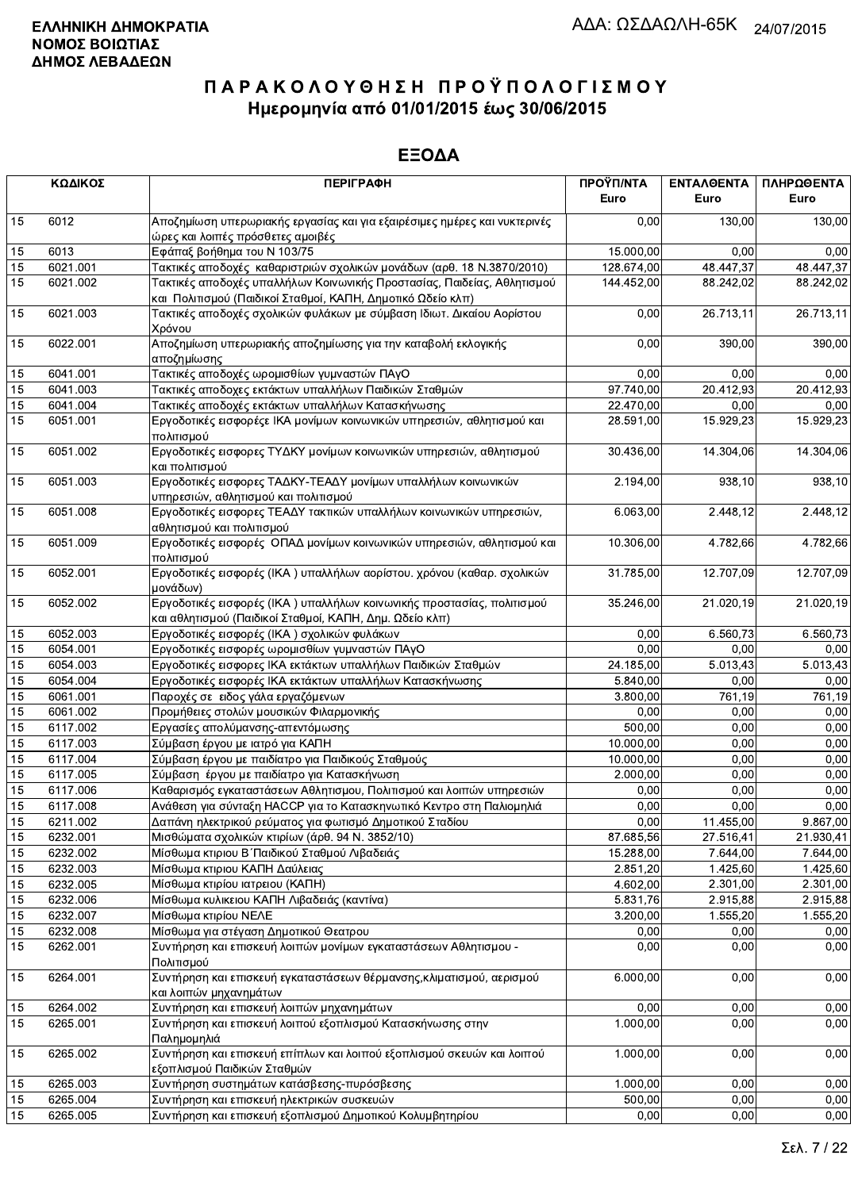|    | ΚΩΔΙΚΟΣ  | <b>ПЕРІГРАФН</b>                                                                                                                  | ΠΡΟΫΠ/ΝΤΑ<br>Euro | <b>ENTAA@ENTA</b><br>Euro | ΠΛΗΡΩΘΕΝΤΑ<br>Euro |
|----|----------|-----------------------------------------------------------------------------------------------------------------------------------|-------------------|---------------------------|--------------------|
| 15 | 6012     | Αποζημίωση υπερωριακής εργασίας και για εξαιρέσιμες ημέρες και νυκτερινές<br>ώρες και λοιπές πρόσθετες αμοιβές                    | 0,00              | 130,00                    | 130,00             |
| 15 | 6013     | Εφάπαξ βοήθημα του Ν 103/75                                                                                                       | 15.000,00         | 0.00                      | 0,00               |
| 15 | 6021.001 | Τακτικές αποδοχές καθαριστριών σχολικών μονάδων (αρθ. 18 Ν.3870/2010)                                                             | 128.674,00        | 48.447,37                 | 48.447,37          |
| 15 | 6021.002 | Τακτικές αποδοχές υπαλλήλων Κοινωνικής Προστασίας, Παιδείας, Αθλητισμού                                                           | 144.452,00        | 88.242,02                 | 88.242,02          |
|    |          | και Πολιτισμού (Παιδικοί Σταθμοί, ΚΑΠΗ, Δημοτικό Ωδείο κλπ)                                                                       |                   |                           |                    |
| 15 | 6021.003 | Τακτικές αποδοχές σχολικών φυλάκων με σύμβαση Ιδιωτ. Δικαίου Αορίστου<br>Χρόνου                                                   | 0,00              | 26.713,11                 | 26.713,11          |
| 15 | 6022.001 | Αποζημίωση υπερωριακής αποζημίωσης για την καταβολή εκλογικής<br>αποζημίωσης                                                      | 0,00              | 390,00                    | 390,00             |
| 15 | 6041.001 | Τακτικές αποδοχές ωρομισθίων γυμναστών ΠΑγΟ                                                                                       | 0,00              | 0,00                      | 0,00               |
| 15 | 6041.003 | Τακτικές αποδοχες εκτάκτων υπαλλήλων Παιδικών Σταθμών                                                                             | 97.740,00         | 20.412,93                 | 20.412,93          |
| 15 | 6041.004 | Τακτικές αποδοχές εκτάκτων υπαλλήλων Κατασκήνωσης                                                                                 | 22.470,00         | 0,00                      | 0,00               |
| 15 | 6051.001 | Εργοδοτικές εισφορέςε ΙΚΑ μονίμων κοινωνικών υπηρεσιών, αθλητισμού και<br>πολιτισμού                                              | 28.591,00         | 15.929,23                 | 15.929,23          |
| 15 | 6051.002 | Εργοδοτικές εισφορες ΤΥΔΚΥ μονίμων κοινωνικών υπηρεσιών, αθλητισμού<br>και πολιτισμού                                             | 30.436,00         | 14.304,06                 | 14.304,06          |
| 15 | 6051.003 | Εργοδοτικές εισφορες ΤΑΔΚΥ-ΤΕΑΔΥ μονίμων υπαλλήλων κοινωνικών<br>υπηρεσιών, αθλητισμού και πολιτισμού                             | 2.194,00          | 938.10                    | 938,10             |
| 15 | 6051.008 | Εργοδοτικές εισφορες ΤΕΑΔΥ τακτικών υπαλλήλων κοινωνικών υπηρεσιών,<br>αθλητισμού και πολιτισμού                                  | 6.063,00          | 2.448,12                  | 2.448,12           |
| 15 | 6051.009 | Εργοδοτικές εισφορές ΟΠΑΔ μονίμων κοινωνικών υπηρεσιών, αθλητισμού και<br>πολιτισμού                                              | 10.306,00         | 4.782,66                  | 4.782,66           |
| 15 | 6052.001 | Εργοδοτικές εισφορές (ΙΚΑ) υπαλλήλων αορίστου. χρόνου (καθαρ. σχολικών<br>μονάδων)                                                | 31.785,00         | 12.707,09                 | 12.707,09          |
| 15 | 6052.002 | Εργοδοτικές εισφορές (ΙΚΑ) υπαλλήλων κοινωνικής προστασίας, πολιτισμού<br>και αθλητισμού (Παιδικοί Σταθμοί, ΚΑΠΗ, Δημ. Ωδείο κλπ) | 35.246,00         | 21.020,19                 | 21.020,19          |
| 15 | 6052.003 | Εργοδοτικές εισφορές (ΙΚΑ) σχολικών φυλάκων                                                                                       | 0,00              | 6.560,73                  | 6.560,73           |
| 15 | 6054.001 | Εργοδοτικές εισφορές ωρομισθίων γυμναστών ΠΑγΟ                                                                                    | 0,00              | 0,00                      | 0,00               |
| 15 | 6054.003 | Εργοδοτικές εισφορες ΙΚΑ εκτάκτων υπαλλήλων Παιδικών Σταθμών                                                                      | 24.185,00         | 5.013,43                  | 5.013,43           |
| 15 | 6054.004 | Εργοδοτικές εισφορές ΙΚΑ εκτάκτων υπαλλήλων Κατασκήνωσης                                                                          | 5.840,00          | 0,00                      | 0,00               |
| 15 | 6061.001 | Παροχές σε ειδος γάλα εργαζόμενων                                                                                                 | 3.800,00          | 761,19                    | 761,19             |
| 15 | 6061.002 | Προμήθειες στολών μουσικών Φιλαρμονικής                                                                                           | 0,00              | 0.00                      | 0,00               |
| 15 | 6117.002 | Εργασίες απολύμανσης-απεντόμωσης                                                                                                  | 500,00            | 0,00                      | 0,00               |
| 15 | 6117.003 | Σύμβαση έργου με ιατρό για ΚΑΠΗ                                                                                                   | 10.000,00         | 0.00                      | 0,00               |
| 15 | 6117.004 | Σύμβαση έργου με παιδίατρο για Παιδικούς Σταθμούς                                                                                 | 10.000,00         | 0,00                      | 0,00               |
| 15 | 6117.005 | Σύμβαση έργου με παιδίατρο για Κατασκήνωση                                                                                        | 2.000,00          | 0,00                      | 0,00               |
| 15 | 6117.006 | Καθαρισμός εγκαταστάσεων Αθλητισμου, Πολιτισμού και λοιπών υπηρεσιών                                                              | 0.00              | 0,00                      | 0,00               |
| 15 | 6117.008 | Ανάθεση για σύνταξη ΗΑCCP για το Κατασκηνωτικό Κεντρο στη Παλιομηλιά                                                              | 0,00              | 0,00                      | 0,00               |
| 15 | 6211.002 | Δαπάνη ηλεκτρικού ρεύματος για φωτισμό Δημοτικού Σταδίου                                                                          | 0,00              | 11.455,00                 | 9.867,00           |
| 15 | 6232.001 | Μισθώματα σχολικών κτιρίων (άρθ. 94 Ν. 3852/10)                                                                                   | 87.685,56         | 27.516,41                 | 21.930,41          |
| 15 | 6232.002 | Μίσθωμα κτιριου Β΄ Παιδικού Σταθμού Λιβαδειάς                                                                                     | 15.288,00         | 7.644,00                  | 7.644,00           |
| 15 | 6232.003 | Μίσθωμα κτιριου ΚΑΠΗ Δαύλειας                                                                                                     | 2.851,20          | 1.425,60                  | 1.425,60           |
| 15 | 6232.005 | Μίσθωμα κτιρίου ιατρειου (ΚΑΠΗ)                                                                                                   | 4.602,00          | 2.301,00                  | 2.301,00           |
| 15 | 6232.006 | Μίσθωμα κυλικειου ΚΑΠΗ Λιβαδειάς (καντίνα)                                                                                        | 5.831,76          | 2.915,88                  | 2.915,88           |
| 15 | 6232.007 | Μίσθωμα κτιρίου ΝΕΛΕ                                                                                                              | 3.200,00          | 1.555,20                  | 1.555,20           |
| 15 | 6232.008 | Μίσθωμα για στέγαση Δημοτικού Θεατρου                                                                                             | 0,00              | 0,00                      | 0,00               |
| 15 | 6262.001 | Συντήρηση και επισκευή λοιπών μονίμων εγκαταστάσεων Αθλητισμου -<br>Πολιτισμού                                                    | 0,00              | 0,00                      | 0,00               |
| 15 | 6264.001 | Συντήρηση και επισκευή εγκαταστάσεων θέρμανσης, κλιματισμού, αερισμού<br>και λοιπών μηχανημάτων                                   | 6.000,00          | 0,00                      | 0,00               |
| 15 | 6264.002 | Συντήρηση και επισκευή λοιπών μηχανημάτων                                                                                         | 0,00              | 0,00                      | 0,00               |
| 15 | 6265.001 | Συντήρηση και επισκευή λοιπού εξοπλισμού Κατασκήνωσης στην<br>Παλημομηλιά                                                         | 1.000,00          | 0,00                      | 0,00               |
| 15 | 6265.002 | Συντήρηση και επισκευή επίπλων και λοιπού εξοπλισμού σκευών και λοιπού<br>εξοπλισμού Παιδικών Σταθμών                             | 1.000,00          | 0,00                      | 0,00               |
| 15 | 6265.003 | Συντήρηση συστημάτων κατάσβεσης-πυρόσβεσης                                                                                        | 1.000,00          | 0,00                      | 0,00               |
| 15 | 6265.004 | Συντήρηση και επισκευή ηλεκτρικών συσκευών                                                                                        | 500,00            | 0,00                      | 0,00               |
| 15 | 6265.005 | Συντήρηση και επισκευή εξοπλισμού Δημοτικού Κολυμβητηρίου                                                                         | 0,00              | 0,00                      | 0,00               |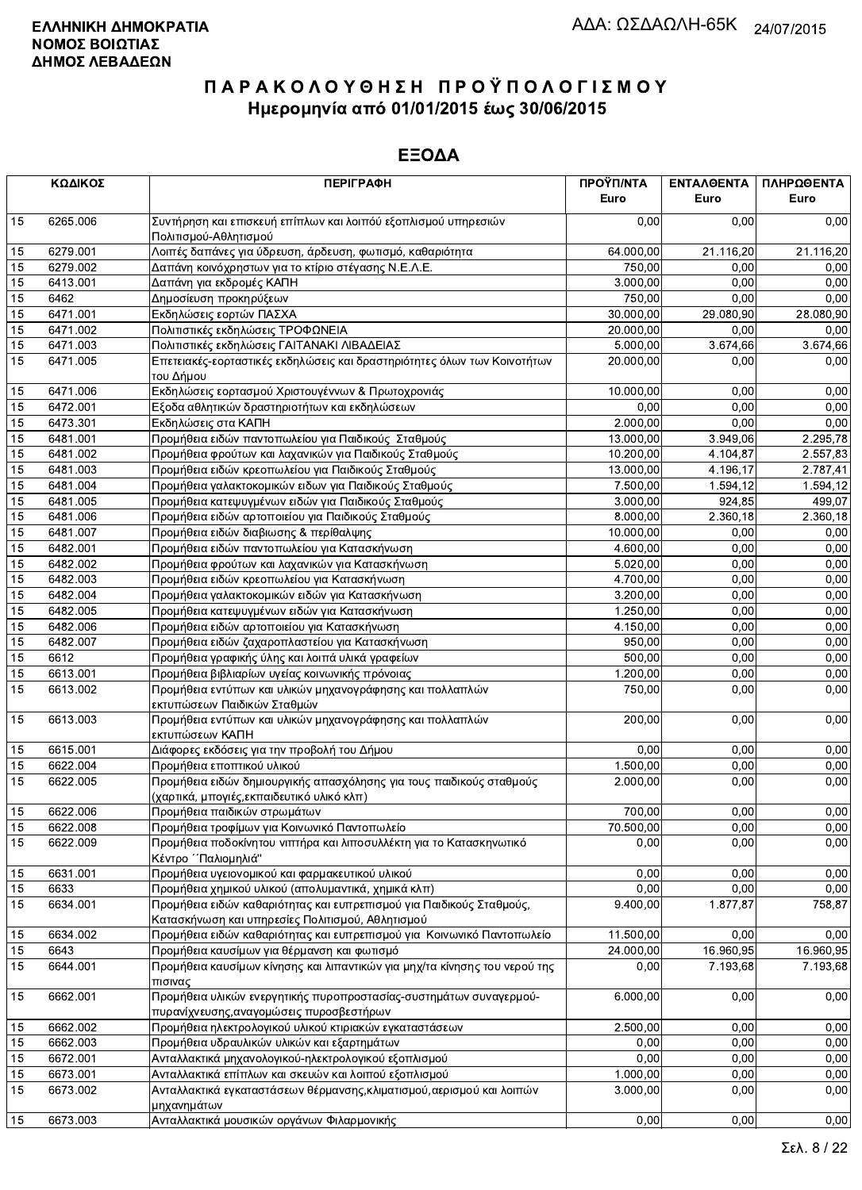|    | ΚΩΔΙΚΟΣ  | <b>ПЕРІГРАФН</b>                                                                                                         | ΠΡΟΫΠ/ΝΤΑ<br>Euro | ΕΝΤΑΛΘΕΝΤΑ<br>Euro | ΠΛΗΡΩΘΕΝΤΑ<br>Euro |
|----|----------|--------------------------------------------------------------------------------------------------------------------------|-------------------|--------------------|--------------------|
| 15 | 6265.006 | Συντήρηση και επισκευή επίπλων και λοιπόύ εξοπλισμού υπηρεσιών<br>Πολιτισμού-Αθλητισμού                                  | 0.00              | 0.00               | 0,00               |
| 15 | 6279.001 | Λοιπές δαπάνες για ύδρευση, άρδευση, φωτισμό, καθαριότητα                                                                | 64.000,00         | 21.116,20          | 21.116,20          |
| 15 | 6279.002 | Δαπάνη κοινόχρηστων για το κτίριο στέγασης Ν.Ε.Λ.Ε.                                                                      | 750,00            | 0,00               | 0,00               |
| 15 | 6413.001 | Δαπάνη για εκδρομές ΚΑΠΗ                                                                                                 | 3.000,00          | 0,00               | 0,00               |
| 15 | 6462     | Δημοσίευση προκηρύξεων                                                                                                   | 750,00            | 0,00               | 0,00               |
| 15 | 6471.001 | Εκδηλώσεις εορτών ΠΑΣΧΑ                                                                                                  | 30.000,00         | 29.080,90          | 28.080,90          |
| 15 | 6471.002 | Πολιτιστικές εκδηλώσεις ΤΡΟΦΩΝΕΙΑ                                                                                        | 20.000,00         | 0,00               | 0,00               |
| 15 | 6471.003 | Πολιτιστικές εκδηλώσεις ΓΑΙΤΑΝΑΚΙ ΛΙΒΑΔΕΙΑΣ                                                                              | 5.000,00          | 3.674,66           | 3.674,66           |
| 15 | 6471.005 | Επετειακές-εορταστικές εκδηλώσεις και δραστηριότητες όλων των Κοινοτήτων<br>του Δήμου                                    | 20.000,00         | 0,00               | 0,00               |
| 15 | 6471.006 | Εκδηλώσεις εορτασμού Χριστουγέννων & Πρωτοχρονιάς                                                                        | 10.000,00         | 0,00               | 0,00               |
| 15 | 6472.001 | Εξοδα αθλητικών δραστηριοτήτων και εκδηλώσεων                                                                            | 0,00              | 0,00               | 0,00               |
| 15 | 6473.301 | Εκδηλώσεις στα ΚΑΠΗ                                                                                                      | 2.000,00          | 0,00               | 0,00               |
| 15 | 6481.001 | Προμήθεια ειδών παντοπωλείου για Παιδικούς Σταθμούς                                                                      | 13.000,00         | 3.949,06           | 2.295,78           |
| 15 | 6481.002 | Προμήθεια φρούτων και λαχανικών για Παιδικούς Σταθμούς                                                                   | 10.200,00         | 4.104,87           | 2.557,83           |
| 15 | 6481.003 | Προμήθεια ειδών κρεοπωλείου για Παιδικούς Σταθμούς                                                                       | 13.000,00         | 4.196,17           | 2.787,41           |
| 15 | 6481.004 | Προμήθεια γαλακτοκομικών ειδων για Παιδικούς Σταθμούς                                                                    | 7.500,00          | 1.594,12           | 1.594,12           |
| 15 | 6481.005 | Προμήθεια κατεψυγμένων ειδών για Παιδικούς Σταθμούς                                                                      | 3.000,00          | 924,85             | 499,07             |
| 15 | 6481.006 | Προμήθεια ειδών αρτοποιείου για Παιδικούς Σταθμούς                                                                       | 8.000,00          | 2.360,18           | 2.360,18           |
| 15 | 6481.007 | Προμήθεια ειδών διαβιωσης & περίθαλψης                                                                                   | 10.000,00         | 0,00               | 0,00               |
| 15 | 6482.001 | Προμήθεια ειδών παντοπωλείου για Κατασκήνωση                                                                             | 4.600,00          | 0,00               | 0,00               |
| 15 | 6482.002 | Προμήθεια φρούτων και λαχανικών για Κατασκήνωση                                                                          | 5.020,00          | 0,00               | 0,00               |
| 15 | 6482.003 | Προμήθεια ειδών κρεοπωλείου για Κατασκήνωση                                                                              | 4.700,00          | 0,00               | 0,00               |
| 15 | 6482.004 | Προμήθεια γαλακτοκομικών ειδών για Κατασκήνωση                                                                           | 3.200,00          | 0,00               | 0,00               |
| 15 | 6482.005 | Προμήθεια κατεψυγμένων ειδών για Κατασκήνωση                                                                             | 1.250,00          | 0,00               | 0,00               |
| 15 | 6482.006 | Προμήθεια ειδών αρτοποιείου για Κατασκήνωση                                                                              | 4.150,00          | 0,00               | 0,00               |
| 15 | 6482.007 | Προμήθεια ειδών ζαχαροπλαστείου για Κατασκήνωση                                                                          | 950,00            | 0,00               | 0,00               |
| 15 | 6612     | Προμήθεια γραφικής ύλης και λοιπά υλικά γραφείων                                                                         | 500,00            | 0,00               | 0,00               |
| 15 | 6613.001 | Προμήθεια βιβλιαρίων υγείας κοινωνικής πρόνοιας                                                                          | 1.200,00          | 0,00               | 0,00               |
| 15 | 6613.002 | Προμήθεια εντύπων και υλικών μηχανογράφησης και πολλαπλών<br>εκτυπώσεων Παιδικών Σταθμών                                 | 750,00            | 0,00               | 0,00               |
| 15 | 6613.003 | Προμήθεια εντύπων και υλικών μηχανογράφησης και πολλαπλών<br>εκτυπώσεων ΚΑΠΗ                                             | 200,00            | 0,00               | 0,00               |
| 15 | 6615.001 | Διάφορες εκδόσεις για την προβολή του Δήμου                                                                              | 0.00              | 0,00               | 0,00               |
| 15 | 6622.004 | Προμήθεια εποπτικού υλικού                                                                                               | 1.500,00          | 0,00               | 0,00               |
| 15 | 6622.005 | Προμήθεια ειδών δημιουργικής απασχόλησης για τους παιδικούς σταθμούς<br>(χαρτικά, μπογιές, εκπαιδευτικό υλικό κλπ)       | 2.000,00          | 0,00               | 0,00               |
| 15 | 6622.006 | Προμήθεια παιδικών στρωμάτων                                                                                             | 700,00            | 0,00               | 0,00               |
| 15 | 6622.008 | Προμήθεια τροφίμων για Κοινωνικό Παντοπωλείο                                                                             | 70.500,00         | 0,00               | 0,00               |
| 15 | 6622.009 | Προμήθεια ποδοκίνητου νιπτήρα και λιποσυλλέκτη για το Κατασκηνωτικό<br>Κέντρο ΄΄ Παλιομηλιά"                             | 0,00              | 0,00               | 0,00               |
| 15 | 6631.001 | Προμήθεια υγειονομικού και φαρμακευτικού υλικού                                                                          | 0,00              | 0,00               | 0,00               |
| 15 | 6633     | Προμήθεια χημικού υλικού (απολυμαντικά, χημικά κλπ)                                                                      | 0,00              | 0,00               | 0,00               |
| 15 | 6634.001 | Προμήθεια ειδών καθαριότητας και ευπρεπισμού για Παιδικούς Σταθμούς,<br>Κατασκήνωση και υπηρεσίες Πολιτισμού, Αθλητισμού | 9.400,00          | 1.877,87           | 758,87             |
| 15 | 6634.002 | Προμήθεια ειδών καθαριότητας και ευπρεπισμού για Κοινωνικό Παντοπωλείο                                                   | 11.500,00         | 0,00               | 0,00               |
| 15 | 6643     | Προμήθεια καυσίμων για θέρμανση και φωτισμό                                                                              | 24.000,00         | 16.960,95          | 16.960,95          |
| 15 | 6644.001 | Προμήθεια καυσίμων κίνησης και λιπαντικών για μηχ/τα κίνησης του νερού της<br>πισινας                                    | 0,00              | 7.193,68           | 7.193.68           |
| 15 | 6662.001 | Προμήθεια υλικών ενεργητικής πυροπροστασίας-συστημάτων συναγερμού-<br>πυρανίχνευσης, αναγομώσεις πυροσβεστήρων           | 6.000,00          | 0,00               | 0,00               |
| 15 | 6662.002 | Προμήθεια ηλεκτρολογικού υλικού κτιριακών εγκαταστάσεων                                                                  | 2.500,00          | 0,00               | 0,00               |
| 15 | 6662.003 | Προμήθεια υδραυλικών υλικών και εξαρτημάτων                                                                              | 0,00              | 0,00               | 0,00               |
| 15 | 6672.001 | Ανταλλακτικά μηχανολογικού-ηλεκτρολογικού εξοπλισμού                                                                     | 0,00              | 0,00               | 0,00               |
| 15 | 6673.001 | Ανταλλακτικά επίπλων και σκευών και λοιπού εξοπλισμού                                                                    | 1.000,00          | 0,00               | 0,00               |
| 15 | 6673.002 | Ανταλλακτικά εγκαταστάσεων θέρμανσης, κλιματισμού, αερισμού και λοιπών<br>μηχανημάτων                                    | 3.000,00          | 0,00               | 0,00               |
| 15 | 6673.003 | Ανταλλακτικά μουσικών οργάνων Φιλαρμονικής                                                                               | 0,00              | 0,00               | 0,00               |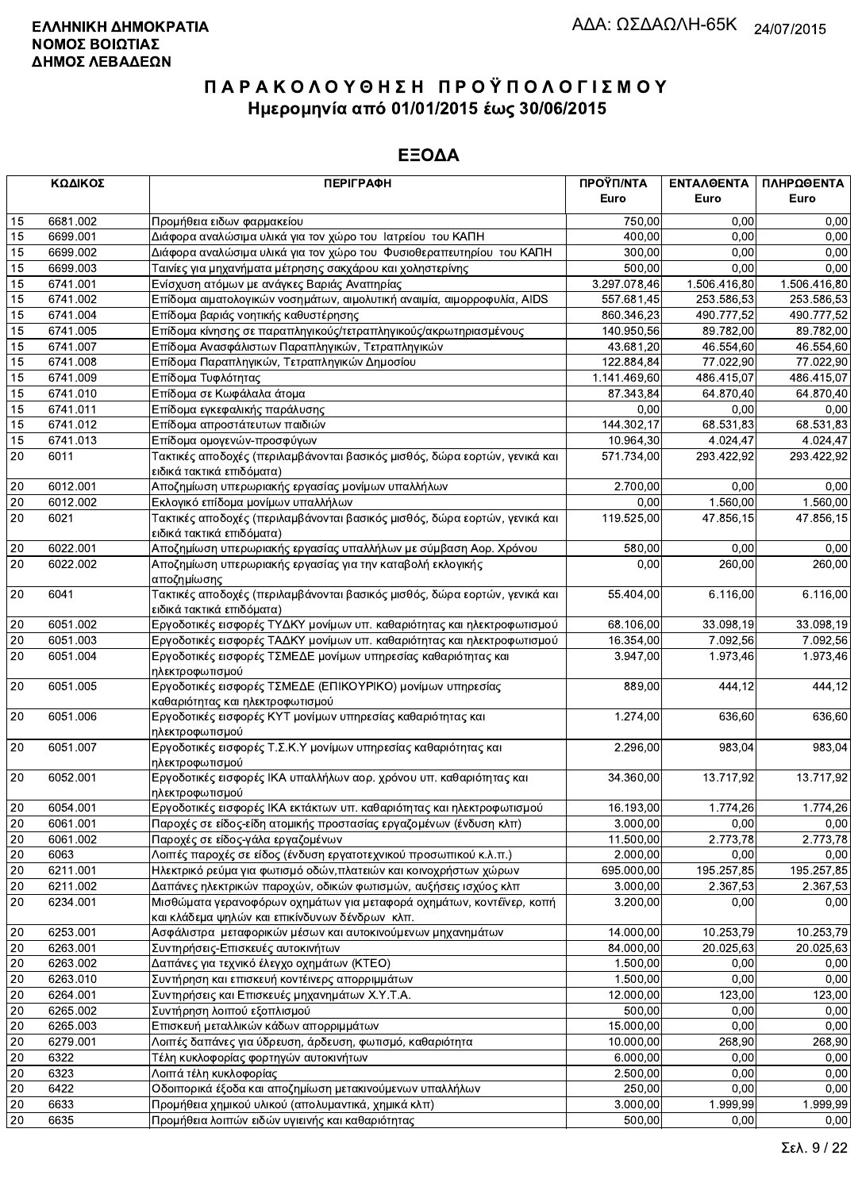|              | ΚΩΔΙΚΟΣ  | <b>ПЕРІГРАФН</b>                                                                                        | ΠΡΟΫΠ/ΝΤΑ    | ΕΝΤΑΛΘΕΝΤΑ             | ΠΛΗΡΩΘΕΝΤΑ   |
|--------------|----------|---------------------------------------------------------------------------------------------------------|--------------|------------------------|--------------|
|              |          |                                                                                                         | Euro         | Euro                   | Euro         |
| 15           | 6681.002 | Προμήθεια ειδων φαρμακείου                                                                              | 750,00       | 0.00                   | 0,00         |
| 15           | 6699.001 | Διάφορα αναλώσιμα υλικά για τον χώρο του Ιατρείου του ΚΑΠΗ                                              | 400,00       | 0.00                   | 0,00         |
| 15           | 6699.002 | Διάφορα αναλώσιμα υλικά για τον χώρο του Φυσιοθεραπευτηρίου του ΚΑΠΗ                                    | 300,00       | 0,00                   | 0,00         |
| 15           | 6699.003 | Ταινίες για μηχανήματα μέτρησης σακχάρου και χοληστερίνης                                               | 500,00       | 0,00                   | 0,00         |
| 15           | 6741.001 | Ενίσχυση ατόμων με ανάγκες Βαριάς Αναπηρίας                                                             | 3.297.078,46 | 1.506.416,80           | 1.506.416,80 |
| 15           | 6741.002 | Επίδομα αιματολογικών νοσημάτων, αιμολυτική αναιμία, αιμορροφυλία, AIDS                                 | 557.681,45   | 253.586,53             | 253.586,53   |
| 15           | 6741.004 | Επίδομα βαριάς νοητικής καθυστέρησης                                                                    | 860.346,23   | 490.777,52             | 490.777,52   |
| 15           | 6741.005 | Επίδομα κίνησης σε παραπληγικούς/τετραπληγικούς/ακρωτηριασμένους                                        | 140.950,56   | 89.782,00              | 89.782,00    |
| 15           | 6741.007 | Επίδομα Ανασφάλιστων Παραπληγικών, Τετραπληγικών                                                        | 43.681,20    | 46.554,60              | 46.554,60    |
| 15           | 6741.008 | Επίδομα Παραπληγικών, Τετραπληγικών Δημοσίου                                                            | 122.884,84   | 77.022,90              | 77.022,90    |
| 15           | 6741.009 | Επίδομα Τυφλότητας                                                                                      | 1.141.469,60 | 486.415,07             | 486.415,07   |
| 15           | 6741.010 | Επίδομα σε Κωφάλαλα άτομα                                                                               | 87.343,84    | 64.870,40              | 64.870,40    |
| 15           | 6741.011 | Επίδομα εγκεφαλικής παράλυσης                                                                           | 0.00         | 0,00                   | 0,00         |
| 15           | 6741.012 | Επίδομα απροστάτευτων παιδιών                                                                           | 144.302,17   | 68.531,83              | 68.531,83    |
| 15           | 6741.013 | Επίδομα ομογενών-προσφύγων                                                                              | 10.964,30    | 4.024,47               | 4.024,47     |
| 20           | 6011     | Τακτικές αποδοχές (περιλαμβάνονται βασικός μισθός, δώρα εορτών, γενικά και                              | 571.734,00   | 293.422,92             | 293.422,92   |
|              |          | ειδικά τακτικά επιδόματα)                                                                               |              |                        |              |
| 20           | 6012.001 | Αποζημίωση υπερωριακής εργασίας μονίμων υπαλλήλων                                                       | 2.700,00     | 0.00                   | 0,00         |
| 20           | 6012.002 | Εκλογικό επίδομα μονίμων υπαλλήλων                                                                      | 0,00         | 1.560,00               | 1.560,00     |
| 20           | 6021     | Τακτικές αποδοχές (περιλαμβάνονται βασικός μισθός, δώρα εορτών, γενικά και<br>ειδικά τακτικά επιδόματα) | 119.525,00   | 47.856,15              | 47.856,15    |
| 20           | 6022.001 | Αποζημίωση υπερωριακής εργασίας υπαλλήλων με σύμβαση Αορ. Χρόνου                                        | 580,00       | 0,00                   | 0,00         |
| 20           | 6022.002 | Αποζημίωση υπερωριακής εργασίας για την καταβολή εκλογικής                                              | 0,00         | 260,00                 | 260,00       |
|              |          | αποζημίωσης                                                                                             |              |                        |              |
| 20           | 6041     | Τακτικές αποδοχές (περιλαμβάνονται βασικός μισθός, δώρα εορτών, γενικά και<br>ειδικά τακτικά επιδόματα) | 55.404,00    | 6.116,00               | 6.116,00     |
| 20           | 6051.002 | Εργοδοτικές εισφορές ΤΥΔΚΥ μονίμων υπ. καθαριότητας και ηλεκτροφωτισμού                                 | 68.106,00    | 33.098,19              | 33.098,19    |
| 20           | 6051.003 | Εργοδοτικές εισφορές ΤΑΔΚΥ μονίμων υπ. καθαριότητας και ηλεκτροφωτισμού                                 | 16.354,00    | 7.092,56               | 7.092,56     |
| 20           | 6051.004 | Εργοδοτικές εισφορές ΤΣΜΕΔΕ μονίμων υπηρεσίας καθαριότητας και<br>ηλεκτροφωτισμού                       | 3.947,00     | 1.973,46               | 1.973,46     |
| 20           | 6051.005 | Εργοδοτικές εισφορές ΤΣΜΕΔΕ (ΕΠΙΚΟΥΡΙΚΟ) μονίμων υπηρεσίας<br>καθαριότητας και ηλεκτροφωτισμού          | 889,00       | 444,12                 | 444,12       |
| 20           | 6051.006 | Εργοδοτικές εισφορές ΚΥΤ μονίμων υπηρεσίας καθαριότητας και<br>ηλεκτροφωτισμού                          | 1.274,00     | 636,60                 | 636,60       |
| 20           | 6051.007 | Εργοδοτικές εισφορές Τ.Σ.Κ.Υ μονίμων υπηρεσίας καθαριότητας και<br>ηλεκτροφωτισμού                      | 2.296,00     | 983,04                 | 983,04       |
| 20           | 6052.001 | Εργοδοτικές εισφορές ΙΚΑ υπαλλήλων αορ. χρόνου υπ. καθαριότητας και<br>ηλεκτροφωτισμού                  | 34.360,00    | $\overline{13.717,92}$ | 13.717,92    |
| 20           | 6054.001 | Εργοδοτικές εισφορές ΙΚΑ εκτάκτων υπ. καθαριότητας και ηλεκτροφωτισμού                                  | 16.193,00    | 1.774,26               | 1.774,26     |
| $\sqrt{20}$  | 6061.001 | Παροχές σε είδος-είδη ατομικής προστασίας εργαζομένων (ένδυση κλπ)                                      | 3.000,00     | 0,00                   | 0,00         |
| 20           | 6061.002 | Παροχές σε είδος-γάλα εργαζομένων                                                                       | 11.500,00    | 2.773,78               | 2.773,78     |
| 20           | 6063     | Λοιπές παροχές σε είδος (ένδυση εργατοτεχνικού προσωπικού κ.λ.π.)                                       | 2.000,00     | 0,00                   | 0,00         |
| 20           | 6211.001 | Ηλεκτρικό ρεύμα για φωτισμό οδών, πλατειών και κοινοχρήστων χώρων                                       | 695.000,00   | 195.257,85             | 195.257,85   |
| 20           | 6211.002 | Δαπάνες ηλεκτρικών παροχών, οδικών φωτισμών, αυξήσεις ισχύος κλπ                                        | 3.000,00     | 2.367,53               | 2.367,53     |
| 20           | 6234.001 | Μισθώματα γερανοφόρων οχημάτων για μεταφορά οχημάτων, κοντέϊνερ, κοπή                                   | 3.200,00     | 0,00                   | 0,00         |
|              |          | και κλάδεμα ψηλών και επικίνδυνων δένδρων κλπ.                                                          |              |                        |              |
| 20           | 6253.001 | Ασφάλιστρα μεταφορικών μέσων και αυτοκινούμενων μηχανημάτων                                             | 14.000,00    | 10.253,79              | 10.253,79    |
| 20           | 6263.001 | Συντηρήσεις-Επισκευές αυτοκινήτων                                                                       | 84.000,00    | 20.025,63              | 20.025,63    |
| 20           | 6263.002 | Δαπάνες για τεχνικό έλεγχο οχημάτων (KTEO)                                                              | 1.500,00     | 0,00                   | 0,00         |
| 20           | 6263.010 | Συντήρηση και επισκευή κοντέινερς απορριμμάτων                                                          | 1.500,00     | 0,00                   | 0,00         |
| 20           | 6264.001 | Συντηρήσεις και Επισκευές μηχανημάτων Χ.Υ.Τ.Α.                                                          | 12.000,00    | 123,00                 | 123,00       |
| 20           | 6265.002 | Συντήρηση λοιπού εξοπλισμού                                                                             | 500,00       | 0,00                   | 0,00         |
| 20           | 6265.003 | Επισκευή μεταλλικών κάδων απορριμμάτων                                                                  | 15.000,00    | 0,00                   | 0,00         |
| 20           | 6279.001 | Λοιπές δαπάνες για ύδρευση, άρδευση, φωτισμό, καθαριότητα                                               | 10.000,00    | 268,90                 | 268,90       |
| 20           | 6322     | Τέλη κυκλοφορίας φορτηγών αυτοκινήτων                                                                   | 6.000,00     | 0,00                   | 0,00         |
| 20           | 6323     | Λοιπά τέλη κυκλοφορίας                                                                                  | 2.500,00     | 0,00                   | 0,00         |
| 20           | 6422     | Οδοιπορικά έξοδα και αποζημίωση μετακινούμενων υπαλλήλων                                                | 250,00       | 0,00                   | 0,00         |
| 20           | 6633     | Προμήθεια χημικού υλικού (απολυμαντικά, χημικά κλπ)                                                     | 3.000,00     | 1.999,99               | 1.999,99     |
| $ 20\rangle$ | 6635     | Προμήθεια λοιπών ειδών υγιεινής και καθαριότητας                                                        | 500,00       | 0,00                   | 0,00         |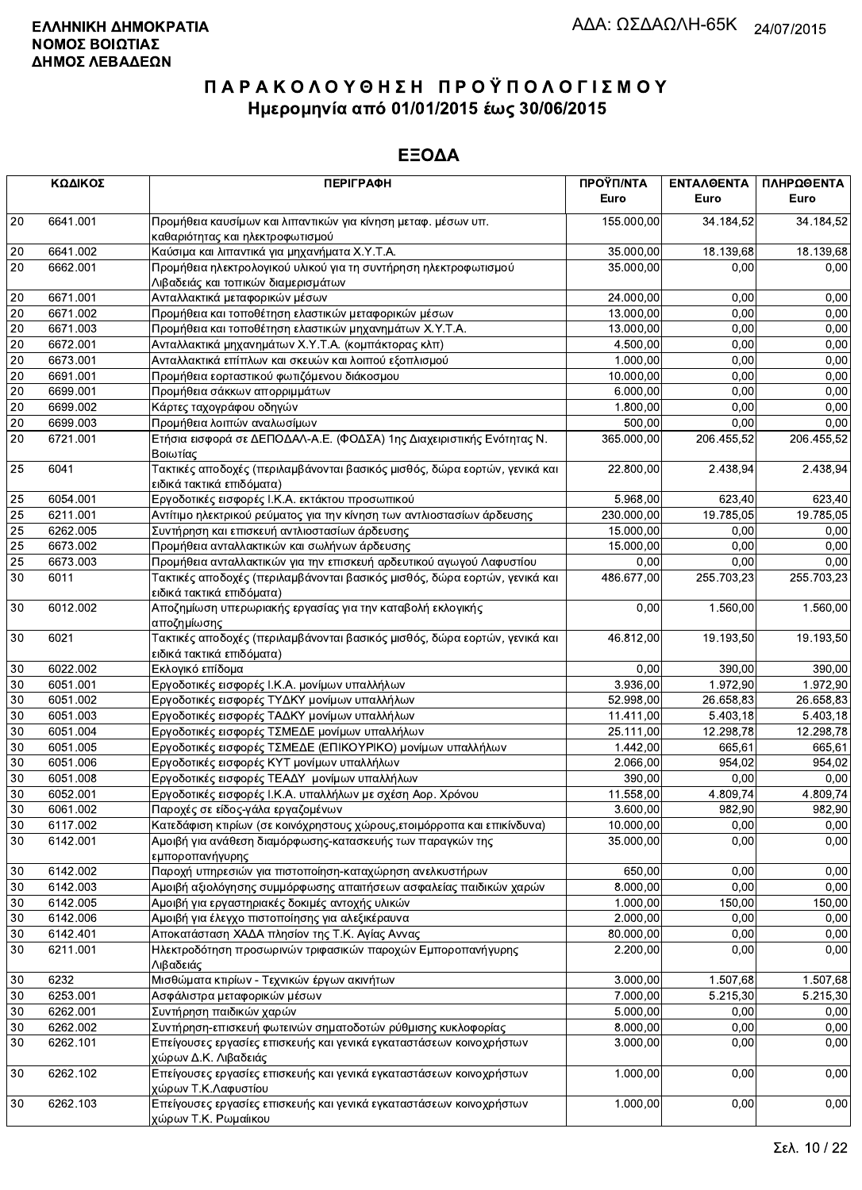|                 | ΚΩΔΙΚΟΣ  | <b>ПЕРІГРАФН</b>                                                                                        | ΠΡΟΫΠ/ΝΤΑ<br>Euro | ΕΝΤΑΛΘΕΝΤΑ<br>Euro | ΠΛΗΡΩΘΕΝΤΑ<br>Euro |
|-----------------|----------|---------------------------------------------------------------------------------------------------------|-------------------|--------------------|--------------------|
| 20              | 6641.001 | Προμήθεια καυσίμων και λιπαντικών για κίνηση μεταφ. μέσων υπ.<br>καθαριότητας και ηλεκτροφωτισμού       | 155.000,00        | 34.184,52          | 34.184,52          |
| 20              | 6641.002 | Καύσιμα και λιπαντικά για μηχανήματα Χ.Υ.Τ.Α.                                                           | 35.000,00         | 18.139,68          | 18.139,68          |
| 20              | 6662.001 | Προμήθεια ηλεκτρολογικού υλικού για τη συντήρηση ηλεκτροφωτισμού<br>Λιβαδειάς και τοπικών διαμερισμάτων | 35.000,00         | 0.00               | 0,00               |
| 20              | 6671.001 | Ανταλλακτικά μεταφορικών μέσων                                                                          | 24.000,00         | 0,00               | 0,00               |
| 20              | 6671.002 | Προμήθεια και τοποθέτηση ελαστικών μεταφορικών μέσων                                                    | 13.000,00         | 0,00               | 0,00               |
| 20              | 6671.003 | Προμήθεια και τοποθέτηση ελαστικών μηχανημάτων Χ.Υ.Τ.Α.                                                 | 13.000,00         | 0,00               | 0,00               |
| 20              | 6672.001 | Ανταλλακτικά μηχανημάτων Χ.Υ.Τ.Α. (κομπάκτορας κλπ)                                                     | 4.500,00          | 0,00               | 0,00               |
| 20              | 6673.001 | Ανταλλακτικά επίπλων και σκευών και λοιπού εξοπλισμού                                                   | 1.000,00          | 0,00               | 0,00               |
| 20              | 6691.001 | Προμήθεια εορταστικού φωτιζόμενου διάκοσμου                                                             | 10.000,00         | 0,00               | 0,00               |
| 20              | 6699.001 | Προμήθεια σάκκων απορριμμάτων                                                                           | 6.000,00          | 0,00               | 0,00               |
| 20              | 6699.002 | Κάρτες ταχογράφου οδηγών                                                                                | 1.800,00          | 0,00               | 0,00               |
| 20              | 6699.003 | Προμήθεια λοιπών αναλωσίμων                                                                             | 500,00            | 0,00               | 0,00               |
| 20              | 6721.001 | Ετήσια εισφορά σε ΔΕΠΟΔΑΛ-Α.Ε. (ΦΟΔΣΑ) 1ης Διαχειριστικής Ενότητας Ν.<br>Βοιωτίας                       | 365.000,00        | 206.455,52         | 206.455,52         |
| 25              | 6041     | Τακτικές αποδοχές (περιλαμβάνονται βασικός μισθός, δώρα εορτών, γενικά και<br>ειδικά τακτικά επιδόματα) | 22.800,00         | 2.438,94           | 2.438,94           |
| 25              | 6054.001 | Εργοδοτικές εισφορές Ι.Κ.Α. εκτάκτου προσωπικού                                                         | 5.968,00          | 623,40             | 623,40             |
| 25              | 6211.001 | Αντίτιμο ηλεκτρικού ρεύματος για την κίνηση των αντλιοστασίων άρδευσης                                  | 230.000,00        | 19.785,05          | 19.785,05          |
| 25              | 6262.005 | Συντήρηση και επισκευή αντλιοστασίων άρδευσης                                                           | 15.000,00         | 0,00               | 0,00               |
| 25              | 6673.002 | Προμήθεια ανταλλακτικών και σωλήνων άρδευσης                                                            | 15.000,00         | 0,00               | 0,00               |
| $\overline{25}$ | 6673.003 | Προμήθεια ανταλλακτικών για την επισκευή αρδευτικού αγωγού Λαφυστίου                                    | 0,00              | 0,00               | 0,00               |
| 30              | 6011     | Τακτικές αποδοχές (περιλαμβάνονται βασικός μισθός, δώρα εορτών, γενικά και<br>ειδικά τακτικά επιδόματα) | 486.677,00        | 255.703,23         | 255.703,23         |
| 30              | 6012.002 | Αποζημίωση υπερωριακής εργασίας για την καταβολή εκλογικής<br>αποζημίωσης                               | 0,00              | 1.560,00           | 1.560,00           |
| 30              | 6021     | Τακτικές αποδοχές (περιλαμβάνονται βασικός μισθός, δώρα εορτών, γενικά και<br>ειδικά τακτικά επιδόματα) | 46.812,00         | 19.193,50          | 19.193,50          |
| 30              | 6022.002 | Εκλογικό επίδομα                                                                                        | 0,00              | 390,00             | 390,00             |
| 30              | 6051.001 | Εργοδοτικές εισφορές Ι.Κ.Α. μονίμων υπαλλήλων                                                           | 3.936,00          | 1.972,90           | 1.972,90           |
| 30              | 6051.002 | Εργοδοτικές εισφορές ΤΥΔΚΥ μονίμων υπαλλήλων                                                            | 52.998,00         | 26.658,83          | 26.658,83          |
| 30              | 6051.003 | Εργοδοτικές εισφορές ΤΑΔΚΥ μονίμων υπαλλήλων                                                            | 11.411,00         | 5.403,18           | 5.403,18           |
| 30              | 6051.004 | Εργοδοτικές εισφορές ΤΣΜΕΔΕ μονίμων υπαλλήλων                                                           | 25.111,00         | 12.298,78          | 12.298,78          |
| 30              | 6051.005 | Εργοδοτικές εισφορές ΤΣΜΕΔΕ (ΕΠΙΚΟΥΡΙΚΟ) μονίμων υπαλλήλων                                              | 1.442,00          | 665,61             | 665,61             |
| 30              | 6051.006 | Εργοδοτικές εισφορές ΚΥΤ μονίμων υπαλλήλων                                                              | 2.066,00          | 954,02             | 954,02             |
| 30              | 6051.008 | Εργοδοτικές εισφορές ΤΕΑΔΥ μονίμων υπαλλήλων                                                            | 390,00            | 0,00               | 0,00               |
| 30              | 6052.001 | Εργοδοτικές εισφορές Ι.Κ.Α. υπαλλήλων με σχέση Αορ. Χρόνου                                              | 11.558,00         | 4.809,74           | 4.809,74           |
| 30              | 6061.002 | Παροχές σε είδος-γάλα εργαζομένων                                                                       | 3.600,00          | 982,90             | 982,90             |
| 30              | 6117.002 | Κατεδάφιση κτιρίων (σε κοινόχρηστους χώρους,ετοιμόρροπα και επικίνδυνα)                                 | 10.000,00         | 0,00               | 0,00               |
| 30              | 6142.001 | Αμοιβή για ανάθεση διαμόρφωσης-κατασκευής των παραγκών της<br>εμποροπανήγυρης                           | 35.000,00         | 0,00               | 0,00               |
| 30              | 6142.002 | Παροχή υπηρεσιών για πιστοποίηση-καταχώρηση ανελκυστήρων                                                | 650,00            | 0.00               | 0,00               |
| 30              | 6142.003 | Αμοιβή αξιολόγησης συμμόρφωσης απαιτήσεων ασφαλείας παιδικών χαρών                                      | 8.000,00          | 0,00               | 0,00               |
| 30              | 6142.005 | Αμοιβή για εργαστηριακές δοκιμές αντοχής υλικών                                                         | 1.000,00          | 150,00             | 150,00             |
| 30              | 6142.006 | Αμοιβή για έλεγχο πιστοποίησης για αλεξικέραυνα                                                         | 2.000,00          | 0,00               | 0,00               |
| 30              | 6142.401 | Αποκατάσταση ΧΑΔΑ πλησίον της Τ.Κ. Αγίας Αννας                                                          | 80.000,00         | 0,00               | 0,00               |
| 30              | 6211.001 | Ηλεκτροδότηση προσωρινών τριφασικών παροχών Εμποροπανήγυρης<br>Λιβαδειάς                                | 2.200,00          | 0,00               | 0,00               |
| $30\,$          | 6232     | Μισθώματα κτιρίων - Τεχνικών έργων ακινήτων                                                             | 3.000,00          | 1.507,68           | 1.507,68           |
| 30              | 6253.001 | Ασφάλιστρα μεταφορικών μέσων                                                                            | 7.000,00          | 5.215,30           | 5.215,30           |
| 30              | 6262.001 | Συντήρηση παιδικών χαρών                                                                                | 5.000,00          | 0,00               | 0,00               |
| 30              | 6262.002 | Συντήρηση-επισκευή φωτεινών σηματοδοτών ρύθμισης κυκλοφορίας                                            | 8.000,00          | 0,00               | 0,00               |
| 30              | 6262.101 | Επείγουσες εργασίες επισκευής και γενικά εγκαταστάσεων κοινοχρήστων<br>χώρων Δ.Κ. Λιβαδειάς             | 3.000,00          | 0,00               | 0,00               |
| 30              | 6262.102 | Επείγουσες εργασίες επισκευής και γενικά εγκαταστάσεων κοινοχρήστων<br>χώρων Τ.Κ.Λαφυστίου              | 1.000,00          | 0,00               | 0,00               |
| 30              | 6262.103 | Επείγουσες εργασίες επισκευής και γενικά εγκαταστάσεων κοινοχρήστων<br>χώρων Τ.Κ. Ρωμαίικου             | 1.000,00          | 0,00               | 0,00               |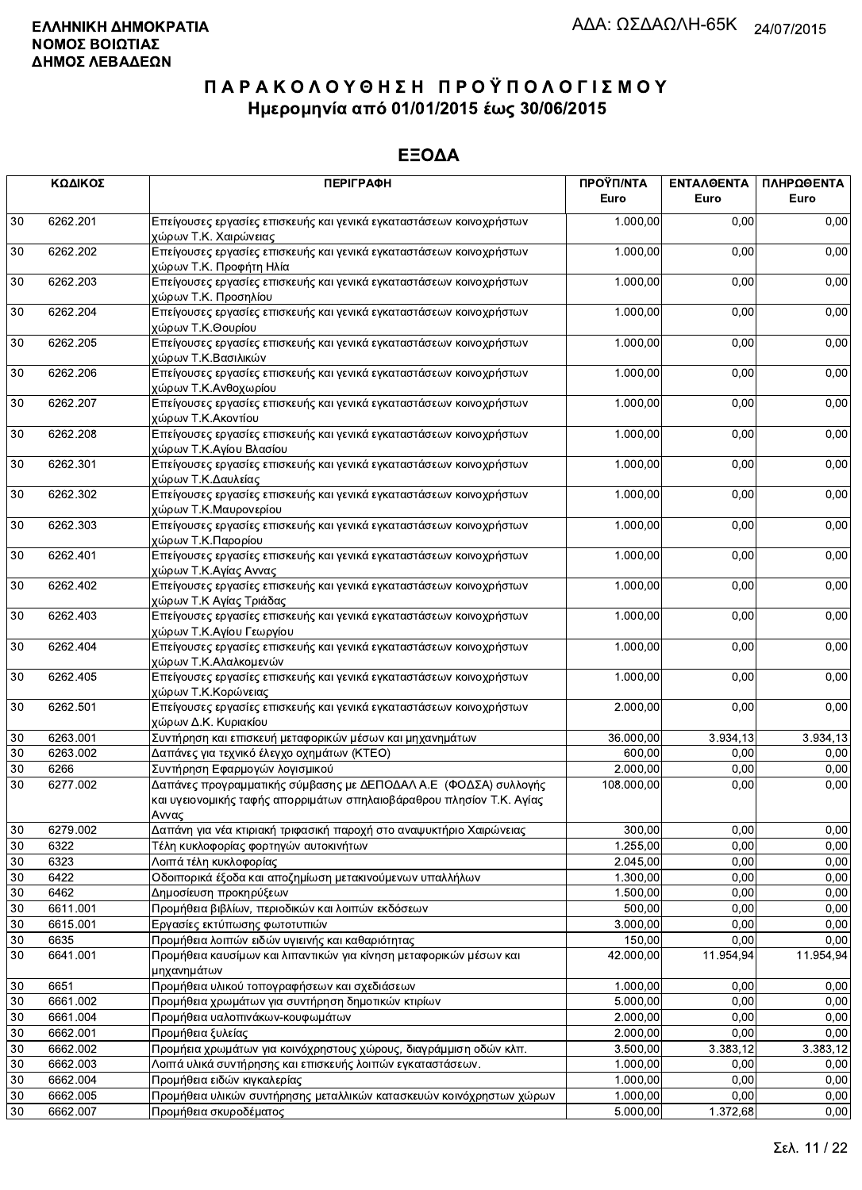|    | ΚΩΔΙΚΟΣ  | <b>ПЕРІГРАФН</b>                                                                                                                                  | ΠΡΟΫΠ/ΝΤΑ<br>Euro | ΕΝΤΑΛΘΕΝΤΑ<br>Euro | ΠΛΗΡΩΘΕΝΤΑ<br>Euro |
|----|----------|---------------------------------------------------------------------------------------------------------------------------------------------------|-------------------|--------------------|--------------------|
| 30 | 6262.201 | Επείγουσες εργασίες επισκευής και γενικά εγκαταστάσεων κοινοχρήστων<br>χώρων Τ.Κ. Χαιρώνειας                                                      | 1.000,00          | 0.00               | 0,00               |
| 30 | 6262.202 | Επείγουσες εργασίες επισκευής και γενικά εγκαταστάσεων κοινοχρήστων<br>χώρων Τ.Κ. Προφήτη Ηλία                                                    | 1.000,00          | 0,00               | 0,00               |
| 30 | 6262.203 | Επείγουσες εργασίες επισκευής και γενικά εγκαταστάσεων κοινοχρήστων<br>χώρων Τ.Κ. Προσηλίου                                                       | 1.000,00          | 0,00               | 0,00               |
| 30 | 6262.204 | Επείγουσες εργασίες επισκευής και γενικά εγκαταστάσεων κοινοχρήστων<br>χώρων Τ.Κ.Θουρίου                                                          | 1.000,00          | 0,00               | 0,00               |
| 30 | 6262.205 | Επείγουσες εργασίες επισκευής και γενικά εγκαταστάσεων κοινοχρήστων<br>χώρων Τ.Κ.Βασιλικών                                                        | 1.000,00          | 0,00               | 0,00               |
| 30 | 6262.206 | Επείγουσες εργασίες επισκευής και γενικά εγκαταστάσεων κοινοχρήστων<br>χώρων Τ.Κ.Ανθοχωρίου                                                       | 1.000,00          | 0,00               | 0,00               |
| 30 | 6262.207 | Επείγουσες εργασίες επισκευής και γενικά εγκαταστάσεων κοινοχρήστων<br>χώρων Τ.Κ.Ακοντίου                                                         | 1.000,00          | 0,00               | 0,00               |
| 30 | 6262.208 | Επείγουσες εργασίες επισκευής και γενικά εγκαταστάσεων κοινοχρήστων<br>χώρων Τ.Κ.Αγίου Βλασίου                                                    | 1.000,00          | 0,00               | 0,00               |
| 30 | 6262.301 | Επείγουσες εργασίες επισκευής και γενικά εγκαταστάσεων κοινοχρήστων<br>χώρων Τ.Κ.Δαυλείας                                                         | 1.000,00          | 0,00               | 0,00               |
| 30 | 6262.302 | Επείγουσες εργασίες επισκευής και γενικά εγκαταστάσεων κοινοχρήστων<br>χώρων Τ.Κ.Μαυρονερίου                                                      | 1.000,00          | 0,00               | 0,00               |
| 30 | 6262.303 | Επείγουσες εργασίες επισκευής και γενικά εγκαταστάσεων κοινοχρήστων<br>χώρων Τ.Κ.Παρορίου                                                         | 1.000,00          | 0,00               | 0,00               |
| 30 | 6262.401 | Επείγουσες εργασίες επισκευής και γενικά εγκαταστάσεων κοινοχρήστων<br>χώρων Τ.Κ.Αγίας Αννας                                                      | 1.000,00          | 0,00               | 0,00               |
| 30 | 6262.402 | Επείγουσες εργασίες επισκευής και γενικά εγκαταστάσεων κοινοχρήστων<br>χώρων Τ.Κ Αγίας Τριάδας                                                    | 1.000,00          | 0,00               | 0,00               |
| 30 | 6262.403 | Επείγουσες εργασίες επισκευής και γενικά εγκαταστάσεων κοινοχρήστων<br>χώρων Τ.Κ.Αγίου Γεωργίου                                                   | 1.000,00          | 0,00               | 0,00               |
| 30 | 6262.404 | Επείγουσες εργασίες επισκευής και γενικά εγκαταστάσεων κοινοχρήστων<br>χώρων Τ.Κ.Αλαλκομενών                                                      | 1.000,00          | 0,00               | 0,00               |
| 30 | 6262.405 | Επείγουσες εργασίες επισκευής και γενικά εγκαταστάσεων κοινοχρήστων<br>χώρων Τ.Κ.Κορώνειας                                                        | 1.000,00          | 0,00               | 0,00               |
| 30 | 6262.501 | Επείγουσες εργασίες επισκευής και γενικά εγκαταστάσεων κοινοχρήστων<br>χώρων Δ.Κ. Κυριακίου                                                       | 2.000,00          | 0,00               | 0,00               |
| 30 | 6263.001 | Συντήρηση και επισκευή μεταφορικών μέσων και μηχανημάτων                                                                                          | 36.000,00         | 3.934, 13          | 3.934,13           |
| 30 | 6263.002 | Δαπάνες για τεχνικό έλεγχο οχημάτων (ΚΤΕΟ)                                                                                                        | 600,00            | 0,00               | 0,00               |
| 30 | 6266     | Συντήρηση Εφαρμογών λογισμικού                                                                                                                    | 2.000,00          | 0,00               | 0,00               |
| 30 | 6277.002 | Δαπάνες προγραμματικής σύμβασης με ΔΕΠΟΔΑΛ Α.Ε (ΦΟΔΣΑ) συλλογής<br>και υγειονομικής ταφής απορριμάτων σπηλαιοβάραθρου πλησίον Τ.Κ. Αγίας<br>Αννας | 108.000,00        | 0,00               | 0,00               |
| 30 | 6279.002 | Δαπάνη για νέα κτιριακή τριφασική παροχή στο αναψυκτήριο Χαιρώνειας                                                                               | 300,00            | 0,00               | 0,00               |
| 30 | 6322     | Τέλη κυκλοφορίας φορτηγών αυτοκινήτων                                                                                                             | 1.255,00          | 0,00               | 0,00               |
| 30 | 6323     | Λοιπά τέλη κυκλοφορίας                                                                                                                            | 2.045,00          | 0,00               | 0,00               |
| 30 | 6422     | Οδοιπορικά έξοδα και αποζημίωση μετακινούμενων υπαλλήλων                                                                                          | 1.300,00          | 0,00               | 0,00               |
| 30 | 6462     | Δημοσίευση προκηρύξεων                                                                                                                            | 1.500,00          | 0,00               | 0,00               |
| 30 | 6611.001 | Προμήθεια βιβλίων, περιοδικών και λοιπών εκδόσεων                                                                                                 | 500,00            | 0,00               | 0,00               |
| 30 | 6615.001 | Εργασίες εκτύπωσης φωτοτυπιών                                                                                                                     | 3.000,00          | 0,00               | 0,00               |
| 30 | 6635     | Προμήθεια λοιπών ειδών υγιεινής και καθαριότητας                                                                                                  | 150,00            | 0.00               | 0,00               |
| 30 | 6641.001 | Προμήθεια καυσίμων και λιπαντικών για κίνηση μεταφορικών μέσων και<br>μηχανημάτων                                                                 | 42.000,00         | 11.954,94          | 11.954,94          |
| 30 | 6651     | Προμήθεια υλικού τοπογραφήσεων και σχεδιάσεων                                                                                                     | 1.000,00          | 0,00               | 0,00               |
| 30 | 6661.002 | Προμήθεια χρωμάτων για συντήρηση δημοτικών κτιρίων                                                                                                | 5.000,00          | 0,00               | 0,00               |
| 30 | 6661.004 | Προμήθεια υαλοπινάκων-κουφωμάτων                                                                                                                  | 2.000,00          | 0,00               | 0,00               |
| 30 | 6662.001 | Προμήθεια ξυλείας                                                                                                                                 | 2.000,00          | 0,00               | 0,00               |
| 30 | 6662.002 | Προμήεια χρωμάτων για κοινόχρηστους χώρους, διαγράμμιση οδών κλπ.                                                                                 | 3.500,00          | 3.383,12           | 3.383,12           |
| 30 | 6662.003 | Λοιπά υλικά συντήρησης και επισκευής λοιπών εγκαταστάσεων.                                                                                        | 1.000,00          | 0,00               | 0,00               |
| 30 | 6662.004 | Προμήθεια ειδών κιγκαλερίας                                                                                                                       | 1.000,00          | 0,00               | 0,00               |
| 30 | 6662.005 | Προμήθεια υλικών συντήρησης μεταλλικών κατασκευών κοινόχρηστων χώρων                                                                              | 1.000,00          | 0,00               | 0,00               |
| 30 | 6662.007 | Προμήθεια σκυροδέματος                                                                                                                            | 5.000,00          | 1.372,68           | 0,00               |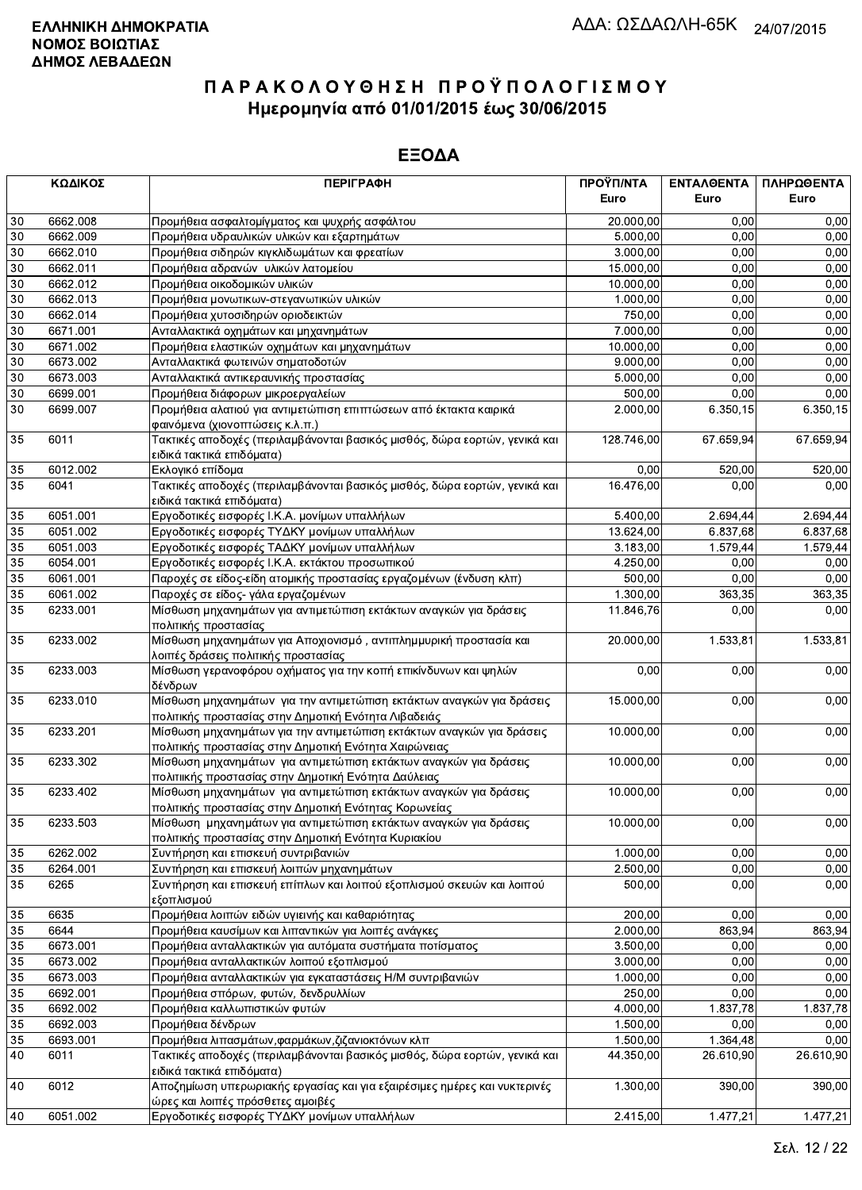|        | ΚΩΔΙΚΟΣ  | <b>ПЕРІГРАФН</b>                                                                                                               | ΠΡΟΫΠ/ΝΤΑ<br>Euro | ΕΝΤΑΛΘΕΝΤΑ<br>Euro | ΠΛΗΡΩΘΕΝΤΑ<br>Euro |
|--------|----------|--------------------------------------------------------------------------------------------------------------------------------|-------------------|--------------------|--------------------|
| 30     | 6662.008 | Προμήθεια ασφαλτομίγματος και ψυχρής ασφάλτου                                                                                  | 20.000,00         | 0.00               | 0,00               |
| 30     | 6662.009 | Προμήθεια υδραυλικών υλικών και εξαρτημάτων                                                                                    | 5.000,00          | 0,00               | 0,00               |
| 30     | 6662.010 | Προμήθεια σιδηρών κιγκλιδωμάτων και φρεατίων                                                                                   | 3.000,00          | 0,00               | 0,00               |
| 30     | 6662.011 | Προμήθεια αδρανών υλικών λατομείου                                                                                             | 15.000,00         | 0,00               | 0,00               |
| 30     | 6662.012 | Προμήθεια οικοδομικών υλικών                                                                                                   | 10.000,00         | 0,00               | 0,00               |
| $30\,$ | 6662.013 | Προμήθεια μονωτικων-στεγανωτικών υλικών                                                                                        | 1.000,00          | 0.00               | 0,00               |
| 30     | 6662.014 | Προμήθεια χυτοσιδηρών οριοδεικτών                                                                                              | 750,00            | 0,00               | 0,00               |
| 30     | 6671.001 | Ανταλλακτικά οχημάτων και μηχανημάτων                                                                                          | 7.000,00          | 0,00               | 0,00               |
| 30     | 6671.002 | Προμήθεια ελαστικών οχημάτων και μηχανημάτων                                                                                   | 10.000,00         | 0,00               | 0,00               |
| 30     | 6673.002 | Ανταλλακτικά φωτεινών σηματοδοτών                                                                                              | 9.000,00          | 0,00               | 0,00               |
| 30     | 6673.003 | Ανταλλακτικά αντικεραυνικής προστασίας                                                                                         | 5.000,00          | 0,00               | 0,00               |
| 30     | 6699.001 |                                                                                                                                | 500,00            | 0,00               | 0,00               |
| 30     | 6699.007 | Προμήθεια διάφορων μικροεργαλείων<br>Προμήθεια αλατιού για αντιμετώπιση επιπτώσεων από έκτακτα καιρικά                         | 2.000,00          | 6.350,15           | 6.350,15           |
|        |          | φαινόμενα (χιονοπτώσεις κ.λ.π.)                                                                                                |                   |                    |                    |
| 35     | 6011     | Τακτικές αποδοχές (περιλαμβάνονται βασικός μισθός, δώρα εορτών, γενικά και                                                     | 128.746,00        | 67.659,94          | 67.659,94          |
|        |          | ειδικά τακτικά επιδόματα)                                                                                                      |                   |                    |                    |
| 35     | 6012.002 | Εκλογικό επίδομα                                                                                                               | 0,00              | 520,00             | 520,00             |
| 35     | 6041     | Τακτικές αποδοχές (περιλαμβάνονται βασικός μισθός, δώρα εορτών, γενικά και                                                     | 16.476,00         | 0.00               | 0,00               |
|        |          | ειδικά τακτικά επιδόματα)                                                                                                      |                   |                    |                    |
| 35     | 6051.001 | Εργοδοτικές εισφορές Ι.Κ.Α. μονίμων υπαλλήλων                                                                                  | 5.400,00          | 2.694,44           | 2.694,44           |
| 35     | 6051.002 | Εργοδοτικές εισφορές ΤΥΔΚΥ μονίμων υπαλλήλων                                                                                   | 13.624,00         | 6.837.68           | 6.837,68           |
| 35     | 6051.003 | Εργοδοτικές εισφορές ΤΑΔΚΥ μονίμων υπαλλήλων                                                                                   | 3.183,00          | 1.579,44           | 1.579,44           |
| 35     | 6054.001 | Εργοδοτικές εισφορές Ι.Κ.Α. εκτάκτου προσωπικού                                                                                | 4.250,00          | 0,00               | 0,00               |
| 35     | 6061.001 | Παροχές σε είδος-είδη ατομικής προστασίας εργαζομένων (ένδυση κλπ)                                                             | 500,00            | 0,00               | 0,00               |
| 35     | 6061.002 | Παροχές σε είδος- γάλα εργαζομένων                                                                                             | 1.300,00          | 363,35             | 363,35             |
| 35     | 6233.001 | Μίσθωση μηχανημάτων για αντιμετώπιση εκτάκτων αναγκών για δράσεις                                                              | 11.846,76         | 0,00               | 0,00               |
|        |          | πολιτικής προστασίας                                                                                                           |                   |                    |                    |
| 35     | 6233.002 | Μίσθωση μηχανημάτων για Αποχιονισμό, αντιπλημμυρική προστασία και                                                              | 20.000,00         | 1.533,81           | 1.533,81           |
|        |          | λοιπές δράσεις πολιτικής προστασίας                                                                                            |                   |                    |                    |
| 35     | 6233.003 | Μίσθωση γερανοφόρου οχήματος για την κοπή επικίνδυνων και ψηλών<br>δένδρων                                                     | 0,00              | 0,00               | 0,00               |
| 35     | 6233.010 | Μίσθωση μηχανημάτων για την αντιμετώπιση εκτάκτων αναγκών για δράσεις                                                          | 15.000,00         | 0,00               | 0,00               |
|        |          | πολιτικής προστασίας στην Δημοτική Ενότητα Λιβαδειάς                                                                           |                   |                    |                    |
| 35     | 6233.201 | Μίσθωση μηχανημάτων για την αντιμετώπιση εκτάκτων αναγκών για δράσεις<br>πολιτικής προστασίας στην Δημοτική Ενότητα Χαιρώνειας | 10.000,00         | 0,00               | 0,00               |
| 35     | 6233.302 | Μίσθωση μηχανημάτων για αντιμετώπιση εκτάκτων αναγκών για δράσεις<br>πολιτιικής προστασίας στην Δημοτική Ενότητα Δαύλειας      | 10.000,00         | 0,00               | 0,00               |
| 35     | 6233.402 | Μίσθωση μηχανημάτων για αντιμετώπιση εκτάκτων αναγκών για δράσεις                                                              | 10.000,00         | 0,00               | 0,00               |
|        |          | πολιτικής προστασίας στην Δημοτική Ενότητας Κορωνείας                                                                          |                   |                    |                    |
| 35     | 6233.503 | Μίσθωση μηχανημάτων για αντιμετώπιση εκτάκτων αναγκών για δράσεις                                                              | 10.000,00         | 0,00               | 0,00               |
|        |          | πολιτικής προστασίας στην Δημοτική Ενότητα Κυριακίου                                                                           |                   |                    |                    |
| 35     | 6262.002 | Συντήρηση και επισκευή συντριβανιών                                                                                            | 1.000,00          | 0,00               | 0,00               |
| 35     | 6264.001 | Συντήρηση και επισκευή λοιπών μηχανημάτων                                                                                      | 2.500,00          | 0,00               | 0,00               |
| 35     | 6265     | Συντήρηση και επισκευή επίπλων και λοιπού εξοπλισμού σκευών και λοιπού<br>εξοπλισμού                                           | 500,00            | 0,00               | 0,00               |
| 35     | 6635     | Προμήθεια λοιπών ειδών υγιεινής και καθαριότητας                                                                               | 200.00            | 0,00               | 0,00               |
| 35     | 6644     | Προμήθεια καυσίμων και λιπαντικών για λοιπές ανάγκες                                                                           | 2.000,00          | 863,94             | 863,94             |
| 35     | 6673.001 | Προμήθεια ανταλλακτικών για αυτόματα συστήματα ποτίσματος                                                                      | 3.500,00          | 0,00               | 0,00               |
| 35     | 6673.002 | Προμήθεια ανταλλακτικών λοιπού εξοπλισμού                                                                                      | 3.000,00          | 0,00               | 0,00               |
| 35     | 6673.003 | Προμήθεια ανταλλακτικών για εγκαταστάσεις Η/Μ συντριβανιών                                                                     | 1.000,00          | 0.00               | 0,00               |
| 35     | 6692.001 | Προμήθεια σπόρων, φυτών, δενδρυλλίων                                                                                           | 250,00            | 0,00               | 0,00               |
| 35     | 6692.002 | Προμήθεια καλλωπιστικών φυτών                                                                                                  | 4.000,00          | 1.837,78           | 1.837,78           |
| 35     | 6692.003 | Προμήθεια δένδρων                                                                                                              | 1.500,00          | 0,00               | 0,00               |
| 35     | 6693.001 | Προμήθεια λιπασμάτων, φαρμάκων, ζιζανιοκτόνων κλπ                                                                              | 1.500,00          | 1.364,48           | 0,00               |
| 40     | 6011     | Τακτικές αποδοχές (περιλαμβάνονται βασικός μισθός, δώρα εορτών, γενικά και                                                     | 44.350,00         | 26.610,90          | 26.610,90          |
|        |          | ειδικά τακτικά επιδόματα)                                                                                                      |                   |                    |                    |
| 40     | 6012     | Αποζημίωση υπερωριακής εργασίας και για εξαιρέσιμες ημέρες και νυκτερινές                                                      | 1.300,00          | 390,00             | 390,00             |
| 40     | 6051.002 | ώρες και λοιπές πρόσθετες αμοιβές<br>Εργοδοτικές εισφορές ΤΥΔΚΥ μονίμων υπαλλήλων                                              | 2.415,00          | 1.477,21           | 1.477,21           |
|        |          |                                                                                                                                |                   |                    |                    |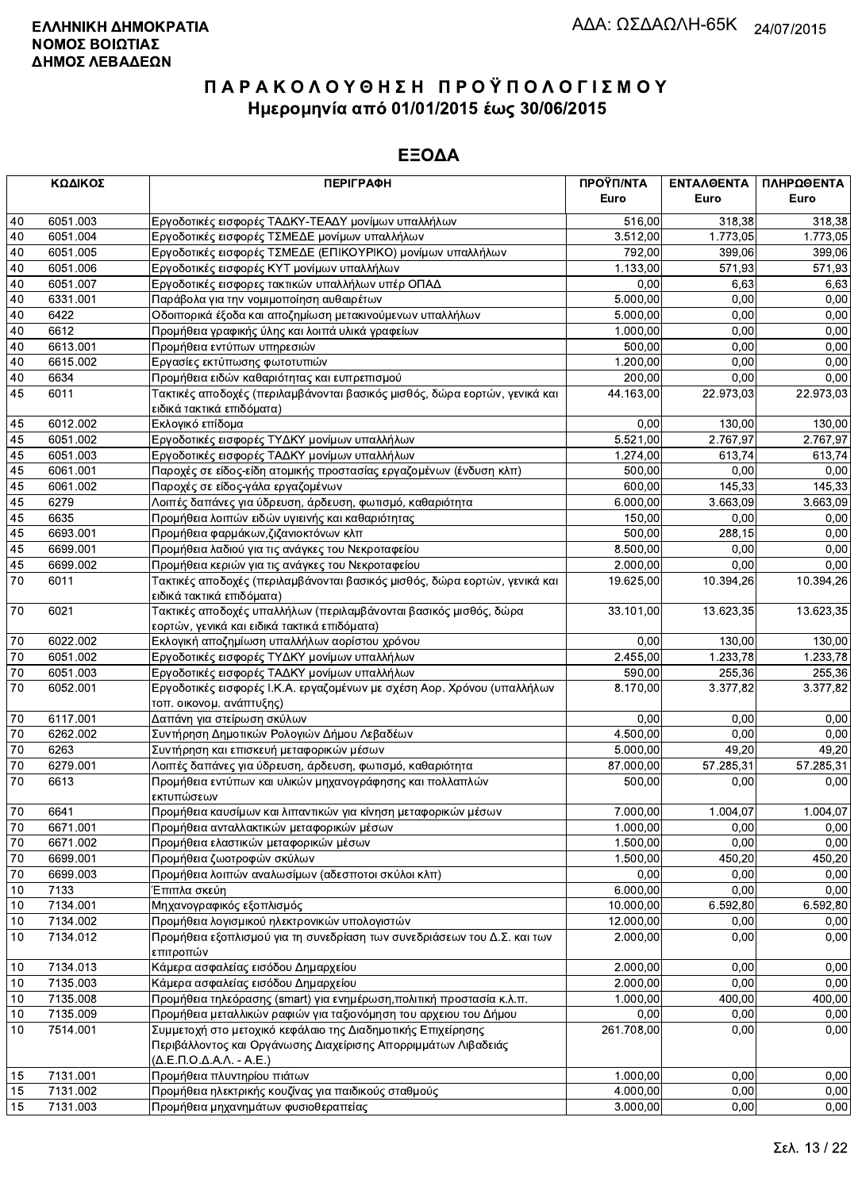| 6051.003<br>Εργοδοτικές εισφορές ΤΑΔΚΥ-ΤΕΑΔΥ μονίμων υπαλλήλων<br>318,38<br>40<br>516,00<br>318,38<br>6051.004<br>Εργοδοτικές εισφορές ΤΣΜΕΔΕ μονίμων υπαλλήλων<br>3.512,00<br>40<br>1.773,05<br>1.773,05<br>40<br>6051.005<br>Εργοδοτικές εισφορές ΤΣΜΕΔΕ (ΕΠΙΚΟΥΡΙΚΟ) μονίμων υπαλλήλων<br>792,00<br>399.06<br>399,06<br>571,93<br>40<br>6051.006<br>Εργοδοτικές εισφορές ΚΥΤ μονίμων υπαλλήλων<br>1.133,00<br>571,93<br>6051.007<br>0,00<br>6,63<br>40<br>Εργοδοτικές εισφορες τακτικών υπαλλήλων υπέρ ΟΠΑΔ<br>6,63<br>40<br>6331.001<br>5.000,00<br>0,00<br>0,00<br>Παράβολα για την νομιμοποίηση αυθαιρέτων<br>5.000,00<br>0,00<br>40<br>6422<br>Οδοιπορικά έξοδα και αποζημίωση μετακινούμενων υπαλλήλων<br>0,00<br>40<br>6612<br>0.00<br>0,00<br>Προμήθεια γραφικής ύλης και λοιπά υλικά γραφείων<br>1.000,00<br>0,00<br>40<br>6613.001<br>Προμήθεια εντύπων υπηρεσιών<br>0,00<br>500.00<br>6615.002<br>1.200,00<br>0,00<br>0,00<br>40<br>Εργασίες εκτύπωσης φωτοτυπιών<br>40<br>6634<br>Προμήθεια ειδών καθαριότητας και ευπρεπισμού<br>200,00<br>0,00<br>0,00<br>Τακτικές αποδοχές (περιλαμβάνονται βασικός μισθός, δώρα εορτών, γενικά και<br>45<br>6011<br>44.163,00<br>22.973,03<br>22.973,03<br>ειδικά τακτικά επιδόματα)<br>6012.002<br>0,00<br>45<br>Εκλογικό επίδομα<br>130,00<br>130,00<br>2.767,97<br>5.521,00<br>2.767,97<br>45<br>6051.002<br>Εργοδοτικές εισφορές ΤΥΔΚΥ μονίμων υπαλλήλων<br>45<br>6051.003<br>Εργοδοτικές εισφορές ΤΑΔΚΥ μονίμων υπαλλήλων<br>613,74<br>613,74<br>1.274,00<br>45<br>6061.001<br>500,00<br>Παροχές σε είδος-είδη ατομικής προστασίας εργαζομένων (ένδυση κλπ)<br>0,00<br>0,00<br>45<br>145,33<br>6061.002<br>Παροχές σε είδος-γάλα εργαζομένων<br>600,00<br>145,33<br>45<br>3.663,09<br>6279<br>Λοιπές δαπάνες για ύδρευση, άρδευση, φωτισμό, καθαριότητα<br>6.000,00<br>3.663.09<br>45<br>Προμήθεια λοιπών ειδών υγιεινής και καθαριότητας<br>0,00<br>6635<br>150,00<br>0,00<br>45<br>6693.001<br>288,15<br>Προμήθεια φαρμάκων, ζιζανιοκτόνων κλπ<br>500,00<br>0,00<br>45<br>Προμήθεια λαδιού για τις ανάγκες του Νεκροταφείου<br>8.500,00<br>0,00<br>0,00<br>6699.001<br>45<br>6699.002<br>2.000,00<br>0.00<br>0,00<br>Προμήθεια κεριών για τις ανάγκες του Νεκροταφείου<br>10.394,26<br>10.394,26<br>70<br>6011<br>Τακτικές αποδοχές (περιλαμβάνονται βασικός μισθός, δώρα εορτών, γενικά και<br>19.625,00<br>ειδικά τακτικά επιδόματα)<br>Τακτικές αποδοχές υπαλλήλων (περιλαμβάνονται βασικός μισθός, δώρα<br>70<br>6021<br>13.623,35<br>33.101,00<br>εορτών, γενικά και ειδικά τακτικά επιδόματα)<br>70<br>6022.002<br>0,00<br>130,00<br>130,00<br>Εκλογική αποζημίωση υπαλλήλων αορίστου χρόνου<br>2.455,00<br>1.233,78<br>70<br>6051.002<br>Εργοδοτικές εισφορές ΤΥΔΚΥ μονίμων υπαλλήλων<br>1.233,78<br>70<br>255,36<br>6051.003<br>Εργοδοτικές εισφορές ΤΑΔΚΥ μονίμων υπαλλήλων<br>590,00<br>255,36<br>70<br>3.377,82<br>6052.001<br>Εργοδοτικές εισφορές Ι.Κ.Α. εργαζομένων με σχέση Αορ. Χρόνου (υπαλλήλων<br>8.170,00<br>τοπ. οικονομ. ανάπτυξης)<br>6117.001<br>0,00<br>0,00<br>0,00<br>70<br>Δαπάνη για στείρωση σκύλων<br>70<br>6262.002<br>Συντήρηση Δημοτικών Ρολογιών Δήμου Λεβαδέων<br>4.500,00<br>0.00<br>0,00<br>70<br>6263<br>Συντήρηση και επισκευή μεταφορικών μέσων<br>5.000,00<br>49,20<br>49,20<br>$70\,$<br>6279.001<br>Λοιπές δαπάνες για ύδρευση, άρδευση, φωτισμό, καθαριότητα<br>87.000,00<br>57.285,31<br>57.285,31<br>70<br>6613<br>Προμήθεια εντύπων και υλικών μηχανογράφησης και πολλαπλών<br>500,00<br>0,00<br>εκτυπώσεων<br>70<br>6641<br>Προμήθεια καυσίμων και λιπαντικών για κίνηση μεταφορικών μέσων<br>7.000,00<br>1.004,07<br>1.004,07<br>70<br>6671.001<br>Προμήθεια ανταλλακτικών μεταφορικών μέσων<br>1.000,00<br>0,00<br>1.500,00<br>0,00<br>70<br>6671.002<br>Προμήθεια ελαστικών μεταφορικών μέσων<br>0,00<br>70<br>6699.001<br>Προμήθεια ζωοτροφών σκύλων<br>1.500,00<br>450,20<br>450,20<br>0,00<br>6699.003<br>Προμήθεια λοιπών αναλωσίμων (αδεσποτοι σκύλοι κλπ)<br>0,00<br>0,00<br>70<br>10<br>7133<br>6.000,00<br>0,00<br>Έπιπλα σκεύη<br>Μηχανογραφικός εξοπλισμός<br>10.000,00<br>7134.001<br>6.592,80<br>10<br>Προμήθεια λογισμικού ηλεκτρονικών υπολογιστών<br>10<br>7134.002<br>12.000,00<br>0,00<br>7134.012<br>Προμήθεια εξοπλισμού για τη συνεδρίαση των συνεδριάσεων του Δ.Σ. και των<br>10<br>2.000,00<br>0,00<br>επιτροπών<br>Κάμερα ασφαλείας εισόδου Δημαρχείου<br>7134.013<br>2.000,00<br>0,00<br>10<br>7135.003<br>2.000,00<br>0,00<br>Κάμερα ασφαλείας εισόδου Δημαρχείου<br>10<br>7135.008<br>Προμήθεια τηλεόρασης (smart) για ενημέρωση, πολιτική προστασία κ.λ.π.<br>1.000,00<br>400,00<br>10<br>7135.009<br>Προμήθεια μεταλλικών ραφιών για ταξιονόμηση του αρχειου του Δήμου<br>0,00<br>0,00<br>10<br>Συμμετοχή στο μετοχικό κεφάλαιο της Διαδημοτικής Επιχείρησης<br>0,00<br>10<br>7514.001<br>261.708,00<br>0,00<br>Περιβάλλοντος και Οργάνωσης Διαχείρισης Απορριμμάτων Λιβαδειάς<br>$(\Delta$ .E. $\Pi$ .O. $\Delta$ .A. $\Lambda$ . - A.E.)<br>7131.001<br>Προμήθεια πλυντηρίου πιάτων<br>1.000,00<br>0,00<br>0,00<br>15<br>7131.002<br>Προμήθεια ηλεκτρικής κουζίνας για παιδικούς σταθμούς<br>4.000,00<br>0,00<br>15<br>0,00<br>15<br>3.000,00<br>0,00 | ΚΩΔΙΚΟΣ  | <b>ПЕРІГРАФН</b>                     | ΠΡΟΫΠ/ΝΤΑ<br>Euro | ΕΝΤΑΛΘΕΝΤΑ<br>Euro | ΠΛΗΡΩΘΕΝΤΑ<br>Euro |
|--------------------------------------------------------------------------------------------------------------------------------------------------------------------------------------------------------------------------------------------------------------------------------------------------------------------------------------------------------------------------------------------------------------------------------------------------------------------------------------------------------------------------------------------------------------------------------------------------------------------------------------------------------------------------------------------------------------------------------------------------------------------------------------------------------------------------------------------------------------------------------------------------------------------------------------------------------------------------------------------------------------------------------------------------------------------------------------------------------------------------------------------------------------------------------------------------------------------------------------------------------------------------------------------------------------------------------------------------------------------------------------------------------------------------------------------------------------------------------------------------------------------------------------------------------------------------------------------------------------------------------------------------------------------------------------------------------------------------------------------------------------------------------------------------------------------------------------------------------------------------------------------------------------------------------------------------------------------------------------------------------------------------------------------------------------------------------------------------------------------------------------------------------------------------------------------------------------------------------------------------------------------------------------------------------------------------------------------------------------------------------------------------------------------------------------------------------------------------------------------------------------------------------------------------------------------------------------------------------------------------------------------------------------------------------------------------------------------------------------------------------------------------------------------------------------------------------------------------------------------------------------------------------------------------------------------------------------------------------------------------------------------------------------------------------------------------------------------------------------------------------------------------------------------------------------------------------------------------------------------------------------------------------------------------------------------------------------------------------------------------------------------------------------------------------------------------------------------------------------------------------------------------------------------------------------------------------------------------------------------------------------------------------------------------------------------------------------------------------------------------------------------------------------------------------------------------------------------------------------------------------------------------------------------------------------------------------------------------------------------------------------------------------------------------------------------------------------------------------------------------------------------------------------------------------------------------------------------------------------------------------------------------------------------------------------------------------------------------------------------------------------------------------------------------------------------------------------------------------------------------------------------------------------------------------------------------------------------------------------------------------------------------------------------------------------------------------------------------------------------------------------------------------------------------------------------------------------------------------------------------------------------------------------------------------------------------------------------------------------------------------------------------------------------------------------------------------------------------------------------------------------------------------------------------------------------------|----------|--------------------------------------|-------------------|--------------------|--------------------|
|                                                                                                                                                                                                                                                                                                                                                                                                                                                                                                                                                                                                                                                                                                                                                                                                                                                                                                                                                                                                                                                                                                                                                                                                                                                                                                                                                                                                                                                                                                                                                                                                                                                                                                                                                                                                                                                                                                                                                                                                                                                                                                                                                                                                                                                                                                                                                                                                                                                                                                                                                                                                                                                                                                                                                                                                                                                                                                                                                                                                                                                                                                                                                                                                                                                                                                                                                                                                                                                                                                                                                                                                                                                                                                                                                                                                                                                                                                                                                                                                                                                                                                                                                                                                                                                                                                                                                                                                                                                                                                                                                                                                                                                                                                                                                                                                                                                                                                                                                                                                                                                                                                                                                                                                  |          |                                      |                   |                    |                    |
|                                                                                                                                                                                                                                                                                                                                                                                                                                                                                                                                                                                                                                                                                                                                                                                                                                                                                                                                                                                                                                                                                                                                                                                                                                                                                                                                                                                                                                                                                                                                                                                                                                                                                                                                                                                                                                                                                                                                                                                                                                                                                                                                                                                                                                                                                                                                                                                                                                                                                                                                                                                                                                                                                                                                                                                                                                                                                                                                                                                                                                                                                                                                                                                                                                                                                                                                                                                                                                                                                                                                                                                                                                                                                                                                                                                                                                                                                                                                                                                                                                                                                                                                                                                                                                                                                                                                                                                                                                                                                                                                                                                                                                                                                                                                                                                                                                                                                                                                                                                                                                                                                                                                                                                                  |          |                                      |                   |                    |                    |
|                                                                                                                                                                                                                                                                                                                                                                                                                                                                                                                                                                                                                                                                                                                                                                                                                                                                                                                                                                                                                                                                                                                                                                                                                                                                                                                                                                                                                                                                                                                                                                                                                                                                                                                                                                                                                                                                                                                                                                                                                                                                                                                                                                                                                                                                                                                                                                                                                                                                                                                                                                                                                                                                                                                                                                                                                                                                                                                                                                                                                                                                                                                                                                                                                                                                                                                                                                                                                                                                                                                                                                                                                                                                                                                                                                                                                                                                                                                                                                                                                                                                                                                                                                                                                                                                                                                                                                                                                                                                                                                                                                                                                                                                                                                                                                                                                                                                                                                                                                                                                                                                                                                                                                                                  |          |                                      |                   |                    |                    |
|                                                                                                                                                                                                                                                                                                                                                                                                                                                                                                                                                                                                                                                                                                                                                                                                                                                                                                                                                                                                                                                                                                                                                                                                                                                                                                                                                                                                                                                                                                                                                                                                                                                                                                                                                                                                                                                                                                                                                                                                                                                                                                                                                                                                                                                                                                                                                                                                                                                                                                                                                                                                                                                                                                                                                                                                                                                                                                                                                                                                                                                                                                                                                                                                                                                                                                                                                                                                                                                                                                                                                                                                                                                                                                                                                                                                                                                                                                                                                                                                                                                                                                                                                                                                                                                                                                                                                                                                                                                                                                                                                                                                                                                                                                                                                                                                                                                                                                                                                                                                                                                                                                                                                                                                  |          |                                      |                   |                    |                    |
|                                                                                                                                                                                                                                                                                                                                                                                                                                                                                                                                                                                                                                                                                                                                                                                                                                                                                                                                                                                                                                                                                                                                                                                                                                                                                                                                                                                                                                                                                                                                                                                                                                                                                                                                                                                                                                                                                                                                                                                                                                                                                                                                                                                                                                                                                                                                                                                                                                                                                                                                                                                                                                                                                                                                                                                                                                                                                                                                                                                                                                                                                                                                                                                                                                                                                                                                                                                                                                                                                                                                                                                                                                                                                                                                                                                                                                                                                                                                                                                                                                                                                                                                                                                                                                                                                                                                                                                                                                                                                                                                                                                                                                                                                                                                                                                                                                                                                                                                                                                                                                                                                                                                                                                                  |          |                                      |                   |                    |                    |
|                                                                                                                                                                                                                                                                                                                                                                                                                                                                                                                                                                                                                                                                                                                                                                                                                                                                                                                                                                                                                                                                                                                                                                                                                                                                                                                                                                                                                                                                                                                                                                                                                                                                                                                                                                                                                                                                                                                                                                                                                                                                                                                                                                                                                                                                                                                                                                                                                                                                                                                                                                                                                                                                                                                                                                                                                                                                                                                                                                                                                                                                                                                                                                                                                                                                                                                                                                                                                                                                                                                                                                                                                                                                                                                                                                                                                                                                                                                                                                                                                                                                                                                                                                                                                                                                                                                                                                                                                                                                                                                                                                                                                                                                                                                                                                                                                                                                                                                                                                                                                                                                                                                                                                                                  |          |                                      |                   |                    |                    |
|                                                                                                                                                                                                                                                                                                                                                                                                                                                                                                                                                                                                                                                                                                                                                                                                                                                                                                                                                                                                                                                                                                                                                                                                                                                                                                                                                                                                                                                                                                                                                                                                                                                                                                                                                                                                                                                                                                                                                                                                                                                                                                                                                                                                                                                                                                                                                                                                                                                                                                                                                                                                                                                                                                                                                                                                                                                                                                                                                                                                                                                                                                                                                                                                                                                                                                                                                                                                                                                                                                                                                                                                                                                                                                                                                                                                                                                                                                                                                                                                                                                                                                                                                                                                                                                                                                                                                                                                                                                                                                                                                                                                                                                                                                                                                                                                                                                                                                                                                                                                                                                                                                                                                                                                  |          |                                      |                   |                    |                    |
|                                                                                                                                                                                                                                                                                                                                                                                                                                                                                                                                                                                                                                                                                                                                                                                                                                                                                                                                                                                                                                                                                                                                                                                                                                                                                                                                                                                                                                                                                                                                                                                                                                                                                                                                                                                                                                                                                                                                                                                                                                                                                                                                                                                                                                                                                                                                                                                                                                                                                                                                                                                                                                                                                                                                                                                                                                                                                                                                                                                                                                                                                                                                                                                                                                                                                                                                                                                                                                                                                                                                                                                                                                                                                                                                                                                                                                                                                                                                                                                                                                                                                                                                                                                                                                                                                                                                                                                                                                                                                                                                                                                                                                                                                                                                                                                                                                                                                                                                                                                                                                                                                                                                                                                                  |          |                                      |                   |                    |                    |
|                                                                                                                                                                                                                                                                                                                                                                                                                                                                                                                                                                                                                                                                                                                                                                                                                                                                                                                                                                                                                                                                                                                                                                                                                                                                                                                                                                                                                                                                                                                                                                                                                                                                                                                                                                                                                                                                                                                                                                                                                                                                                                                                                                                                                                                                                                                                                                                                                                                                                                                                                                                                                                                                                                                                                                                                                                                                                                                                                                                                                                                                                                                                                                                                                                                                                                                                                                                                                                                                                                                                                                                                                                                                                                                                                                                                                                                                                                                                                                                                                                                                                                                                                                                                                                                                                                                                                                                                                                                                                                                                                                                                                                                                                                                                                                                                                                                                                                                                                                                                                                                                                                                                                                                                  |          |                                      |                   |                    |                    |
|                                                                                                                                                                                                                                                                                                                                                                                                                                                                                                                                                                                                                                                                                                                                                                                                                                                                                                                                                                                                                                                                                                                                                                                                                                                                                                                                                                                                                                                                                                                                                                                                                                                                                                                                                                                                                                                                                                                                                                                                                                                                                                                                                                                                                                                                                                                                                                                                                                                                                                                                                                                                                                                                                                                                                                                                                                                                                                                                                                                                                                                                                                                                                                                                                                                                                                                                                                                                                                                                                                                                                                                                                                                                                                                                                                                                                                                                                                                                                                                                                                                                                                                                                                                                                                                                                                                                                                                                                                                                                                                                                                                                                                                                                                                                                                                                                                                                                                                                                                                                                                                                                                                                                                                                  |          |                                      |                   |                    |                    |
|                                                                                                                                                                                                                                                                                                                                                                                                                                                                                                                                                                                                                                                                                                                                                                                                                                                                                                                                                                                                                                                                                                                                                                                                                                                                                                                                                                                                                                                                                                                                                                                                                                                                                                                                                                                                                                                                                                                                                                                                                                                                                                                                                                                                                                                                                                                                                                                                                                                                                                                                                                                                                                                                                                                                                                                                                                                                                                                                                                                                                                                                                                                                                                                                                                                                                                                                                                                                                                                                                                                                                                                                                                                                                                                                                                                                                                                                                                                                                                                                                                                                                                                                                                                                                                                                                                                                                                                                                                                                                                                                                                                                                                                                                                                                                                                                                                                                                                                                                                                                                                                                                                                                                                                                  |          |                                      |                   |                    |                    |
|                                                                                                                                                                                                                                                                                                                                                                                                                                                                                                                                                                                                                                                                                                                                                                                                                                                                                                                                                                                                                                                                                                                                                                                                                                                                                                                                                                                                                                                                                                                                                                                                                                                                                                                                                                                                                                                                                                                                                                                                                                                                                                                                                                                                                                                                                                                                                                                                                                                                                                                                                                                                                                                                                                                                                                                                                                                                                                                                                                                                                                                                                                                                                                                                                                                                                                                                                                                                                                                                                                                                                                                                                                                                                                                                                                                                                                                                                                                                                                                                                                                                                                                                                                                                                                                                                                                                                                                                                                                                                                                                                                                                                                                                                                                                                                                                                                                                                                                                                                                                                                                                                                                                                                                                  |          |                                      |                   |                    |                    |
|                                                                                                                                                                                                                                                                                                                                                                                                                                                                                                                                                                                                                                                                                                                                                                                                                                                                                                                                                                                                                                                                                                                                                                                                                                                                                                                                                                                                                                                                                                                                                                                                                                                                                                                                                                                                                                                                                                                                                                                                                                                                                                                                                                                                                                                                                                                                                                                                                                                                                                                                                                                                                                                                                                                                                                                                                                                                                                                                                                                                                                                                                                                                                                                                                                                                                                                                                                                                                                                                                                                                                                                                                                                                                                                                                                                                                                                                                                                                                                                                                                                                                                                                                                                                                                                                                                                                                                                                                                                                                                                                                                                                                                                                                                                                                                                                                                                                                                                                                                                                                                                                                                                                                                                                  |          |                                      |                   |                    |                    |
|                                                                                                                                                                                                                                                                                                                                                                                                                                                                                                                                                                                                                                                                                                                                                                                                                                                                                                                                                                                                                                                                                                                                                                                                                                                                                                                                                                                                                                                                                                                                                                                                                                                                                                                                                                                                                                                                                                                                                                                                                                                                                                                                                                                                                                                                                                                                                                                                                                                                                                                                                                                                                                                                                                                                                                                                                                                                                                                                                                                                                                                                                                                                                                                                                                                                                                                                                                                                                                                                                                                                                                                                                                                                                                                                                                                                                                                                                                                                                                                                                                                                                                                                                                                                                                                                                                                                                                                                                                                                                                                                                                                                                                                                                                                                                                                                                                                                                                                                                                                                                                                                                                                                                                                                  |          |                                      |                   |                    |                    |
|                                                                                                                                                                                                                                                                                                                                                                                                                                                                                                                                                                                                                                                                                                                                                                                                                                                                                                                                                                                                                                                                                                                                                                                                                                                                                                                                                                                                                                                                                                                                                                                                                                                                                                                                                                                                                                                                                                                                                                                                                                                                                                                                                                                                                                                                                                                                                                                                                                                                                                                                                                                                                                                                                                                                                                                                                                                                                                                                                                                                                                                                                                                                                                                                                                                                                                                                                                                                                                                                                                                                                                                                                                                                                                                                                                                                                                                                                                                                                                                                                                                                                                                                                                                                                                                                                                                                                                                                                                                                                                                                                                                                                                                                                                                                                                                                                                                                                                                                                                                                                                                                                                                                                                                                  |          |                                      |                   |                    |                    |
|                                                                                                                                                                                                                                                                                                                                                                                                                                                                                                                                                                                                                                                                                                                                                                                                                                                                                                                                                                                                                                                                                                                                                                                                                                                                                                                                                                                                                                                                                                                                                                                                                                                                                                                                                                                                                                                                                                                                                                                                                                                                                                                                                                                                                                                                                                                                                                                                                                                                                                                                                                                                                                                                                                                                                                                                                                                                                                                                                                                                                                                                                                                                                                                                                                                                                                                                                                                                                                                                                                                                                                                                                                                                                                                                                                                                                                                                                                                                                                                                                                                                                                                                                                                                                                                                                                                                                                                                                                                                                                                                                                                                                                                                                                                                                                                                                                                                                                                                                                                                                                                                                                                                                                                                  |          |                                      |                   |                    |                    |
|                                                                                                                                                                                                                                                                                                                                                                                                                                                                                                                                                                                                                                                                                                                                                                                                                                                                                                                                                                                                                                                                                                                                                                                                                                                                                                                                                                                                                                                                                                                                                                                                                                                                                                                                                                                                                                                                                                                                                                                                                                                                                                                                                                                                                                                                                                                                                                                                                                                                                                                                                                                                                                                                                                                                                                                                                                                                                                                                                                                                                                                                                                                                                                                                                                                                                                                                                                                                                                                                                                                                                                                                                                                                                                                                                                                                                                                                                                                                                                                                                                                                                                                                                                                                                                                                                                                                                                                                                                                                                                                                                                                                                                                                                                                                                                                                                                                                                                                                                                                                                                                                                                                                                                                                  |          |                                      |                   |                    |                    |
|                                                                                                                                                                                                                                                                                                                                                                                                                                                                                                                                                                                                                                                                                                                                                                                                                                                                                                                                                                                                                                                                                                                                                                                                                                                                                                                                                                                                                                                                                                                                                                                                                                                                                                                                                                                                                                                                                                                                                                                                                                                                                                                                                                                                                                                                                                                                                                                                                                                                                                                                                                                                                                                                                                                                                                                                                                                                                                                                                                                                                                                                                                                                                                                                                                                                                                                                                                                                                                                                                                                                                                                                                                                                                                                                                                                                                                                                                                                                                                                                                                                                                                                                                                                                                                                                                                                                                                                                                                                                                                                                                                                                                                                                                                                                                                                                                                                                                                                                                                                                                                                                                                                                                                                                  |          |                                      |                   |                    |                    |
|                                                                                                                                                                                                                                                                                                                                                                                                                                                                                                                                                                                                                                                                                                                                                                                                                                                                                                                                                                                                                                                                                                                                                                                                                                                                                                                                                                                                                                                                                                                                                                                                                                                                                                                                                                                                                                                                                                                                                                                                                                                                                                                                                                                                                                                                                                                                                                                                                                                                                                                                                                                                                                                                                                                                                                                                                                                                                                                                                                                                                                                                                                                                                                                                                                                                                                                                                                                                                                                                                                                                                                                                                                                                                                                                                                                                                                                                                                                                                                                                                                                                                                                                                                                                                                                                                                                                                                                                                                                                                                                                                                                                                                                                                                                                                                                                                                                                                                                                                                                                                                                                                                                                                                                                  |          |                                      |                   |                    |                    |
|                                                                                                                                                                                                                                                                                                                                                                                                                                                                                                                                                                                                                                                                                                                                                                                                                                                                                                                                                                                                                                                                                                                                                                                                                                                                                                                                                                                                                                                                                                                                                                                                                                                                                                                                                                                                                                                                                                                                                                                                                                                                                                                                                                                                                                                                                                                                                                                                                                                                                                                                                                                                                                                                                                                                                                                                                                                                                                                                                                                                                                                                                                                                                                                                                                                                                                                                                                                                                                                                                                                                                                                                                                                                                                                                                                                                                                                                                                                                                                                                                                                                                                                                                                                                                                                                                                                                                                                                                                                                                                                                                                                                                                                                                                                                                                                                                                                                                                                                                                                                                                                                                                                                                                                                  |          |                                      |                   |                    |                    |
|                                                                                                                                                                                                                                                                                                                                                                                                                                                                                                                                                                                                                                                                                                                                                                                                                                                                                                                                                                                                                                                                                                                                                                                                                                                                                                                                                                                                                                                                                                                                                                                                                                                                                                                                                                                                                                                                                                                                                                                                                                                                                                                                                                                                                                                                                                                                                                                                                                                                                                                                                                                                                                                                                                                                                                                                                                                                                                                                                                                                                                                                                                                                                                                                                                                                                                                                                                                                                                                                                                                                                                                                                                                                                                                                                                                                                                                                                                                                                                                                                                                                                                                                                                                                                                                                                                                                                                                                                                                                                                                                                                                                                                                                                                                                                                                                                                                                                                                                                                                                                                                                                                                                                                                                  |          |                                      |                   |                    |                    |
|                                                                                                                                                                                                                                                                                                                                                                                                                                                                                                                                                                                                                                                                                                                                                                                                                                                                                                                                                                                                                                                                                                                                                                                                                                                                                                                                                                                                                                                                                                                                                                                                                                                                                                                                                                                                                                                                                                                                                                                                                                                                                                                                                                                                                                                                                                                                                                                                                                                                                                                                                                                                                                                                                                                                                                                                                                                                                                                                                                                                                                                                                                                                                                                                                                                                                                                                                                                                                                                                                                                                                                                                                                                                                                                                                                                                                                                                                                                                                                                                                                                                                                                                                                                                                                                                                                                                                                                                                                                                                                                                                                                                                                                                                                                                                                                                                                                                                                                                                                                                                                                                                                                                                                                                  |          |                                      |                   |                    |                    |
|                                                                                                                                                                                                                                                                                                                                                                                                                                                                                                                                                                                                                                                                                                                                                                                                                                                                                                                                                                                                                                                                                                                                                                                                                                                                                                                                                                                                                                                                                                                                                                                                                                                                                                                                                                                                                                                                                                                                                                                                                                                                                                                                                                                                                                                                                                                                                                                                                                                                                                                                                                                                                                                                                                                                                                                                                                                                                                                                                                                                                                                                                                                                                                                                                                                                                                                                                                                                                                                                                                                                                                                                                                                                                                                                                                                                                                                                                                                                                                                                                                                                                                                                                                                                                                                                                                                                                                                                                                                                                                                                                                                                                                                                                                                                                                                                                                                                                                                                                                                                                                                                                                                                                                                                  |          |                                      |                   |                    |                    |
|                                                                                                                                                                                                                                                                                                                                                                                                                                                                                                                                                                                                                                                                                                                                                                                                                                                                                                                                                                                                                                                                                                                                                                                                                                                                                                                                                                                                                                                                                                                                                                                                                                                                                                                                                                                                                                                                                                                                                                                                                                                                                                                                                                                                                                                                                                                                                                                                                                                                                                                                                                                                                                                                                                                                                                                                                                                                                                                                                                                                                                                                                                                                                                                                                                                                                                                                                                                                                                                                                                                                                                                                                                                                                                                                                                                                                                                                                                                                                                                                                                                                                                                                                                                                                                                                                                                                                                                                                                                                                                                                                                                                                                                                                                                                                                                                                                                                                                                                                                                                                                                                                                                                                                                                  |          |                                      |                   |                    |                    |
|                                                                                                                                                                                                                                                                                                                                                                                                                                                                                                                                                                                                                                                                                                                                                                                                                                                                                                                                                                                                                                                                                                                                                                                                                                                                                                                                                                                                                                                                                                                                                                                                                                                                                                                                                                                                                                                                                                                                                                                                                                                                                                                                                                                                                                                                                                                                                                                                                                                                                                                                                                                                                                                                                                                                                                                                                                                                                                                                                                                                                                                                                                                                                                                                                                                                                                                                                                                                                                                                                                                                                                                                                                                                                                                                                                                                                                                                                                                                                                                                                                                                                                                                                                                                                                                                                                                                                                                                                                                                                                                                                                                                                                                                                                                                                                                                                                                                                                                                                                                                                                                                                                                                                                                                  |          |                                      |                   |                    |                    |
|                                                                                                                                                                                                                                                                                                                                                                                                                                                                                                                                                                                                                                                                                                                                                                                                                                                                                                                                                                                                                                                                                                                                                                                                                                                                                                                                                                                                                                                                                                                                                                                                                                                                                                                                                                                                                                                                                                                                                                                                                                                                                                                                                                                                                                                                                                                                                                                                                                                                                                                                                                                                                                                                                                                                                                                                                                                                                                                                                                                                                                                                                                                                                                                                                                                                                                                                                                                                                                                                                                                                                                                                                                                                                                                                                                                                                                                                                                                                                                                                                                                                                                                                                                                                                                                                                                                                                                                                                                                                                                                                                                                                                                                                                                                                                                                                                                                                                                                                                                                                                                                                                                                                                                                                  |          |                                      |                   |                    | 13.623,35          |
|                                                                                                                                                                                                                                                                                                                                                                                                                                                                                                                                                                                                                                                                                                                                                                                                                                                                                                                                                                                                                                                                                                                                                                                                                                                                                                                                                                                                                                                                                                                                                                                                                                                                                                                                                                                                                                                                                                                                                                                                                                                                                                                                                                                                                                                                                                                                                                                                                                                                                                                                                                                                                                                                                                                                                                                                                                                                                                                                                                                                                                                                                                                                                                                                                                                                                                                                                                                                                                                                                                                                                                                                                                                                                                                                                                                                                                                                                                                                                                                                                                                                                                                                                                                                                                                                                                                                                                                                                                                                                                                                                                                                                                                                                                                                                                                                                                                                                                                                                                                                                                                                                                                                                                                                  |          |                                      |                   |                    |                    |
|                                                                                                                                                                                                                                                                                                                                                                                                                                                                                                                                                                                                                                                                                                                                                                                                                                                                                                                                                                                                                                                                                                                                                                                                                                                                                                                                                                                                                                                                                                                                                                                                                                                                                                                                                                                                                                                                                                                                                                                                                                                                                                                                                                                                                                                                                                                                                                                                                                                                                                                                                                                                                                                                                                                                                                                                                                                                                                                                                                                                                                                                                                                                                                                                                                                                                                                                                                                                                                                                                                                                                                                                                                                                                                                                                                                                                                                                                                                                                                                                                                                                                                                                                                                                                                                                                                                                                                                                                                                                                                                                                                                                                                                                                                                                                                                                                                                                                                                                                                                                                                                                                                                                                                                                  |          |                                      |                   |                    |                    |
|                                                                                                                                                                                                                                                                                                                                                                                                                                                                                                                                                                                                                                                                                                                                                                                                                                                                                                                                                                                                                                                                                                                                                                                                                                                                                                                                                                                                                                                                                                                                                                                                                                                                                                                                                                                                                                                                                                                                                                                                                                                                                                                                                                                                                                                                                                                                                                                                                                                                                                                                                                                                                                                                                                                                                                                                                                                                                                                                                                                                                                                                                                                                                                                                                                                                                                                                                                                                                                                                                                                                                                                                                                                                                                                                                                                                                                                                                                                                                                                                                                                                                                                                                                                                                                                                                                                                                                                                                                                                                                                                                                                                                                                                                                                                                                                                                                                                                                                                                                                                                                                                                                                                                                                                  |          |                                      |                   |                    |                    |
|                                                                                                                                                                                                                                                                                                                                                                                                                                                                                                                                                                                                                                                                                                                                                                                                                                                                                                                                                                                                                                                                                                                                                                                                                                                                                                                                                                                                                                                                                                                                                                                                                                                                                                                                                                                                                                                                                                                                                                                                                                                                                                                                                                                                                                                                                                                                                                                                                                                                                                                                                                                                                                                                                                                                                                                                                                                                                                                                                                                                                                                                                                                                                                                                                                                                                                                                                                                                                                                                                                                                                                                                                                                                                                                                                                                                                                                                                                                                                                                                                                                                                                                                                                                                                                                                                                                                                                                                                                                                                                                                                                                                                                                                                                                                                                                                                                                                                                                                                                                                                                                                                                                                                                                                  |          |                                      |                   |                    | 3.377,82           |
|                                                                                                                                                                                                                                                                                                                                                                                                                                                                                                                                                                                                                                                                                                                                                                                                                                                                                                                                                                                                                                                                                                                                                                                                                                                                                                                                                                                                                                                                                                                                                                                                                                                                                                                                                                                                                                                                                                                                                                                                                                                                                                                                                                                                                                                                                                                                                                                                                                                                                                                                                                                                                                                                                                                                                                                                                                                                                                                                                                                                                                                                                                                                                                                                                                                                                                                                                                                                                                                                                                                                                                                                                                                                                                                                                                                                                                                                                                                                                                                                                                                                                                                                                                                                                                                                                                                                                                                                                                                                                                                                                                                                                                                                                                                                                                                                                                                                                                                                                                                                                                                                                                                                                                                                  |          |                                      |                   |                    |                    |
|                                                                                                                                                                                                                                                                                                                                                                                                                                                                                                                                                                                                                                                                                                                                                                                                                                                                                                                                                                                                                                                                                                                                                                                                                                                                                                                                                                                                                                                                                                                                                                                                                                                                                                                                                                                                                                                                                                                                                                                                                                                                                                                                                                                                                                                                                                                                                                                                                                                                                                                                                                                                                                                                                                                                                                                                                                                                                                                                                                                                                                                                                                                                                                                                                                                                                                                                                                                                                                                                                                                                                                                                                                                                                                                                                                                                                                                                                                                                                                                                                                                                                                                                                                                                                                                                                                                                                                                                                                                                                                                                                                                                                                                                                                                                                                                                                                                                                                                                                                                                                                                                                                                                                                                                  |          |                                      |                   |                    |                    |
|                                                                                                                                                                                                                                                                                                                                                                                                                                                                                                                                                                                                                                                                                                                                                                                                                                                                                                                                                                                                                                                                                                                                                                                                                                                                                                                                                                                                                                                                                                                                                                                                                                                                                                                                                                                                                                                                                                                                                                                                                                                                                                                                                                                                                                                                                                                                                                                                                                                                                                                                                                                                                                                                                                                                                                                                                                                                                                                                                                                                                                                                                                                                                                                                                                                                                                                                                                                                                                                                                                                                                                                                                                                                                                                                                                                                                                                                                                                                                                                                                                                                                                                                                                                                                                                                                                                                                                                                                                                                                                                                                                                                                                                                                                                                                                                                                                                                                                                                                                                                                                                                                                                                                                                                  |          |                                      |                   |                    |                    |
|                                                                                                                                                                                                                                                                                                                                                                                                                                                                                                                                                                                                                                                                                                                                                                                                                                                                                                                                                                                                                                                                                                                                                                                                                                                                                                                                                                                                                                                                                                                                                                                                                                                                                                                                                                                                                                                                                                                                                                                                                                                                                                                                                                                                                                                                                                                                                                                                                                                                                                                                                                                                                                                                                                                                                                                                                                                                                                                                                                                                                                                                                                                                                                                                                                                                                                                                                                                                                                                                                                                                                                                                                                                                                                                                                                                                                                                                                                                                                                                                                                                                                                                                                                                                                                                                                                                                                                                                                                                                                                                                                                                                                                                                                                                                                                                                                                                                                                                                                                                                                                                                                                                                                                                                  |          |                                      |                   |                    |                    |
|                                                                                                                                                                                                                                                                                                                                                                                                                                                                                                                                                                                                                                                                                                                                                                                                                                                                                                                                                                                                                                                                                                                                                                                                                                                                                                                                                                                                                                                                                                                                                                                                                                                                                                                                                                                                                                                                                                                                                                                                                                                                                                                                                                                                                                                                                                                                                                                                                                                                                                                                                                                                                                                                                                                                                                                                                                                                                                                                                                                                                                                                                                                                                                                                                                                                                                                                                                                                                                                                                                                                                                                                                                                                                                                                                                                                                                                                                                                                                                                                                                                                                                                                                                                                                                                                                                                                                                                                                                                                                                                                                                                                                                                                                                                                                                                                                                                                                                                                                                                                                                                                                                                                                                                                  |          |                                      |                   |                    | 0,00               |
|                                                                                                                                                                                                                                                                                                                                                                                                                                                                                                                                                                                                                                                                                                                                                                                                                                                                                                                                                                                                                                                                                                                                                                                                                                                                                                                                                                                                                                                                                                                                                                                                                                                                                                                                                                                                                                                                                                                                                                                                                                                                                                                                                                                                                                                                                                                                                                                                                                                                                                                                                                                                                                                                                                                                                                                                                                                                                                                                                                                                                                                                                                                                                                                                                                                                                                                                                                                                                                                                                                                                                                                                                                                                                                                                                                                                                                                                                                                                                                                                                                                                                                                                                                                                                                                                                                                                                                                                                                                                                                                                                                                                                                                                                                                                                                                                                                                                                                                                                                                                                                                                                                                                                                                                  |          |                                      |                   |                    |                    |
|                                                                                                                                                                                                                                                                                                                                                                                                                                                                                                                                                                                                                                                                                                                                                                                                                                                                                                                                                                                                                                                                                                                                                                                                                                                                                                                                                                                                                                                                                                                                                                                                                                                                                                                                                                                                                                                                                                                                                                                                                                                                                                                                                                                                                                                                                                                                                                                                                                                                                                                                                                                                                                                                                                                                                                                                                                                                                                                                                                                                                                                                                                                                                                                                                                                                                                                                                                                                                                                                                                                                                                                                                                                                                                                                                                                                                                                                                                                                                                                                                                                                                                                                                                                                                                                                                                                                                                                                                                                                                                                                                                                                                                                                                                                                                                                                                                                                                                                                                                                                                                                                                                                                                                                                  |          |                                      |                   |                    |                    |
|                                                                                                                                                                                                                                                                                                                                                                                                                                                                                                                                                                                                                                                                                                                                                                                                                                                                                                                                                                                                                                                                                                                                                                                                                                                                                                                                                                                                                                                                                                                                                                                                                                                                                                                                                                                                                                                                                                                                                                                                                                                                                                                                                                                                                                                                                                                                                                                                                                                                                                                                                                                                                                                                                                                                                                                                                                                                                                                                                                                                                                                                                                                                                                                                                                                                                                                                                                                                                                                                                                                                                                                                                                                                                                                                                                                                                                                                                                                                                                                                                                                                                                                                                                                                                                                                                                                                                                                                                                                                                                                                                                                                                                                                                                                                                                                                                                                                                                                                                                                                                                                                                                                                                                                                  |          |                                      |                   |                    | 0,00               |
|                                                                                                                                                                                                                                                                                                                                                                                                                                                                                                                                                                                                                                                                                                                                                                                                                                                                                                                                                                                                                                                                                                                                                                                                                                                                                                                                                                                                                                                                                                                                                                                                                                                                                                                                                                                                                                                                                                                                                                                                                                                                                                                                                                                                                                                                                                                                                                                                                                                                                                                                                                                                                                                                                                                                                                                                                                                                                                                                                                                                                                                                                                                                                                                                                                                                                                                                                                                                                                                                                                                                                                                                                                                                                                                                                                                                                                                                                                                                                                                                                                                                                                                                                                                                                                                                                                                                                                                                                                                                                                                                                                                                                                                                                                                                                                                                                                                                                                                                                                                                                                                                                                                                                                                                  |          |                                      |                   |                    |                    |
|                                                                                                                                                                                                                                                                                                                                                                                                                                                                                                                                                                                                                                                                                                                                                                                                                                                                                                                                                                                                                                                                                                                                                                                                                                                                                                                                                                                                                                                                                                                                                                                                                                                                                                                                                                                                                                                                                                                                                                                                                                                                                                                                                                                                                                                                                                                                                                                                                                                                                                                                                                                                                                                                                                                                                                                                                                                                                                                                                                                                                                                                                                                                                                                                                                                                                                                                                                                                                                                                                                                                                                                                                                                                                                                                                                                                                                                                                                                                                                                                                                                                                                                                                                                                                                                                                                                                                                                                                                                                                                                                                                                                                                                                                                                                                                                                                                                                                                                                                                                                                                                                                                                                                                                                  |          |                                      |                   |                    |                    |
|                                                                                                                                                                                                                                                                                                                                                                                                                                                                                                                                                                                                                                                                                                                                                                                                                                                                                                                                                                                                                                                                                                                                                                                                                                                                                                                                                                                                                                                                                                                                                                                                                                                                                                                                                                                                                                                                                                                                                                                                                                                                                                                                                                                                                                                                                                                                                                                                                                                                                                                                                                                                                                                                                                                                                                                                                                                                                                                                                                                                                                                                                                                                                                                                                                                                                                                                                                                                                                                                                                                                                                                                                                                                                                                                                                                                                                                                                                                                                                                                                                                                                                                                                                                                                                                                                                                                                                                                                                                                                                                                                                                                                                                                                                                                                                                                                                                                                                                                                                                                                                                                                                                                                                                                  |          |                                      |                   |                    |                    |
|                                                                                                                                                                                                                                                                                                                                                                                                                                                                                                                                                                                                                                                                                                                                                                                                                                                                                                                                                                                                                                                                                                                                                                                                                                                                                                                                                                                                                                                                                                                                                                                                                                                                                                                                                                                                                                                                                                                                                                                                                                                                                                                                                                                                                                                                                                                                                                                                                                                                                                                                                                                                                                                                                                                                                                                                                                                                                                                                                                                                                                                                                                                                                                                                                                                                                                                                                                                                                                                                                                                                                                                                                                                                                                                                                                                                                                                                                                                                                                                                                                                                                                                                                                                                                                                                                                                                                                                                                                                                                                                                                                                                                                                                                                                                                                                                                                                                                                                                                                                                                                                                                                                                                                                                  |          |                                      |                   |                    | 0,00               |
|                                                                                                                                                                                                                                                                                                                                                                                                                                                                                                                                                                                                                                                                                                                                                                                                                                                                                                                                                                                                                                                                                                                                                                                                                                                                                                                                                                                                                                                                                                                                                                                                                                                                                                                                                                                                                                                                                                                                                                                                                                                                                                                                                                                                                                                                                                                                                                                                                                                                                                                                                                                                                                                                                                                                                                                                                                                                                                                                                                                                                                                                                                                                                                                                                                                                                                                                                                                                                                                                                                                                                                                                                                                                                                                                                                                                                                                                                                                                                                                                                                                                                                                                                                                                                                                                                                                                                                                                                                                                                                                                                                                                                                                                                                                                                                                                                                                                                                                                                                                                                                                                                                                                                                                                  |          |                                      |                   |                    | 6.592,80           |
|                                                                                                                                                                                                                                                                                                                                                                                                                                                                                                                                                                                                                                                                                                                                                                                                                                                                                                                                                                                                                                                                                                                                                                                                                                                                                                                                                                                                                                                                                                                                                                                                                                                                                                                                                                                                                                                                                                                                                                                                                                                                                                                                                                                                                                                                                                                                                                                                                                                                                                                                                                                                                                                                                                                                                                                                                                                                                                                                                                                                                                                                                                                                                                                                                                                                                                                                                                                                                                                                                                                                                                                                                                                                                                                                                                                                                                                                                                                                                                                                                                                                                                                                                                                                                                                                                                                                                                                                                                                                                                                                                                                                                                                                                                                                                                                                                                                                                                                                                                                                                                                                                                                                                                                                  |          |                                      |                   |                    | 0,00               |
|                                                                                                                                                                                                                                                                                                                                                                                                                                                                                                                                                                                                                                                                                                                                                                                                                                                                                                                                                                                                                                                                                                                                                                                                                                                                                                                                                                                                                                                                                                                                                                                                                                                                                                                                                                                                                                                                                                                                                                                                                                                                                                                                                                                                                                                                                                                                                                                                                                                                                                                                                                                                                                                                                                                                                                                                                                                                                                                                                                                                                                                                                                                                                                                                                                                                                                                                                                                                                                                                                                                                                                                                                                                                                                                                                                                                                                                                                                                                                                                                                                                                                                                                                                                                                                                                                                                                                                                                                                                                                                                                                                                                                                                                                                                                                                                                                                                                                                                                                                                                                                                                                                                                                                                                  |          |                                      |                   |                    | 0,00               |
|                                                                                                                                                                                                                                                                                                                                                                                                                                                                                                                                                                                                                                                                                                                                                                                                                                                                                                                                                                                                                                                                                                                                                                                                                                                                                                                                                                                                                                                                                                                                                                                                                                                                                                                                                                                                                                                                                                                                                                                                                                                                                                                                                                                                                                                                                                                                                                                                                                                                                                                                                                                                                                                                                                                                                                                                                                                                                                                                                                                                                                                                                                                                                                                                                                                                                                                                                                                                                                                                                                                                                                                                                                                                                                                                                                                                                                                                                                                                                                                                                                                                                                                                                                                                                                                                                                                                                                                                                                                                                                                                                                                                                                                                                                                                                                                                                                                                                                                                                                                                                                                                                                                                                                                                  |          |                                      |                   |                    | 0,00               |
|                                                                                                                                                                                                                                                                                                                                                                                                                                                                                                                                                                                                                                                                                                                                                                                                                                                                                                                                                                                                                                                                                                                                                                                                                                                                                                                                                                                                                                                                                                                                                                                                                                                                                                                                                                                                                                                                                                                                                                                                                                                                                                                                                                                                                                                                                                                                                                                                                                                                                                                                                                                                                                                                                                                                                                                                                                                                                                                                                                                                                                                                                                                                                                                                                                                                                                                                                                                                                                                                                                                                                                                                                                                                                                                                                                                                                                                                                                                                                                                                                                                                                                                                                                                                                                                                                                                                                                                                                                                                                                                                                                                                                                                                                                                                                                                                                                                                                                                                                                                                                                                                                                                                                                                                  |          |                                      |                   |                    | 0,00               |
|                                                                                                                                                                                                                                                                                                                                                                                                                                                                                                                                                                                                                                                                                                                                                                                                                                                                                                                                                                                                                                                                                                                                                                                                                                                                                                                                                                                                                                                                                                                                                                                                                                                                                                                                                                                                                                                                                                                                                                                                                                                                                                                                                                                                                                                                                                                                                                                                                                                                                                                                                                                                                                                                                                                                                                                                                                                                                                                                                                                                                                                                                                                                                                                                                                                                                                                                                                                                                                                                                                                                                                                                                                                                                                                                                                                                                                                                                                                                                                                                                                                                                                                                                                                                                                                                                                                                                                                                                                                                                                                                                                                                                                                                                                                                                                                                                                                                                                                                                                                                                                                                                                                                                                                                  |          |                                      |                   |                    | 400,00             |
|                                                                                                                                                                                                                                                                                                                                                                                                                                                                                                                                                                                                                                                                                                                                                                                                                                                                                                                                                                                                                                                                                                                                                                                                                                                                                                                                                                                                                                                                                                                                                                                                                                                                                                                                                                                                                                                                                                                                                                                                                                                                                                                                                                                                                                                                                                                                                                                                                                                                                                                                                                                                                                                                                                                                                                                                                                                                                                                                                                                                                                                                                                                                                                                                                                                                                                                                                                                                                                                                                                                                                                                                                                                                                                                                                                                                                                                                                                                                                                                                                                                                                                                                                                                                                                                                                                                                                                                                                                                                                                                                                                                                                                                                                                                                                                                                                                                                                                                                                                                                                                                                                                                                                                                                  |          |                                      |                   |                    | 0,00               |
|                                                                                                                                                                                                                                                                                                                                                                                                                                                                                                                                                                                                                                                                                                                                                                                                                                                                                                                                                                                                                                                                                                                                                                                                                                                                                                                                                                                                                                                                                                                                                                                                                                                                                                                                                                                                                                                                                                                                                                                                                                                                                                                                                                                                                                                                                                                                                                                                                                                                                                                                                                                                                                                                                                                                                                                                                                                                                                                                                                                                                                                                                                                                                                                                                                                                                                                                                                                                                                                                                                                                                                                                                                                                                                                                                                                                                                                                                                                                                                                                                                                                                                                                                                                                                                                                                                                                                                                                                                                                                                                                                                                                                                                                                                                                                                                                                                                                                                                                                                                                                                                                                                                                                                                                  |          |                                      |                   |                    |                    |
|                                                                                                                                                                                                                                                                                                                                                                                                                                                                                                                                                                                                                                                                                                                                                                                                                                                                                                                                                                                                                                                                                                                                                                                                                                                                                                                                                                                                                                                                                                                                                                                                                                                                                                                                                                                                                                                                                                                                                                                                                                                                                                                                                                                                                                                                                                                                                                                                                                                                                                                                                                                                                                                                                                                                                                                                                                                                                                                                                                                                                                                                                                                                                                                                                                                                                                                                                                                                                                                                                                                                                                                                                                                                                                                                                                                                                                                                                                                                                                                                                                                                                                                                                                                                                                                                                                                                                                                                                                                                                                                                                                                                                                                                                                                                                                                                                                                                                                                                                                                                                                                                                                                                                                                                  |          |                                      |                   |                    |                    |
|                                                                                                                                                                                                                                                                                                                                                                                                                                                                                                                                                                                                                                                                                                                                                                                                                                                                                                                                                                                                                                                                                                                                                                                                                                                                                                                                                                                                                                                                                                                                                                                                                                                                                                                                                                                                                                                                                                                                                                                                                                                                                                                                                                                                                                                                                                                                                                                                                                                                                                                                                                                                                                                                                                                                                                                                                                                                                                                                                                                                                                                                                                                                                                                                                                                                                                                                                                                                                                                                                                                                                                                                                                                                                                                                                                                                                                                                                                                                                                                                                                                                                                                                                                                                                                                                                                                                                                                                                                                                                                                                                                                                                                                                                                                                                                                                                                                                                                                                                                                                                                                                                                                                                                                                  |          |                                      |                   |                    |                    |
|                                                                                                                                                                                                                                                                                                                                                                                                                                                                                                                                                                                                                                                                                                                                                                                                                                                                                                                                                                                                                                                                                                                                                                                                                                                                                                                                                                                                                                                                                                                                                                                                                                                                                                                                                                                                                                                                                                                                                                                                                                                                                                                                                                                                                                                                                                                                                                                                                                                                                                                                                                                                                                                                                                                                                                                                                                                                                                                                                                                                                                                                                                                                                                                                                                                                                                                                                                                                                                                                                                                                                                                                                                                                                                                                                                                                                                                                                                                                                                                                                                                                                                                                                                                                                                                                                                                                                                                                                                                                                                                                                                                                                                                                                                                                                                                                                                                                                                                                                                                                                                                                                                                                                                                                  |          |                                      |                   |                    |                    |
|                                                                                                                                                                                                                                                                                                                                                                                                                                                                                                                                                                                                                                                                                                                                                                                                                                                                                                                                                                                                                                                                                                                                                                                                                                                                                                                                                                                                                                                                                                                                                                                                                                                                                                                                                                                                                                                                                                                                                                                                                                                                                                                                                                                                                                                                                                                                                                                                                                                                                                                                                                                                                                                                                                                                                                                                                                                                                                                                                                                                                                                                                                                                                                                                                                                                                                                                                                                                                                                                                                                                                                                                                                                                                                                                                                                                                                                                                                                                                                                                                                                                                                                                                                                                                                                                                                                                                                                                                                                                                                                                                                                                                                                                                                                                                                                                                                                                                                                                                                                                                                                                                                                                                                                                  | 7131.003 | Προμήθεια μηχανημάτων φυσιοθεραπείας |                   |                    | 0,00               |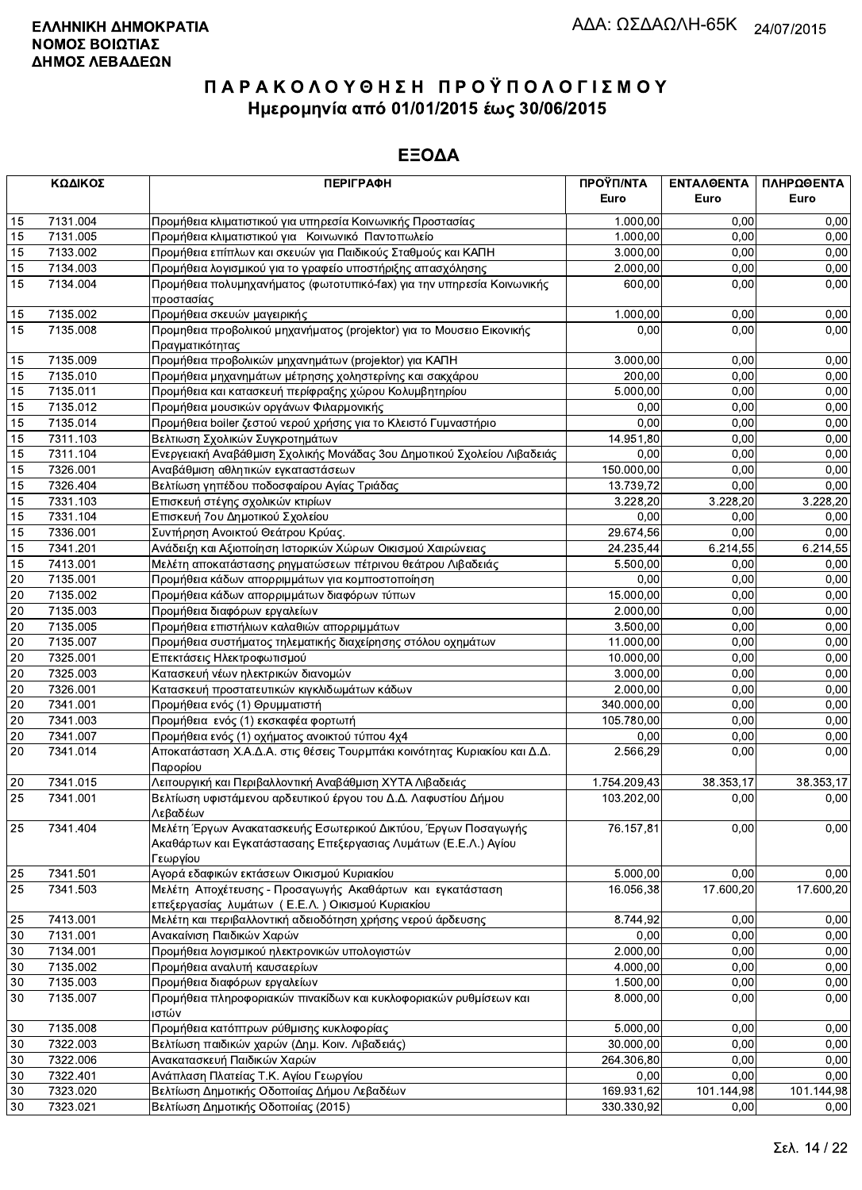|                 | ΚΩΔΙΚΟΣ  | <b>ПЕРІГРАФН</b>                                                                                                                              | ΠΡΟΫΠ/ΝΤΑ<br>Euro | <b>ENTAAGENTA</b><br>Euro | ΠΛΗΡΩΘΕΝΤΑ<br>Euro |
|-----------------|----------|-----------------------------------------------------------------------------------------------------------------------------------------------|-------------------|---------------------------|--------------------|
| 15              | 7131.004 | Προμήθεια κλιματιστικού για υπηρεσία Κοινωνικής Προστασίας                                                                                    | 1.000,00          | 0,00                      | 0,00               |
| 15              | 7131.005 | Προμήθεια κλιματιστικού για Κοινωνικό Παντοπωλείο                                                                                             | 1.000,00          | 0,00                      | 0,00               |
| 15              | 7133.002 | Προμήθεια επίπλων και σκευών για Παιδικούς Σταθμούς και ΚΑΠΗ                                                                                  | 3.000,00          | 0,00                      | 0,00               |
| 15              | 7134.003 | Προμήθεια λογισμικού για το γραφείο υποστήριξης απασχόλησης                                                                                   | 2.000,00          | 0,00                      | 0,00               |
| 15              | 7134.004 | Προμήθεια πολυμηχανήματος (φωτοτυπικό-fax) για την υπηρεσία Κοινωνικής                                                                        | 600,00            | 0,00                      | 0,00               |
| 15              | 7135.002 | προστασίας<br>Προμήθεια σκευών μαγειρικής                                                                                                     | 1.000,00          | 0,00                      | 0,00               |
| 15              | 7135.008 | Προμηθεια προβολικού μηχανήματος (projektor) για το Μουσειο Εικονικής<br>Πραγματικότητας                                                      | 0.00              | 0,00                      | 0,00               |
| 15              | 7135.009 | Προμήθεια προβολικών μηχανημάτων (projektor) για ΚΑΠΗ                                                                                         | 3.000,00          | 0,00                      | 0,00               |
| 15              | 7135.010 | Προμήθεια μηχανημάτων μέτρησης χοληστερίνης και σακχάρου                                                                                      | 200,00            | 0,00                      | 0,00               |
| 15              | 7135.011 | Προμήθεια και κατασκευή περίφραξης χώρου Κολυμβητηρίου                                                                                        | 5.000,00          | 0,00                      | 0,00               |
| 15              | 7135.012 | Προμήθεια μουσικών οργάνων Φιλαρμονικής                                                                                                       | 0,00              | 0,00                      | 0,00               |
| 15              | 7135.014 | Προμήθεια boiler ζεστού νερού χρήσης για το Κλειστό Γυμναστήριο                                                                               | 0,00              | 0,00                      | 0,00               |
| 15              | 7311.103 | Βελτιωση Σχολικών Συγκροτημάτων                                                                                                               | 14.951,80         | 0,00                      | 0,00               |
| 15              | 7311.104 | Ενεργειακή Αναβάθμιση Σχολικής Μονάδας 3ου Δημοτικού Σχολείου Λιβαδειάς                                                                       | 0,00              | 0,00                      | 0,00               |
| 15              | 7326.001 | Αναβάθμιση αθλητικών εγκαταστάσεων                                                                                                            | 150.000,00        | 0,00                      | 0,00               |
| 15              | 7326.404 | Βελτίωση γηπέδου ποδοσφαίρου Αγίας Τριάδας                                                                                                    | 13.739,72         | 0,00                      | 0,00               |
| 15              | 7331.103 | Επισκευή στέγης σχολικών κτιρίων                                                                                                              | 3.228,20          | 3.228,20                  | 3.228,20           |
| 15              | 7331.104 | Επισκευή 7ου Δημοτικού Σχολείου                                                                                                               | 0,00              | 0,00                      | 0,00               |
| 15              | 7336.001 | Συντήρηση Ανοικτού Θεάτρου Κρύας.                                                                                                             | 29.674,56         | 0,00                      | 0,00               |
| 15              | 7341.201 | Ανάδειξη και Αξιοποίηση Ιστορικών Χώρων Οικισμού Χαιρώνειας                                                                                   | 24.235,44         | 6.214,55                  | 6.214,55           |
| 15              | 7413.001 | Μελέτη αποκατάστασης ρηγματώσεων πέτρινου θεάτρου Λιβαδειάς                                                                                   | 5.500,00          | 0,00                      | 0,00               |
| 20              | 7135.001 | Προμήθεια κάδων απορριμμάτων για κομποστοποίηση                                                                                               | 0.00              | 0,00                      | 0,00               |
| 20              | 7135.002 | Προμήθεια κάδων απορριμμάτων διαφόρων τύπων                                                                                                   | 15.000,00         | 0,00                      | 0,00               |
| 20              | 7135.003 | Προμήθεια διαφόρων εργαλείων                                                                                                                  | 2.000,00          | 0,00                      | 0,00               |
| $\overline{20}$ | 7135.005 | Προμήθεια επιστήλιων καλαθιών απορριμμάτων                                                                                                    | 3.500,00          | 0,00                      | 0,00               |
| 20              | 7135.007 | Προμήθεια συστήματος τηλεματικής διαχείρησης στόλου οχημάτων                                                                                  | 11.000,00         | 0,00                      | 0,00               |
| 20              | 7325.001 | Επεκτάσεις Ηλεκτροφωτισμού                                                                                                                    | 10.000,00         | 0,00                      | 0,00               |
| 20              | 7325.003 | Κατασκευή νέων ηλεκτρικών διανομών                                                                                                            | 3.000,00          | 0,00                      | 0,00               |
| 20              | 7326.001 | Κατασκευή προστατευτικών κιγκλιδωμάτων κάδων                                                                                                  | 2.000,00          | 0,00                      | 0,00               |
| 20              | 7341.001 | Προμήθεια ενός (1) Θρυμματιστή                                                                                                                | 340.000,00        | 0,00                      | 0,00               |
| 20              | 7341.003 | Προμήθεια ενός (1) εκσκαφέα φορτωτή                                                                                                           | 105.780,00        | 0,00                      | 0,00               |
| 20              | 7341.007 | Προμήθεια ενός (1) οχήματος ανοικτού τύπου 4χ4                                                                                                | 0,00              | 0,00                      | 0,00               |
| 20              | 7341.014 | Αποκατάσταση Χ.Α.Δ.Α. στις θέσεις Τουρμπάκι κοινότητας Κυριακίου και Δ.Δ.                                                                     | 2.566,29          | 0,00                      | 0,00               |
|                 |          | Παρορίου                                                                                                                                      |                   |                           |                    |
| 20              | 7341.015 | Λειτουργική και Περιβαλλοντική Αναβάθμιση ΧΥΤΑ Λιβαδειάς                                                                                      | 1.754.209,43      | 38.353,17                 | 38.353,17          |
| 25              | 7341.001 | Βελτίωση υφιστάμενου αρδευτικού έργου του Δ.Δ. Λαφυστίου Δήμου<br>Λεβαδέων                                                                    | 103.202,00        | 0,00                      | 0,00               |
| 25              | 7341.404 | Μελέτη Έργων Ανακατασκευής Εσωτερικού Δικτύου, Έργων Ποσαγωγής<br>Ακαθάρτων και Εγκατάστασαης Επεξεργασιας Λυμάτων (Ε.Ε.Λ.) Αγίου<br>Γεωργίου | 76.157,81         | 0,00                      | 0,00               |
| 25              | 7341.501 | Αγορά εδαφικών εκτάσεων Οικισμού Κυριακίου                                                                                                    | 5.000,00          | 0,00                      | 0,00               |
| 25              | 7341.503 | Μελέτη Αποχέτευσης - Προσαγωγής Ακαθάρτων και εγκατάσταση<br>επεξεργασίας λυμάτων (Ε.Ε.Λ.) Οικισμού Κυριακίου                                 | 16.056,38         | 17.600,20                 | 17.600,20          |
| 25              | 7413.001 | Μελέτη και περιβαλλοντική αδειοδότηση χρήσης νερού άρδευσης                                                                                   | 8.744,92          | 0,00                      | 0,00               |
| 30              | 7131.001 | Ανακαίνιση Παιδικών Χαρών                                                                                                                     | 0,00              | 0.00                      | 0,00               |
| 30              | 7134.001 | Προμήθεια λογισμικού ηλεκτρονικών υπολογιστών                                                                                                 | 2.000,00          | 0,00                      | 0,00               |
| 30              | 7135.002 | Προμήθεια αναλυτή καυσαερίων                                                                                                                  | 4.000,00          | 0,00                      | 0,00               |
| 30              | 7135.003 | Προμήθεια διαφόρων εργαλείων                                                                                                                  | 1.500,00          | 0,00                      | 0,00               |
| 30              | 7135.007 | Προμήθεια πληροφοριακών πινακίδων και κυκλοφοριακών ρυθμίσεων και<br>ιστών                                                                    | 8.000,00          | 0,00                      | 0,00               |
| 30              | 7135.008 | Προμήθεια κατόπτρων ρύθμισης κυκλοφορίας                                                                                                      | 5.000,00          | 0,00                      | 0,00               |
| 30              | 7322.003 | Βελτίωση παιδικών χαρών (Δημ. Κοιν. Λιβαδειάς)                                                                                                | 30.000,00         | 0,00                      | 0,00               |
| 30              | 7322.006 | Ανακατασκευή Παιδικών Χαρών                                                                                                                   | 264.306,80        | 0,00                      | 0,00               |
| 30              | 7322.401 | Ανάπλαση Πλατείας Τ.Κ. Αγίου Γεωργίου                                                                                                         | 0,00              | 0,00                      | 0,00               |
| 30              | 7323.020 | Βελτίωση Δημοτικής Οδοποιίας Δήμου Λεβαδέων                                                                                                   | 169.931,62        | 101.144,98                | 101.144,98         |
| 30              | 7323.021 | Βελτίωση Δημοτικής Οδοποιίας (2015)                                                                                                           | 330.330,92        | 0,00                      | 0,00               |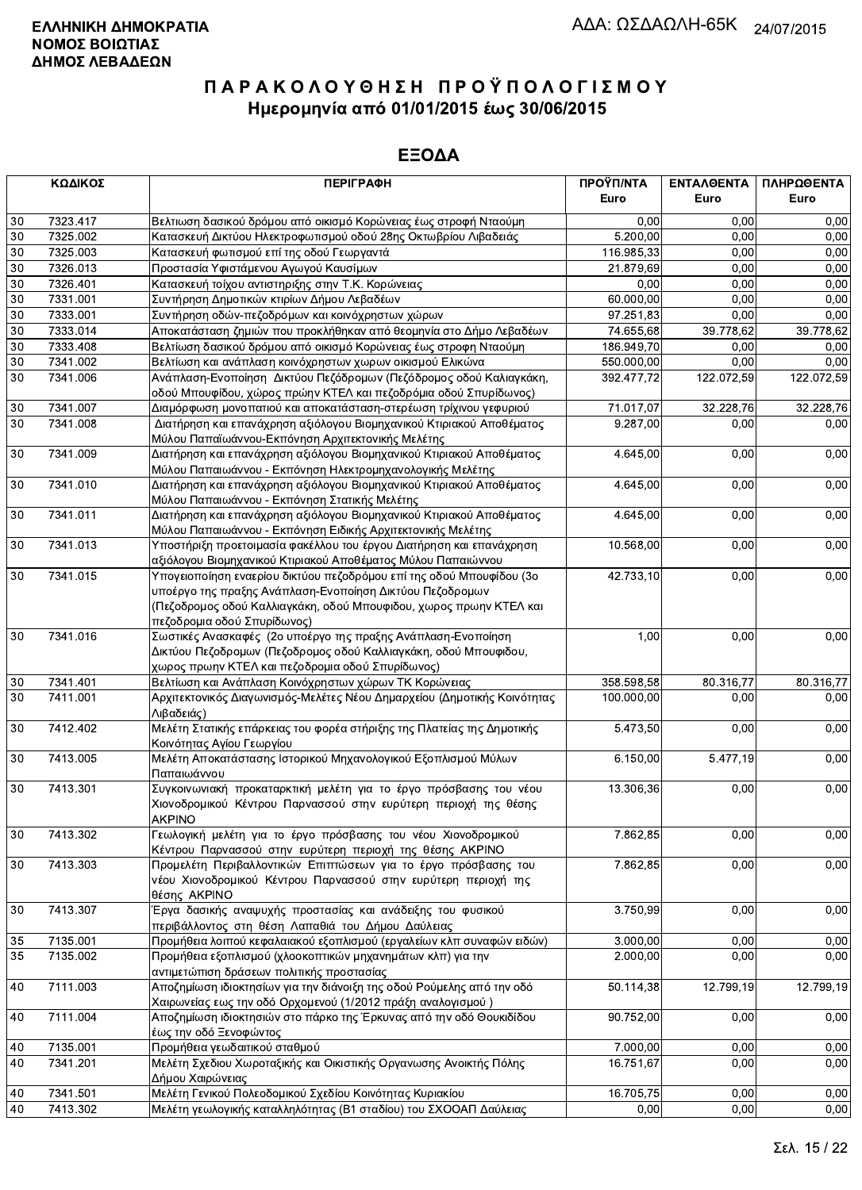|        | ΚΩΔΙΚΟΣ  | <b>ПЕРІГРАФН</b>                                                         | ΠΡΟΫΠ/ΝΤΑ<br>Euro | ΕΝΤΑΛΘΕΝΤΑ<br>Euro | ΠΛΗΡΩΘΕΝΤΑ<br>Euro |
|--------|----------|--------------------------------------------------------------------------|-------------------|--------------------|--------------------|
|        |          |                                                                          |                   |                    |                    |
| 30     | 7323.417 | Βελτιωση δασικού δρόμου από οικισμό Κορώνειας έως στροφή Νταούμη         | 0,00              | 0.00               | 0,00               |
| 30     | 7325.002 | Κατασκευή Δικτύου Ηλεκτροφωτισμού οδού 28ης Οκτωβρίου Λιβαδειάς          | 5.200,00          | 0.00               | 0,00               |
| 30     | 7325.003 | Κατασκευή φωτισμού επί της οδού Γεωργαντά                                | 116.985,33        | 0,00               | 0,00               |
| 30     | 7326.013 | Προστασία Υφιστάμενου Αγωγού Καυσίμων                                    | 21.879,69         | 0,00               | 0,00               |
| 30     | 7326.401 | Κατασκευή τοίχου αντιστηριξης στην Τ.Κ. Κορώνειας                        | 0,00              | 0,00               | 0,00               |
| 30     | 7331.001 | Συντήρηση Δημοτικών κτιρίων Δήμου Λεβαδέων                               | 60.000,00         | 0,00               | 0,00               |
| 30     | 7333.001 | Συντήρηση οδών-πεζοδρόμων και κοινόχρηστων χώρων                         | 97.251,83         | 0,00               | 0,00               |
| 30     | 7333.014 | Αποκατάσταση ζημιών που προκλήθηκαν από θεομηνία στο Δήμο Λεβαδέων       | 74.655,68         | 39.778,62          | 39.778,62          |
| 30     | 7333.408 | Βελτίωση δασικού δρόμου από οικισμό Κορώνειας έως στροφη Νταούμη         | 186.949,70        | 0.00               | 0,00               |
| 30     | 7341.002 | Βελτίωση και ανάπλαση κοινόχρηστων χωρων οικισμού Ελικώνα                | 550.000,00        | 0,00               | 0,00               |
| 30     | 7341.006 | Ανάπλαση-Ενοποίηση Δικτύου Πεζόδρομων (Πεζόδρομος οδού Καλιαγκάκη,       | 392.477,72        | 122.072,59         | 122.072,59         |
|        |          | οδού Μπουφίδου, χώρος πρώην ΚΤΕΛ και πεζοδρόμια οδού Σπυρίδωνος)         |                   |                    |                    |
| 30     | 7341.007 | Διαμόρφωση μονοπατιού και αποκατάσταση-στερέωση τρίχινου γεφυριού        | 71.017,07         | 32.228,76          | 32.228,76          |
| 30     | 7341.008 | Διατήρηση και επανάχρηση αξιόλογου Βιομηχανικού Κτιριακού Αποθέματος     | 9.287,00          | 0,00               | 0,00               |
|        |          | Μύλου Παπαϊωάννου-Εκπόνηση Αρχιτεκτονικής Μελέτης                        |                   |                    |                    |
| $30\,$ | 7341.009 | Διατήρηση και επανάχρηση αξιόλογου Βιομηχανικού Κτιριακού Αποθέματος     | 4.645,00          | 0,00               | 0,00               |
|        |          | Μύλου Παπαιωάννου - Εκπόνηση Ηλεκτρομηχανολογικής Μελέτης                |                   |                    |                    |
| 30     | 7341.010 | Διατήρηση και επανάχρηση αξιόλογου Βιομηχανικού Κτιριακού Αποθέματος     | 4.645,00          | 0,00               | 0,00               |
|        |          | Μύλου Παπαιωάννου - Εκπόνηση Στατικής Μελέτης                            |                   |                    |                    |
| 30     | 7341.011 | Διατήρηση και επανάχρηση αξιόλογου Βιομηχανικού Κτιριακού Αποθέματος     | 4.645.00          | 0,00               | 0,00               |
|        |          | Μύλου Παπαιωάννου - Εκπόνηση Ειδικής Αρχιτεκτονικής Μελέτης              |                   |                    |                    |
| 30     | 7341.013 | Υποστήριξη προετοιμασία φακέλλου του έργου Διατήρηση και επανάχρηση      | 10.568,00         | 0,00               | 0,00               |
|        |          | αξιόλογου Βιομηχανικού Κτιριακού Αποθέματος Μύλου Παπαιώννου             |                   |                    |                    |
| 30     | 7341.015 | Υπογειοποίηση εναερίου δικτύου πεζοδρόμου επί της οδού Μπουφίδου (3ο     | 42.733,10         | 0,00               | 0,00               |
|        |          | υποέργο της πραξης Ανάπλαση-Ενοποίηση Δικτύου Πεζοδρομων                 |                   |                    |                    |
|        |          | (Πεζοδρομος οδού Καλλιαγκάκη, οδού Μπουφιδου, χωρος πρωην ΚΤΕΛ και       |                   |                    |                    |
|        |          | πεζοδρομια οδού Σπυρίδωνος)                                              |                   |                    |                    |
| 30     | 7341.016 | Σωστικές Ανασκαφές (2ο υποέργο της πραξης Ανάπλαση-Ενοποίηση             | 1,00              | 0,00               | 0,00               |
|        |          | Δικτύου Πεζοδρομων (Πεζοδρομος οδού Καλλιαγκάκη, οδού Μπουφιδου,         |                   |                    |                    |
|        |          | χωρος πρωην ΚΤΕΛ και πεζοδρομια οδού Σπυρίδωνος)                         |                   |                    |                    |
| 30     | 7341.401 | Βελτίωση και Ανάπλαση Κοινόχρηστων χώρων ΤΚ Κορώνειας                    | 358.598,58        | 80.316,77          | 80.316,77          |
| 30     | 7411.001 | Αρχιτεκτονικός Διαγωνισμός-Μελέτες Νέου Δημαρχείου (Δημοτικής Κοινότητας | 100.000,00        | 0,00               | 0,00               |
|        |          | Λιβαδειάς)                                                               |                   |                    |                    |
| 30     | 7412.402 | Μελέτη Στατικής επάρκειας του φορέα στήριξης της Πλατείας της Δημοτικής  | 5.473,50          | 0,00               | 0,00               |
|        |          | Κοινότητας Αγίου Γεωργίου                                                |                   |                    |                    |
| 30     | 7413.005 | Μελέτη Αποκατάστασης Ιστορικού Μηχανολογικού Εξοπλισμού Μύλων            | 6.150,00          | 5.477,19           | 0,00               |
|        |          | Παπαιωάννου                                                              |                   |                    |                    |
| 30     | 7413.301 | Συγκοινωνιακή προκαταρκτική μελέτη για το έργο πρόσβασης του νέου        | 13.306,36         | 0,00               | 0,00               |
|        |          | Χιονοδρομικού Κέντρου Παρνασσού στην ευρύτερη περιοχή της θέσης          |                   |                    |                    |
|        |          | <b>AKPINO</b>                                                            |                   |                    |                    |
| 30     | 7413.302 | Γεωλογική μελέτη για το έργο πρόσβασης του νέου Χιονοδρομικού            | 7.862,85          | 0,00               | 0,00               |
|        |          | Κέντρου Παρνασσού στην ευρύτερη περιοχή της θέσης ΑΚΡΙΝΟ                 |                   |                    |                    |
| 30     | 7413.303 | Προμελέτη Περιβαλλοντικών Επιπτώσεων για το έργο πρόσβασης του           | 7.862,85          | 0,00               | 0,00               |
|        |          | νέου Χιονοδρομικού Κέντρου Παρνασσού στην ευρύτερη περιοχή της           |                   |                    |                    |
|        |          | θέσης AKPINO                                                             |                   |                    |                    |
| 30     | 7413.307 | Έργα δασικής αναψυχής προστασίας και ανάδειξης του φυσικού               | 3.750,99          | 0,00               | 0,00               |
|        |          | περιβάλλοντος στη θέση Λαπαθιά του Δήμου Δαύλειας                        |                   |                    |                    |
| 35     | 7135.001 | Προμήθεια λοιπού κεφαλαιακού εξοπλισμού (εργαλείων κλπ συναφών ειδών)    | 3.000,00          | 0,00               | 0,00               |
| 35     | 7135.002 | Προμήθεια εξοπλισμού (χλοοκοπτικών μηχανημάτων κλπ) για την              | 2.000,00          | 0,00               | 0,00               |
|        |          | αντιμετώπιση δράσεων πολιτικής προστασίας                                |                   |                    |                    |
| 40     | 7111.003 | Αποζημίωση ιδιοκτησίων για την διάνοιξη της οδού Ρούμελης από την οδό    | 50.114,38         | 12.799,19          | 12.799,19          |
|        |          | Χαιρωνείας εως την οδό Ορχομενού (1/2012 πράξη αναλογισμού)              |                   |                    |                    |
| 40     | 7111.004 | Αποζημίωση ιδιοκτησιών στο πάρκο της Έρκυνας από την οδό Θουκιδίδου      | 90.752,00         | 0,00               | 0,00               |
|        |          | έως την οδό Ξενοφώντος                                                   |                   |                    |                    |
| 40     | 7135.001 | Προμήθεια γεωδαιτικού σταθμού                                            | 7.000,00          | 0,00               | 0,00               |
| 40     | 7341.201 | Μελέτη Σχεδιου Χωροταξικής και Οικιστικής Οργανωσης Ανοικτής Πόλης       | 16.751,67         | 0,00               | 0,00               |
|        |          | Δήμου Χαιρώνειας                                                         |                   |                    |                    |
| 40     | 7341.501 | Μελέτη Γενικού Πολεοδομικού Σχεδίου Κοινότητας Κυριακίου                 | 16.705,75         | 0,00               | 0,00               |
| 40     | 7413.302 | Μελέτη γεωλογικής καταλληλότητας (Β1 σταδίου) του ΣΧΟΟΑΠ Δαύλειας        | 0,00              | 0,00               | 0,00               |
|        |          |                                                                          |                   |                    |                    |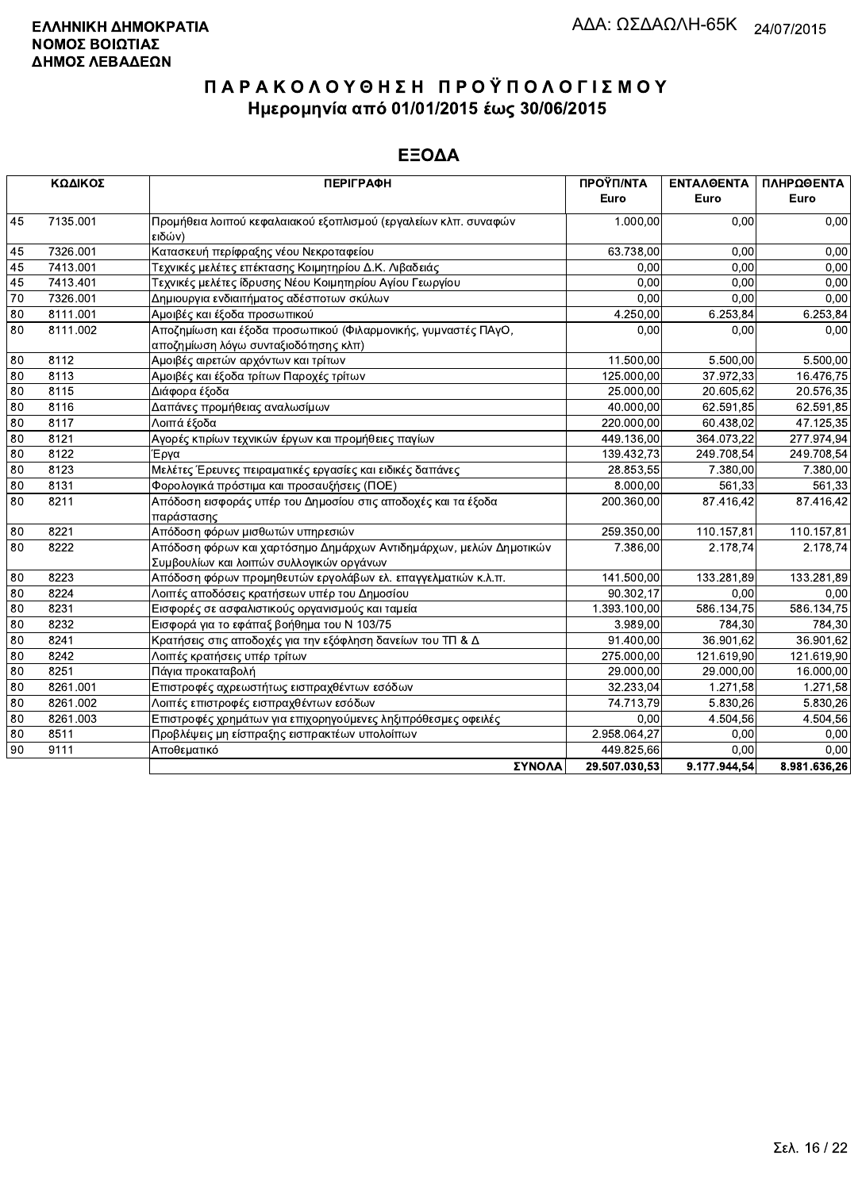|                 | ΚΩΔΙΚΟΣ  | <b>ПЕРІГРАФН</b>                                                                                               | ΠΡΟΫΠ/ΝΤΑ<br>Euro | <b>ENTAAOENTA</b><br>Euro | ΠΛΗΡΩΘΕΝΤΑ<br>Euro |
|-----------------|----------|----------------------------------------------------------------------------------------------------------------|-------------------|---------------------------|--------------------|
| 45              | 7135.001 | Προμήθεια λοιπού κεφαλαιακού εξοπλισμού (εργαλείων κλπ. συναφών<br>ειδών)                                      | 1.000,00          | 0.00                      | 0,00               |
| 45              | 7326.001 | Κατασκευή περίφραξης νέου Νεκροταφείου                                                                         | 63.738,00         | 0.00                      | 0,00               |
| 45              | 7413.001 | Τεχνικές μελέτες επέκτασης Κοιμητηρίου Δ.Κ. Λιβαδειάς                                                          | 0.00              | 0.00                      | 0,00               |
| 45              | 7413.401 | Τεχνικές μελέτες ίδρυσης Νέου Κοιμητηρίου Αγίου Γεωργίου                                                       | 0.00              | 0.00                      | 0.00               |
| 70              | 7326.001 | Δημιουργια ενδιαιτήματος αδέσποτων σκύλων                                                                      | 0.00              | 0.00                      | 0.00               |
| 80              | 8111.001 | Αμοιβές και έξοδα προσωπικού                                                                                   | 4.250,00          | 6.253,84                  | 6.253,84           |
| 80              | 8111.002 | Αποζημίωση και έξοδα προσωπικού (Φιλαρμονικής, γυμναστές ΠΑγΟ,<br>αποζημίωση λόγω συνταξιοδότησης κλπ)         | 0.00              | 0,00                      | 0,00               |
| 80              | 8112     | Αμοιβές αιρετών αρχόντων και τρίτων                                                                            | 11.500,00         | 5.500,00                  | 5.500,00           |
| 80              | 8113     | Αμοιβές και έξοδα τρίτων Παροχές τρίτων                                                                        | 125.000,00        | 37.972,33                 | 16.476,75          |
| 80              | 8115     | Διάφορα έξοδα                                                                                                  | 25.000,00         | 20.605.62                 | 20.576,35          |
| 80              | 8116     | Δαπάνες προμήθειας αναλωσίμων                                                                                  | 40.000,00         | 62.591,85                 | 62.591,85          |
| 80              | 8117     | Λοιπά έξοδα                                                                                                    | 220.000,00        | 60.438,02                 | 47.125,35          |
| 80              | 8121     | Αγορές κτιρίων τεχνικών έργων και προμήθειες παγίων                                                            | 449.136,00        | 364.073,22                | 277.974,94         |
| $\overline{80}$ | 8122     | Έργα                                                                                                           | 139.432.73        | 249.708.54                | 249.708,54         |
| 80              | 8123     | Μελέτες Έρευνες πειραματικές εργασίες και ειδικές δαπάνες                                                      | 28.853,55         | 7.380,00                  | 7.380,00           |
| $\overline{80}$ | 8131     | Φορολογικά πρόστιμα και προσαυξήσεις (ΠΟΕ)                                                                     | 8.000,00          | 561.33                    | 561,33             |
| 80              | 8211     | Απόδοση εισφοράς υπέρ του Δημοσίου στις αποδοχές και τα έξοδα<br>παράστασης                                    | 200.360,00        | 87.416.42                 | 87.416,42          |
| 80              | 8221     | Απόδοση φόρων μισθωτών υπηρεσιών                                                                               | 259.350,00        | 110.157,81                | 110.157,81         |
| 80              | 8222     | Απόδοση φόρων και χαρτόσημο Δημάρχων Αντιδημάρχων, μελών Δημοτικών<br>Συμβουλίων και λοιπών συλλογικών οργάνων | 7.386.00          | 2.178.74                  | 2.178.74           |
| 80              | 8223     | Απόδοση φόρων προμηθευτών εργολάβων ελ. επαγγελματιών κ.λ.π.                                                   | 141.500,00        | 133.281.89                | 133.281,89         |
| 80              | 8224     | Λοιπές αποδόσεις κρατήσεων υπέρ του Δημοσίου                                                                   | 90.302.17         | 0.00                      | 0.00               |
| 80              | 8231     | Εισφορές σε ασφαλιστικούς οργανισμούς και ταμεία                                                               | 1.393.100,00      | 586.134,75                | 586.134,75         |
| 80              | 8232     | Εισφορά για το εφάπαξ βοήθημα του Ν 103/75                                                                     | 3.989,00          | 784,30                    | 784,30             |
| 80              | 8241     | Κρατήσεις στις αποδοχές για την εξόφληση δανείων του ΤΠ & Δ                                                    | 91.400,00         | 36.901.62                 | 36.901.62          |
| 80              | 8242     | Λοιπές κρατήσεις υπέρ τρίτων                                                                                   | 275.000,00        | 121.619,90                | 121.619,90         |
| 80              | 8251     | Πάγια προκαταβολή                                                                                              | 29.000,00         | 29.000.00                 | 16.000,00          |
| 80              | 8261.001 | Επιστροφές αχρεωστήτως εισπραχθέντων εσόδων                                                                    | 32.233,04         | 1.271,58                  | 1.271,58           |
| 80              | 8261.002 | Λοιπές επιστροφές εισπραχθέντων εσόδων                                                                         | 74.713,79         | 5.830.26                  | 5.830,26           |
| 80              | 8261.003 | Επιστροφές χρημάτων για επιχορηγούμενες ληξιπρόθεσμες οφειλές                                                  | 0,00              | 4.504,56                  | 4.504,56           |
| 80              | 8511     | Προβλέψεις μη είσπραξης εισπρακτέων υπολοίπων                                                                  | 2.958.064,27      | 0,00                      | 0,00               |
| 90              | 9111     | Αποθεματικό                                                                                                    | 449 825,66        | 0.00                      | 0,00               |
|                 |          | ΣΥΝΟΛΑ                                                                                                         | 29.507.030.53     | 9.177.944.54              | 8.981.636.26       |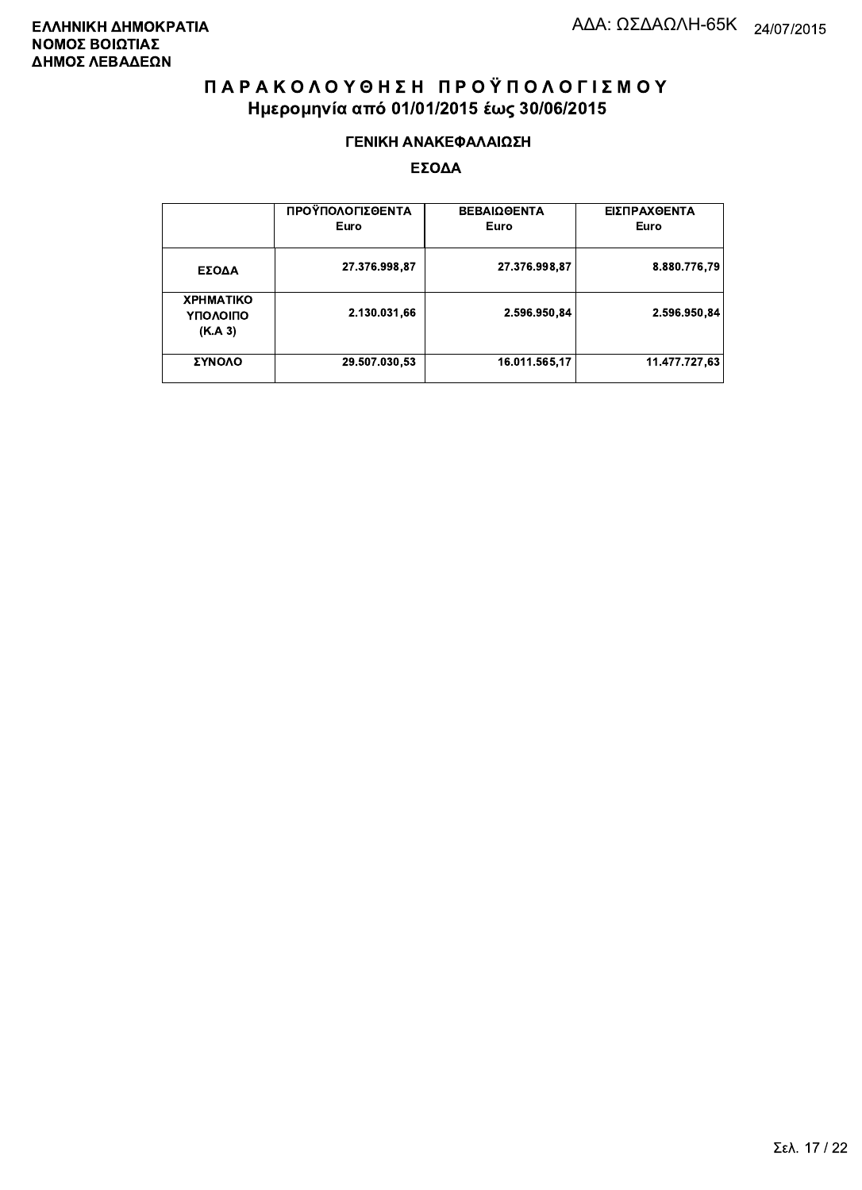#### ΓΕΝΙΚΗ ΑΝΑΚΕΦΑΛΑΙΩΣΗ

|                                         | ΠΡΟΫΠΟΛΟΓΙΣΘΕΝΤΑ<br>Euro | <b>ΒΕΒΑΙΩΘΕΝΤΑ</b><br>Euro | ΕΙΣΠΡΑΧΘΕΝΤΑ<br>Euro |
|-----------------------------------------|--------------------------|----------------------------|----------------------|
| ΕΣΟΔΑ                                   | 27.376.998,87            | 27.376.998,87              | 8.880.776,79         |
| <b>XPHMATIKO</b><br>ΥΠΟΛΟΙΠΟ<br>(K.A.3) | 2.130.031,66             | 2.596.950.84               | 2.596.950.84         |
| ΣΥΝΟΛΟ                                  | 29.507.030,53            | 16.011.565,17              | 11.477.727.63        |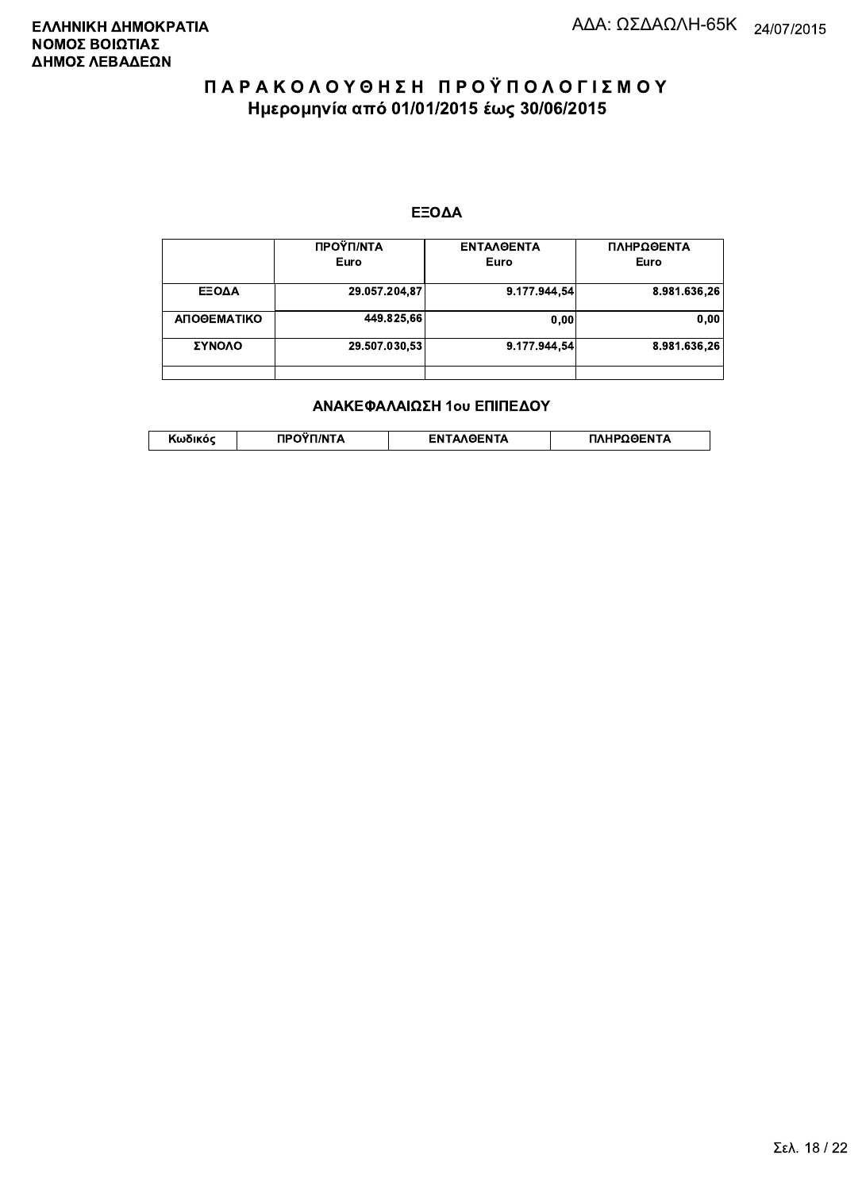#### ΕΞΟΔΑ

|             | ΠΡΟΫΠ/ΝΤΑ<br>Euro | <b>ENTAAGENTA</b><br>Euro | ΠΛΗΡΩΘΕΝΤΑ<br>Euro |
|-------------|-------------------|---------------------------|--------------------|
|             |                   |                           |                    |
| ΕΞΟΔΑ       | 29.057.204,87     | 9.177.944.54              | 8.981.636,26       |
| ΑΠΟΘΕΜΑΤΙΚΟ | 449.825,66        | 0,00                      | 0,00               |
| ΣΥΝΟΛΟ      | 29.507.030,53     | 9.177.944.54              | 8.981.636.26       |
|             |                   |                           |                    |

#### ΑΝΑΚΕΦΑΛΑΙΩΣΗ 1ου ΕΠΙΠΕΔΟΥ

| האוההו | 1/NT/ | <b>OENTA</b> | HPOGFNTA |
|--------|-------|--------------|----------|
| .      |       | FΝ           |          |
|        |       |              |          |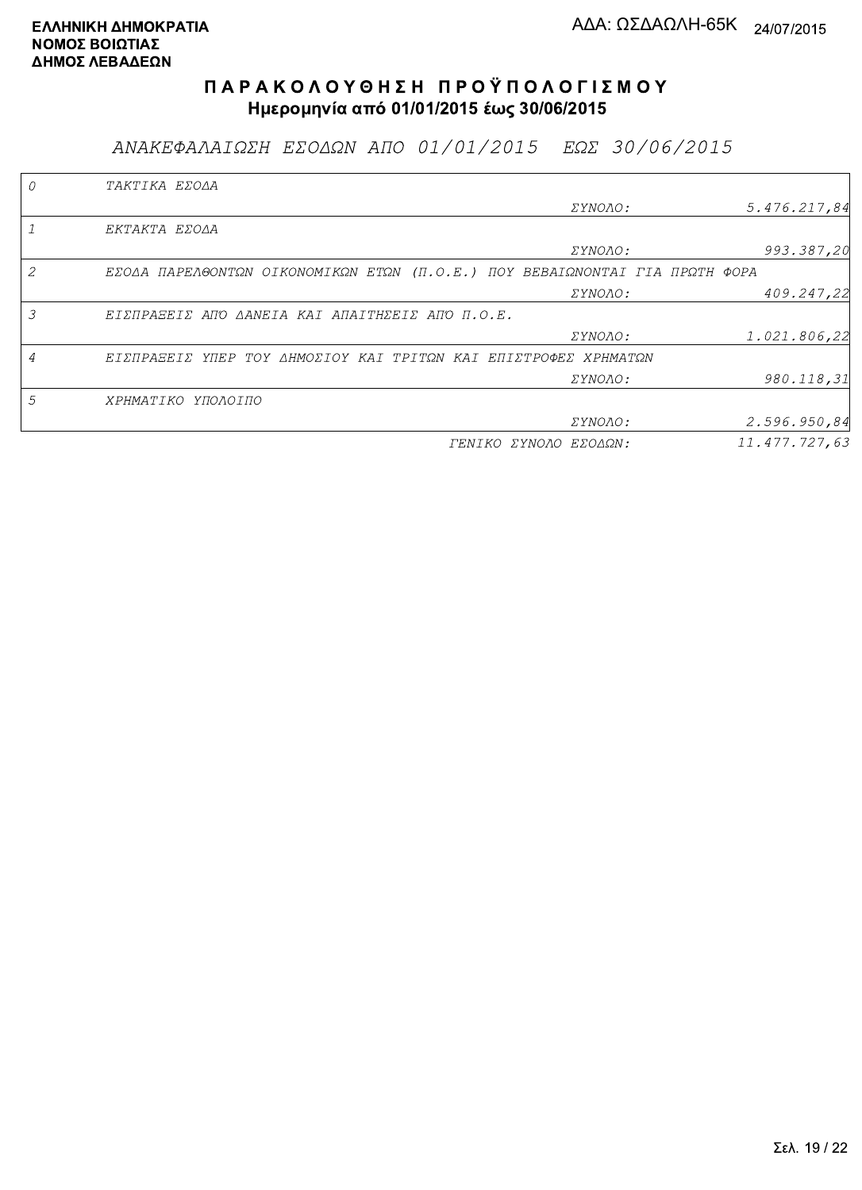ΑΝΑΚΕΦΑΛΑΙΩΣΗ ΕΣΟΔΩΝ ΑΠΟ 01/01/2015 ΕΩΣ 30/06/2015

|   | TAKTIKA EZOAA                                                               |                       |               |
|---|-----------------------------------------------------------------------------|-----------------------|---------------|
|   |                                                                             | <i>EYNOAO:</i>        | 5.476.217.84  |
|   | EKTAKTA EZOAA                                                               |                       |               |
|   |                                                                             | <i>EYNOAO:</i>        | 993.387,20    |
|   | EZOAA ΠΑΡΕΛΘΟΝΤΩΝ ΟΙΚΟΝΟΜΙΚΩΝ ΕΤΩΝ (Π.Ο.Ε.) ΠΟΥ ΒΕΒΑΙΩΝΟΝΤΑΙ ΓΙΑ ΠΡΩΤΗ ΦΟΡΑ |                       |               |
|   |                                                                             | <i>EYNOAO:</i>        | 409.247,22    |
| 3 | ΕΙΣΠΡΑΞΕΙΣ ΑΠΌ ΔΑΝΕΙΑ ΚΑΙ ΑΠΑΙΤΗΣΕΙΣ ΑΠΌ Π.Ο.Ε.                             |                       |               |
|   |                                                                             | <i>EYNOAO:</i>        | 1.021.806,22  |
| 4 | ΕΙΣΠΡΑΞΕΙΣ ΥΠΕΡ ΤΟΥ ΔΗΜΟΣΙΟΥ ΚΑΙ ΤΡΙΤΩΝ ΚΑΙ ΕΠΙΣΤΡΟΦΕΣ ΧΡΗΜΑΤΩΝ             |                       |               |
|   |                                                                             | ΣΥΝΟΛΟ:               | 980.118,31    |
| 5 | ΧΡΗΜΑΤΙΚΟ ΥΠΟΛΟΙΠΟ                                                          |                       |               |
|   |                                                                             | ΣΥΝΟΛΟ:               | 2.596.950,84  |
|   |                                                                             | ΓΕΝΙΚΟ ΣΥΝΟΛΟ ΕΣΟΔΩΝ: | 11.477.727,63 |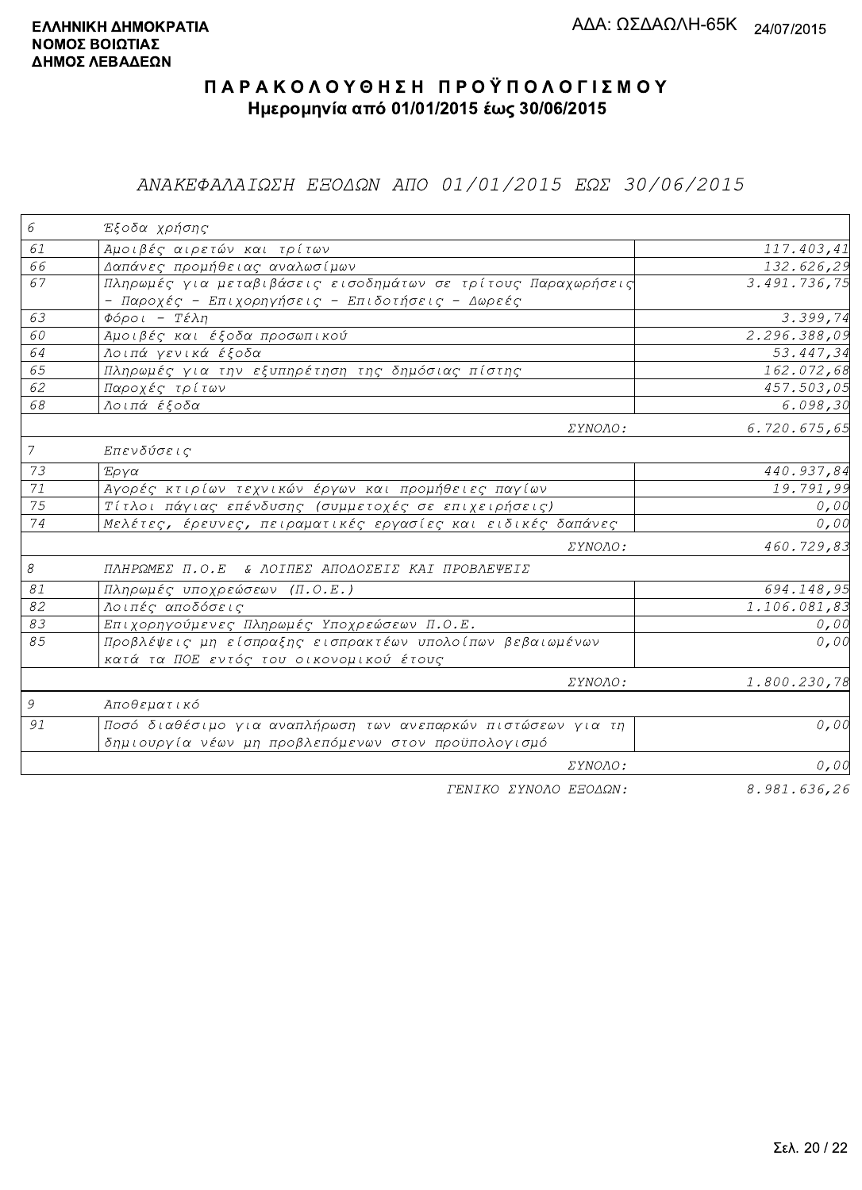## ΑΝΑΚΕΦΑΛΑΙΩΣΗ ΕΞΟΔΩΝ ΑΠΟ 01/01/2015 ΕΩΣ 30/06/2015

| 6              | Έξοδα χρήσης                                                  |                       |
|----------------|---------------------------------------------------------------|-----------------------|
| 61             | Αμοιβές αιρετών και τρίτων                                    | 117.403,41            |
| 66             | Δαπάνες προμήθειας αναλωσίμων                                 | 132.626,29            |
| 67             | Πληρωμές για μεταβιβάσεις εισοδημάτων σε τρίτους Παραχωρήσεις | 3.491.736,75          |
|                | - Παροχές - Επιχορηγήσεις - Επιδοτήσεις - Δωρεές              |                       |
| 63             | $Φ$ όροι - Τέλη                                               | $\overline{3.399,74}$ |
| 60             | Αμοιβές και έξοδα προσωπικού                                  | 2.296.388,09          |
| 64             | Λοιπά γενικά έξοδα                                            | 53.447,34             |
| 65             | Πληρωμές για την εξυπηρέτηση της δημόσιας πίστης              | 162.072,68            |
| 62             | Παροχές τρίτων                                                | 457.503,05            |
| 68             | Λοιπά έξοδα                                                   | 6.098, 30             |
|                | ΣΥΝΟΛΟ:                                                       | 6.720.675,65          |
| $\overline{7}$ | Επενδύσεις                                                    |                       |
| 73             | Έργα                                                          | 440.937,84            |
| 71             | Αγορές κτιρίων τεχνικών έργων και προμήθειες παγίων           | 19.791,99             |
| 75             | Τίτλοι πάγιας επένδυσης (συμμετοχές σε επιχειρήσεις)          | 0,00                  |
| 74             | Μελέτες, έρευνες, πειραματικές εργασίες και ειδικές δαπάνες   | 0,00                  |
|                | ΣΥΝΟΛΟ:                                                       | 460.729,83            |
| 8              | ΠΛΗΡΩΜΕΣ Π.Ο.Ε & ΛΟΙΠΕΣ ΑΠΟΔΟΣΕΙΣ ΚΑΙ ΠΡΟΒΛΕΨΕΙΣ              |                       |
| 81             | Πληρωμές υποχρεώσεων (Π.Ο.Ε.)                                 | 694.148,95            |
| 82             | Λοιπές αποδόσεις                                              | 1.106.081,83          |
| 83             | Επιχορηγούμενες Πληρωμές Υποχρεώσεων Π.Ο.Ε.                   | 0,00                  |
| 85             | Προβλέψεις μη είσπραξης εισπρακτέων υπολοίπων βεβαιωμένων     | 0,00                  |
|                | κατά τα ΠΟΕ εντός του οικονομικού έτους                       |                       |
|                | ΣΥΝΟΛΟ:                                                       | 1.800.230,78          |
| 9              | Αποθεματικό                                                   |                       |
| 91             | Ποσό διαθέσιμο για αναπλήρωση των ανεπαρκών πιστώσεων για τη  | 0,00                  |
|                | δημιουργία νέων μη προβλεπόμενων στον προϋπολογισμό           |                       |
|                | ΣΥΝΟΛΟ:                                                       | 0,00                  |
|                | TENIKO ZYNOAO EEOAQN:                                         | 8.981.636,26          |